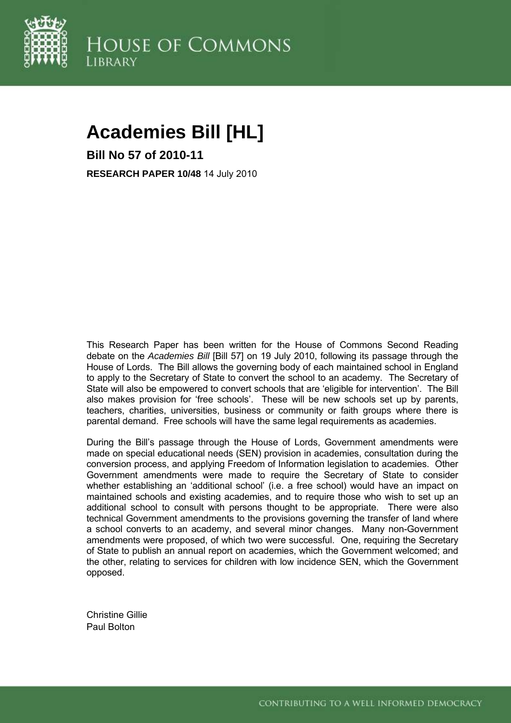

# **Academies Bill [HL]**

**Bill No 57 of 2010-11 RESEARCH PAPER 10/48** 14 July 2010

This Research Paper has been written for the House of Commons Second Reading debate on the *Academies Bill* [Bill 57] on 19 July 2010, following its passage through the House of Lords. The Bill allows the governing body of each maintained school in England to apply to the Secretary of State to convert the school to an academy. The Secretary of State will also be empowered to convert schools that are 'eligible for intervention'. The Bill also makes provision for 'free schools'. These will be new schools set up by parents, teachers, charities, universities, business or community or faith groups where there is parental demand. Free schools will have the same legal requirements as academies.

During the Bill's passage through the House of Lords, Government amendments were made on special educational needs (SEN) provision in academies, consultation during the conversion process, and applying Freedom of Information legislation to academies. Other Government amendments were made to require the Secretary of State to consider whether establishing an 'additional school' (i.e. a free school) would have an impact on maintained schools and existing academies, and to require those who wish to set up an additional school to consult with persons thought to be appropriate. There were also technical Government amendments to the provisions governing the transfer of land where a school converts to an academy, and several minor changes. Many non-Government amendments were proposed, of which two were successful. One, requiring the Secretary of State to publish an annual report on academies, which the Government welcomed; and the other, relating to services for children with low incidence SEN, which the Government opposed.

Christine Gillie Paul Bolton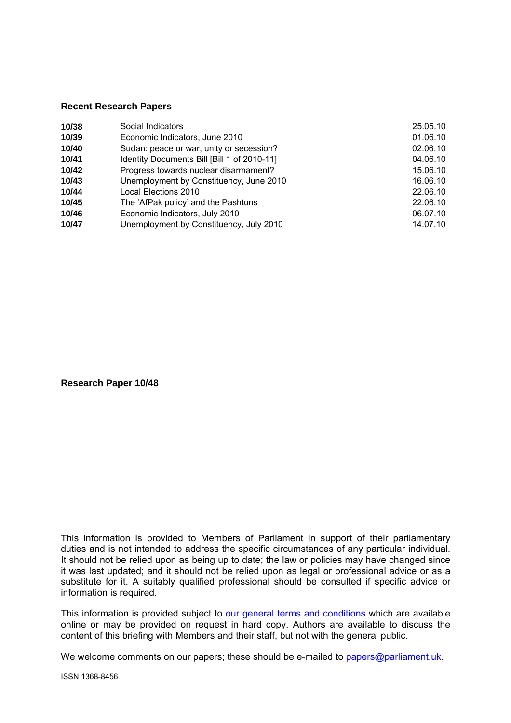#### **Recent Research Papers**

| 10/38 | Social Indicators                           | 25.05.10 |
|-------|---------------------------------------------|----------|
| 10/39 | Economic Indicators, June 2010              | 01.06.10 |
| 10/40 | Sudan: peace or war, unity or secession?    | 02.06.10 |
| 10/41 | Identity Documents Bill [Bill 1 of 2010-11] | 04.06.10 |
| 10/42 | Progress towards nuclear disarmament?       | 15.06.10 |
| 10/43 | Unemployment by Constituency, June 2010     | 16.06.10 |
| 10/44 | Local Elections 2010                        | 22.06.10 |
| 10/45 | The 'AfPak policy' and the Pashtuns         | 22.06.10 |
| 10/46 | Economic Indicators, July 2010              | 06.07.10 |
| 10/47 | Unemployment by Constituency, July 2010     | 14.07.10 |

**Research Paper 10/48** 

This information is provided to Members of Parliament in support of their parliamentary duties and is not intended to address the specific circumstances of any particular individual. It should not be relied upon as being up to date; the law or policies may have changed since it was last updated; and it should not be relied upon as legal or professional advice or as a substitute for it. A suitably qualified professional should be consulted if specific advice or information is required.

This information is provided subject to [our general terms and conditions](http://www.parliament.uk/site_information/parliamentary_copyright.cfm) which are available online or may be provided on request in hard copy. Authors are available to discuss the content of this briefing with Members and their staff, but not with the general public.

We welcome comments on our papers; these should be e-mailed to [papers@parliament.uk.](mailto:papers@parliament.uk)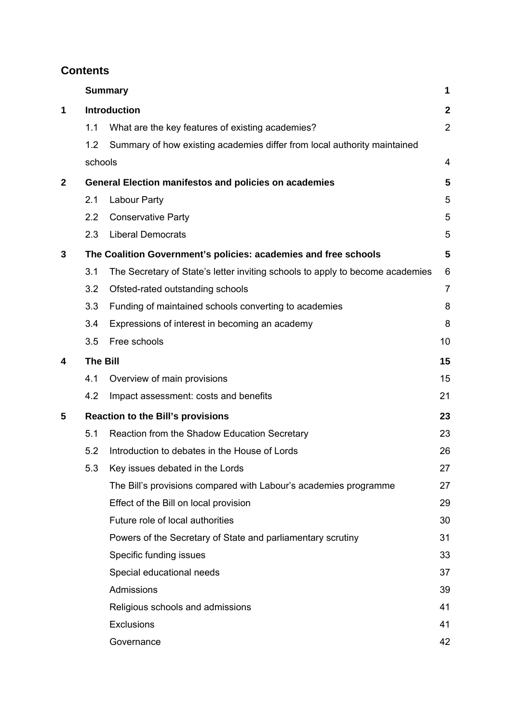# **Contents**

|              |                                                                 | <b>Summary</b>                                                                | 1              |  |
|--------------|-----------------------------------------------------------------|-------------------------------------------------------------------------------|----------------|--|
| 1            | <b>Introduction</b>                                             |                                                                               | $\mathbf{2}$   |  |
|              | 1.1                                                             | What are the key features of existing academies?                              | $\overline{2}$ |  |
|              | 1.2                                                             | Summary of how existing academies differ from local authority maintained      |                |  |
|              | schools                                                         |                                                                               | 4              |  |
| $\mathbf{2}$ | <b>General Election manifestos and policies on academies</b>    |                                                                               |                |  |
|              | 2.1                                                             | <b>Labour Party</b>                                                           | 5              |  |
|              | 2.2                                                             | <b>Conservative Party</b>                                                     | 5              |  |
|              | 2.3                                                             | <b>Liberal Democrats</b>                                                      | 5              |  |
| 3            | The Coalition Government's policies: academies and free schools |                                                                               |                |  |
|              | 3.1                                                             | The Secretary of State's letter inviting schools to apply to become academies | 6              |  |
|              | 3.2                                                             | Ofsted-rated outstanding schools                                              | $\overline{7}$ |  |
|              | 3.3                                                             | Funding of maintained schools converting to academies                         | 8              |  |
|              | 3.4                                                             | Expressions of interest in becoming an academy                                | 8              |  |
|              | 3.5                                                             | Free schools                                                                  | 10             |  |
| 4            |                                                                 | <b>The Bill</b><br>15                                                         |                |  |
|              | 4.1                                                             | Overview of main provisions                                                   | 15             |  |
|              | 4.2                                                             | Impact assessment: costs and benefits                                         | 21             |  |
| 5            | <b>Reaction to the Bill's provisions</b>                        |                                                                               | 23             |  |
|              | 5.1                                                             | Reaction from the Shadow Education Secretary                                  | 23             |  |
|              | 5.2                                                             | Introduction to debates in the House of Lords                                 | 26             |  |
|              | 5.3                                                             | Key issues debated in the Lords                                               | 27             |  |
|              |                                                                 | The Bill's provisions compared with Labour's academies programme              | 27             |  |
|              |                                                                 | Effect of the Bill on local provision                                         | 29             |  |
|              |                                                                 | Future role of local authorities                                              | 30             |  |
|              |                                                                 | Powers of the Secretary of State and parliamentary scrutiny                   | 31             |  |
|              |                                                                 | Specific funding issues                                                       | 33             |  |
|              |                                                                 | Special educational needs                                                     | 37             |  |
|              |                                                                 | Admissions                                                                    | 39             |  |
|              |                                                                 | Religious schools and admissions                                              | 41             |  |
|              |                                                                 | <b>Exclusions</b>                                                             | 41             |  |
|              |                                                                 | Governance                                                                    | 42             |  |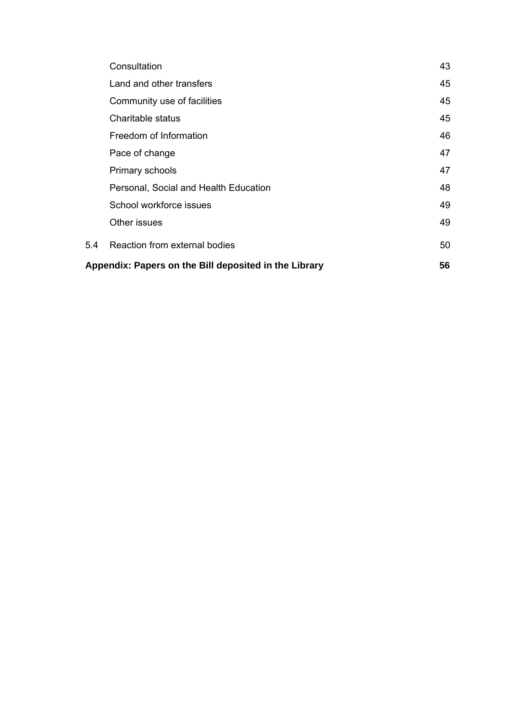| Consultation                                          | 43 |  |
|-------------------------------------------------------|----|--|
| Land and other transfers                              | 45 |  |
| Community use of facilities                           | 45 |  |
| Charitable status                                     | 45 |  |
| Freedom of Information                                | 46 |  |
| Pace of change                                        | 47 |  |
| Primary schools                                       | 47 |  |
| Personal, Social and Health Education                 | 48 |  |
| School workforce issues                               | 49 |  |
| Other issues                                          | 49 |  |
| Reaction from external bodies<br>5.4                  | 50 |  |
| Appendix: Papers on the Bill deposited in the Library |    |  |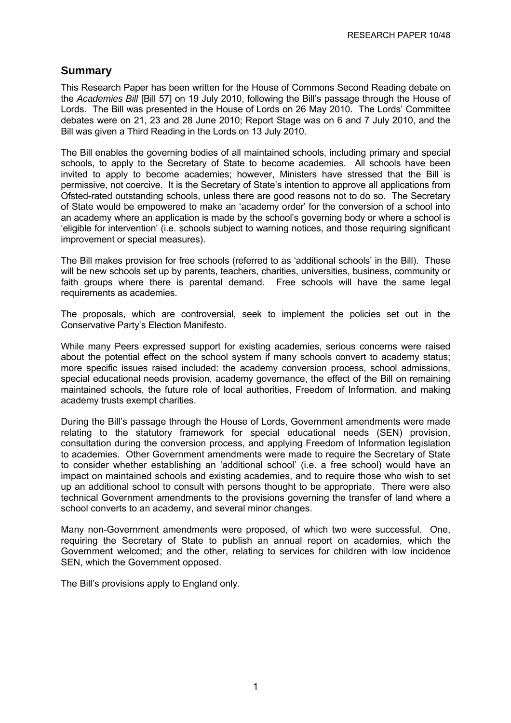# <span id="page-4-0"></span>**Summary**

This Research Paper has been written for the House of Commons Second Reading debate on the *Academies Bill* [Bill 57] on 19 July 2010, following the Bill's passage through the House of Lords. The Bill was presented in the House of Lords on 26 May 2010. The Lords' Committee debates were on 21, 23 and 28 June 2010; Report Stage was on 6 and 7 July 2010, and the Bill was given a Third Reading in the Lords on 13 July 2010.

The Bill enables the governing bodies of all maintained schools, including primary and special schools, to apply to the Secretary of State to become academies. All schools have been invited to apply to become academies; however, Ministers have stressed that the Bill is permissive, not coercive. It is the Secretary of State's intention to approve all applications from Ofsted-rated outstanding schools, unless there are good reasons not to do so. The Secretary of State would be empowered to make an 'academy order' for the conversion of a school into an academy where an application is made by the school's governing body or where a school is 'eligible for intervention' (i.e. schools subject to warning notices, and those requiring significant improvement or special measures).

The Bill makes provision for free schools (referred to as 'additional schools' in the Bill). These will be new schools set up by parents, teachers, charities, universities, business, community or faith groups where there is parental demand. Free schools will have the same legal requirements as academies.

The proposals, which are controversial, seek to implement the policies set out in the Conservative Party's Election Manifesto.

While many Peers expressed support for existing academies, serious concerns were raised about the potential effect on the school system if many schools convert to academy status; more specific issues raised included: the academy conversion process, school admissions, special educational needs provision, academy governance, the effect of the Bill on remaining maintained schools, the future role of local authorities, Freedom of Information, and making academy trusts exempt charities.

During the Bill's passage through the House of Lords, Government amendments were made relating to the statutory framework for special educational needs (SEN) provision, consultation during the conversion process, and applying Freedom of Information legislation to academies. Other Government amendments were made to require the Secretary of State to consider whether establishing an 'additional school' (i.e. a free school) would have an impact on maintained schools and existing academies, and to require those who wish to set up an additional school to consult with persons thought to be appropriate. There were also technical Government amendments to the provisions governing the transfer of land where a school converts to an academy, and several minor changes.

Many non-Government amendments were proposed, of which two were successful. One, requiring the Secretary of State to publish an annual report on academies, which the Government welcomed; and the other, relating to services for children with low incidence SEN, which the Government opposed.

The Bill's provisions apply to England only.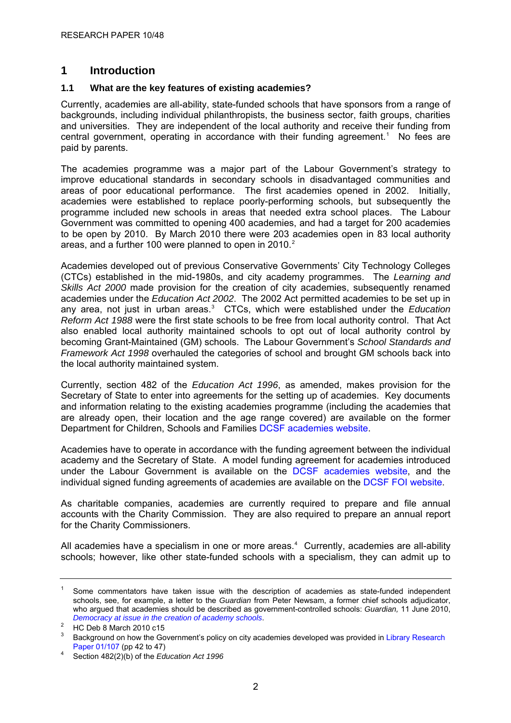# <span id="page-5-0"></span>**1 Introduction**

## **1.1 What are the key features of existing academies?**

Currently, academies are all-ability, state-funded schools that have sponsors from a range of backgrounds, including individual philanthropists, the business sector, faith groups, charities and universities. They are independent of the local authority and receive their funding from central government, operating in accordance with their funding agreement.<sup>[1](#page-5-0)</sup> No fees are paid by parents.

The academies programme was a major part of the Labour Government's strategy to improve educational standards in secondary schools in disadvantaged communities and areas of poor educational performance. The first academies opened in 2002. Initially, academies were established to replace poorly-performing schools, but subsequently the programme included new schools in areas that needed extra school places. The Labour Government was committed to opening 400 academies, and had a target for 200 academies to be open by 2010. By March 2010 there were 203 academies open in 83 local authority areas, and a further 100 were planned to open in [2](#page-5-0)010. $2$ 

Academies developed out of previous Conservative Governments' City Technology Colleges (CTCs) established in the mid-1980s, and city academy programmes. The *Learning and Skills Act 2000* made provision for the creation of city academies, subsequently renamed academies under the *Education Act 2002*. The 2002 Act permitted academies to be set up in any area, not just in urban areas.<sup>[3](#page-5-0)</sup> CTCs, which were established under the *Education Reform Act 1988* were the first state schools to be free from local authority control. That Act also enabled local authority maintained schools to opt out of local authority control by becoming Grant-Maintained (GM) schools. The Labour Government's *School Standards and Framework Act 1998* overhauled the categories of school and brought GM schools back into the local authority maintained system.

Currently, section 482 of the *Education Act 1996*, as amended, makes provision for the Secretary of State to enter into agreements for the setting up of academies. Key documents and information relating to the existing academies programme (including the academies that are already open, their location and the age range covered) are available on the former Department for Children, Schools and Families [DCSF academies website.](http://www.standards.dfes.gov.uk/academies/publications/?version=1)

Academies have to operate in accordance with the funding agreement between the individual academy and the Secretary of State. A model funding agreement for academies introduced under the Labour Government is available on the [DCSF academies website,](http://www.standards.dfes.gov.uk/academies/publications/?version=1) and the individual signed funding agreements of academies are available on the [DCSF FOI website.](http://www.dcsf.gov.uk/foischeme/)

As charitable companies, academies are currently required to prepare and file annual accounts with the Charity Commission. They are also required to prepare an annual report for the Charity Commissioners.

All academies have a specialism in one or more areas. $4$  Currently, academies are all-ability schools; however, like other state-funded schools with a specialism, they can admit up to

<sup>1</sup> Some commentators have taken issue with the description of academies as state-funded independent schools, see, for example, a letter to the *Guardian* from Peter Newsam, a former chief schools adjudicator, who argued that academies should be described as government-controlled schools: *Guardian,* 11 June 2010, *Democracy at issue in the creation of academy schools*. 2

HC Deb 8 March 2010 c15

<sup>3</sup> Background on how the Government's policy on city academies developed was provided in [Library Research](http://hcl1.hclibrary.parliament.uk/rp2001/rp01-107.pdf)  [Paper 01/107](http://hcl1.hclibrary.parliament.uk/rp2001/rp01-107.pdf) (pp 42 to 47)

Section 482(2)(b) of the *Education Act 1996*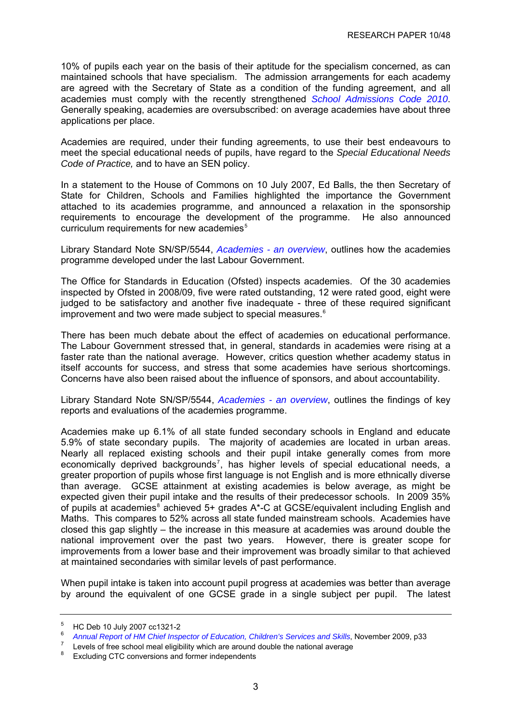<span id="page-6-0"></span>10% of pupils each year on the basis of their aptitude for the specialism concerned, as can maintained schools that have specialism. The admission arrangements for each academy are agreed with the Secretary of State as a condition of the funding agreement, and all academies must comply with the recently strengthened *[School Admissions Code 2010](http://www.dfes.gov.uk/sacode/)*. Generally speaking, academies are oversubscribed: on average academies have about three applications per place.

Academies are required, under their funding agreements, to use their best endeavours to meet the special educational needs of pupils, have regard to the *Special Educational Needs Code of Practice,* and to have an SEN policy.

In a statement to the House of Commons on 10 July 2007, Ed Balls, the then Secretary of State for Children, Schools and Families highlighted the importance the Government attached to its academies programme, and announced a relaxation in the sponsorship requirements to encourage the development of the programme. He also announced curriculum requirements for new academies<sup>[5](#page-6-0)</sup>

Library Standard Note [SN/SP/5544](http://pims.parliament.uk:81/PIMS/Static%20Files/Extended%20File%20Scan%20Files/LIBRARY_OTHER_PAPERS/STANDARD_NOTE/snsp-05544.pdf), *[Academies - an overview](http://pims.parliament.uk:81/PIMS/Static%20Files/Extended%20File%20Scan%20Files/LIBRARY_OTHER_PAPERS/STANDARD_NOTE/snsp-05544.pdf)*, outlines how the academies programme developed under the last Labour Government.

The Office for Standards in Education (Ofsted) inspects academies. Of the 30 academies inspected by Ofsted in 2008/09, five were rated outstanding, 12 were rated good, eight were judged to be satisfactory and another five inadequate - three of these required significant improvement and two were made subject to special measures. $6$ 

There has been much debate about the effect of academies on educational performance. The Labour Government stressed that, in general, standards in academies were rising at a faster rate than the national average. However, critics question whether academy status in itself accounts for success, and stress that some academies have serious shortcomings. Concerns have also been raised about the influence of sponsors, and about accountability.

Library Standard Note [SN/SP/5544](http://pims.parliament.uk:81/PIMS/Static%20Files/Extended%20File%20Scan%20Files/LIBRARY_OTHER_PAPERS/STANDARD_NOTE/snsp-05544.pdf), *[Academies - an overview](http://pims.parliament.uk:81/PIMS/Static%20Files/Extended%20File%20Scan%20Files/LIBRARY_OTHER_PAPERS/STANDARD_NOTE/snsp-05544.pdf)*, outlines the findings of key reports and evaluations of the academies programme.

Academies make up 6.1% of all state funded secondary schools in England and educate 5.9% of state secondary pupils. The majority of academies are located in urban areas. Nearly all replaced existing schools and their pupil intake generally comes from more economically deprived backgrounds<sup>[7](#page-6-0)</sup>, has higher levels of special educational needs, a greater proportion of pupils whose first language is not English and is more ethnically diverse than average. GCSE attainment at existing academies is below average, as might be expected given their pupil intake and the results of their predecessor schools. In 2009 35% of pupils at academies<sup>[8](#page-6-0)</sup> achieved 5+ grades A\*-C at GCSE/equivalent including English and Maths. This compares to 52% across all state funded mainstream schools. Academies have closed this gap slightly – the increase in this measure at academies was around double the national improvement over the past two years. However, there is greater scope for improvements from a lower base and their improvement was broadly similar to that achieved at maintained secondaries with similar levels of past performance.

When pupil intake is taken into account pupil progress at academies was better than average by around the equivalent of one GCSE grade in a single subject per pupil. The latest

<sup>5</sup> HC Deb 10 July 2007 cc1321-2

<sup>6</sup> *Annual Report of HM Chief Inspector of Education[,](http://www.ofsted.gov.uk/Ofsted-home/Publications-and-research/Browse-all-by/Annual-Report/2008-09/The-Annual-Report-of-Her-Majesty-s-Chief-Inspector-of-Education-Children-s-Services-and-Skills-2008-09) Children's Services and Skills, November 2009, p33* 

Levels of free school meal eligibility which are around double the national average  $\frac{8}{2}$  Evoluting CTC conversions and fermer independents

Excluding CTC conversions and former independents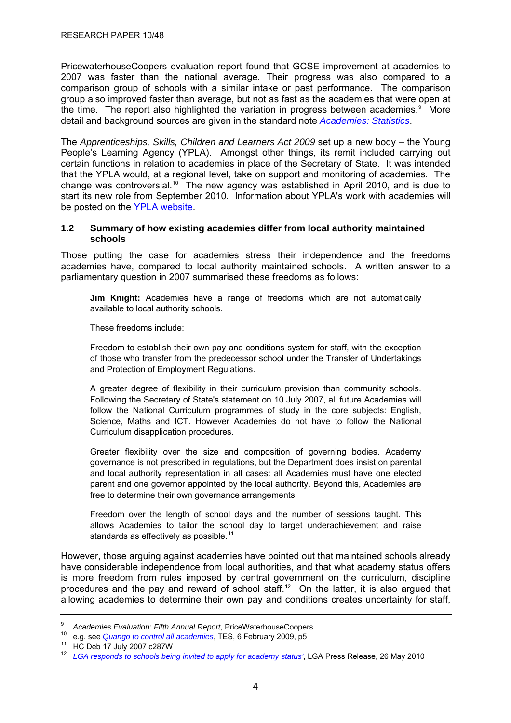<span id="page-7-0"></span>PricewaterhouseCoopers evaluation report found that GCSE improvement at academies to 2007 was faster than the national average. Their progress was also compared to a comparison group of schools with a similar intake or past performance. The comparison group also improved faster than average, but not as fast as the academies that were open at the time. The report also highlighted the variation in progress between academies. $9$  More detail and background sources are given in the standard note *[Academies: Statistics](http://www.parliament.uk/briefingpapers/commons/lib/research/briefings/snsg-04719.pdf)*.

The *Apprenticeships, Skills, Children and Learners Act 2009* set up a new body – the Young People's Learning Agency (YPLA). Amongst other things, its remit included carrying out certain functions in relation to academies in place of the Secretary of State. It was intended that the YPLA would, at a regional level, take on support and monitoring of academies. The change was controversial.<sup>[10](#page-7-0)</sup> The new agency was established in April 2010, and is due to start its new role from September 2010. Information about YPLA's work with academies will be posted on the [YPLA website](http://www.ypla.gov.uk/).

#### **1.2 Summary of how existing academies differ from local authority maintained schools**

Those putting the case for academies stress their independence and the freedoms academies have, compared to local authority maintained schools. A written answer to a parliamentary question in 2007 summarised these freedoms as follows:

**Jim Knight:** Academies have a range of freedoms which are not automatically available to local authority schools.

These freedoms include:

Freedom to establish their own pay and conditions system for staff, with the exception of those who transfer from the predecessor school under the Transfer of Undertakings and Protection of Employment Regulations.

A greater degree of flexibility in their curriculum provision than community schools. Following the Secretary of State's statement on 10 July 2007, all future Academies will follow the National Curriculum programmes of study in the core subjects: English, Science, Maths and ICT. However Academies do not have to follow the National Curriculum disapplication procedures.

Greater flexibility over the size and composition of governing bodies. Academy governance is not prescribed in regulations, but the Department does insist on parental and local authority representation in all cases: all Academies must have one elected parent and one governor appointed by the local authority. Beyond this, Academies are free to determine their own governance arrangements.

Freedom over the length of school days and the number of sessions taught. This allows Academies to tailor the school day to target underachievement and raise standards as effectively as possible.<sup>[11](#page-7-0)</sup>

However, those arguing against academies have pointed out that maintained schools already have considerable independence from local authorities, and that what academy status offers is more freedom from rules imposed by central government on the curriculum, discipline procedures and the pay and reward of school staff.<sup>[12](#page-7-0)</sup> On the latter, it is also argued that allowing academies to determine their own pay and conditions creates uncertainty for staff,

<sup>9</sup>

<sup>&</sup>lt;sup>9</sup> Academies Evaluation: Fifth Annual Report[,](http://www.tes.co.uk/article.aspx?storycode=6008297) PriceWaterhouseCoopers<br><sup>10</sup> e.g. see *Quango to control all academies*, TES, 6 February 2009, p5<br><sup>11</sup> HC Deb 17 July 2007 c287W

<sup>12</sup> *[LGA responds to schools being invited to apply for academy status'](http://www.lga.gov.uk/lga/core/page.do?pageId=11458747)*, LGA Press Release, 26 May 2010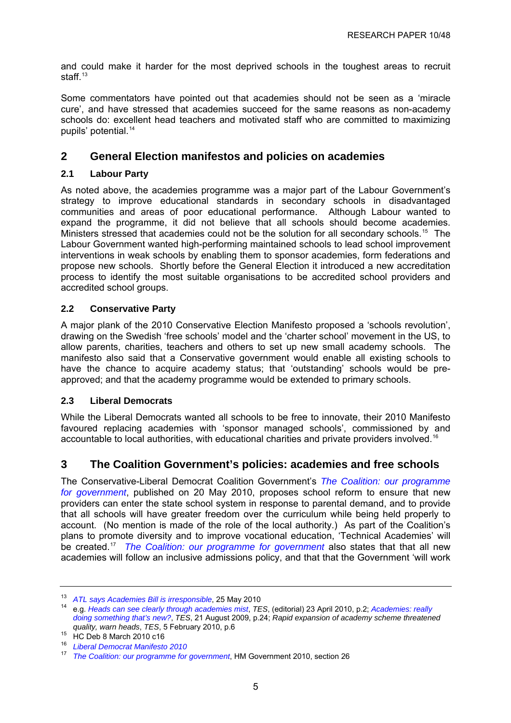<span id="page-8-0"></span>and could make it harder for the most deprived schools in the toughest areas to recruit staff $13$ 

Some commentators have pointed out that academies should not be seen as a 'miracle cure', and have stressed that academies succeed for the same reasons as non-academy schools do: excellent head teachers and motivated staff who are committed to maximizing pupils' potential.<sup>[14](#page-8-0)</sup>

# **2 General Election manifestos and policies on academies**

## **2.1 Labour Party**

As noted above, the academies programme was a major part of the Labour Government's strategy to improve educational standards in secondary schools in disadvantaged communities and areas of poor educational performance. Although Labour wanted to expand the programme, it did not believe that all schools should become academies. Ministers stressed that academies could not be the solution for all secondary schools.<sup>[15](#page-8-0)</sup> The Labour Government wanted high-performing maintained schools to lead school improvement interventions in weak schools by enabling them to sponsor academies, form federations and propose new schools. Shortly before the General Election it introduced a new accreditation process to identify the most suitable organisations to be accredited school providers and accredited school groups.

## **2.2 Conservative Party**

A major plank of the 2010 Conservative Election Manifesto proposed a 'schools revolution', drawing on the Swedish 'free schools' model and the 'charter school' movement in the US, to allow parents, charities, teachers and others to set up new small academy schools. The manifesto also said that a Conservative government would enable all existing schools to have the chance to acquire academy status; that 'outstanding' schools would be preapproved; and that the academy programme would be extended to primary schools.

## **2.3 Liberal Democrats**

While the Liberal Democrats wanted all schools to be free to innovate, their 2010 Manifesto favoured replacing academies with 'sponsor managed schools', commissioned by and accountable to local authorities, with educational charities and private providers involved.<sup>[16](#page-8-0)</sup>

# **3 The Coalition Government's policies: academies and free schools**

The Conservative-Liberal Democrat Coalition Government's *[The Coalition: our programme](http://www.cabinetoffice.gov.uk/media/409088/pfg_coalition.pdf)  [for government](http://www.cabinetoffice.gov.uk/media/409088/pfg_coalition.pdf)*, published on 20 May 2010, proposes school reform to ensure that new providers can enter the state school system in response to parental demand, and to provide that all schools will have greater freedom over the curriculum while being held properly to account. (No mention is made of the role of the local authority.) As part of the Coalition's plans to promote diversity and to improve vocational education, 'Technical Academies' will be created.[17](#page-8-0) *[The Coalition: our programme for government](http://www.cabinetoffice.gov.uk/media/409088/pfg_coalition.pdf)* also states that that all new academies will follow an inclusive admissions policy, and that that the Government 'will work

<sup>&</sup>lt;sup>13</sup> ATL says Academies Bill is irresponsible[,](http://www.atl.org.uk/media-office/media-archive/ATL-says-Academies-Bill-is-irresponsible.asp) 25 May 2010<br><sup>14</sup> e.g. *Heads can see clearly through academies mist*, *TES*, (editorial) 23 April 2010, p.2; *Academies: really [doing something that's new?](http://www.tes.co.uk/article.aspx?storycode=6020978)*, *TES*, 21 August 2009, p.24; *Rapid expansion of academy scheme threatened* 

*duality, warm heads*, <sup>15</sup> HC Deb 8 March 2010 c16

<sup>16</sup> *[Liberal Democrat Manifesto 2010](http://network.libdems.org.uk/manifesto2010/libdem_manifesto_2010.pdf)*

<sup>17</sup> *[The Coalition: our programme for government](http://www.cabinetoffice.gov.uk/media/409088/pfg_coalition.pdf)*, HM Government 2010, section 26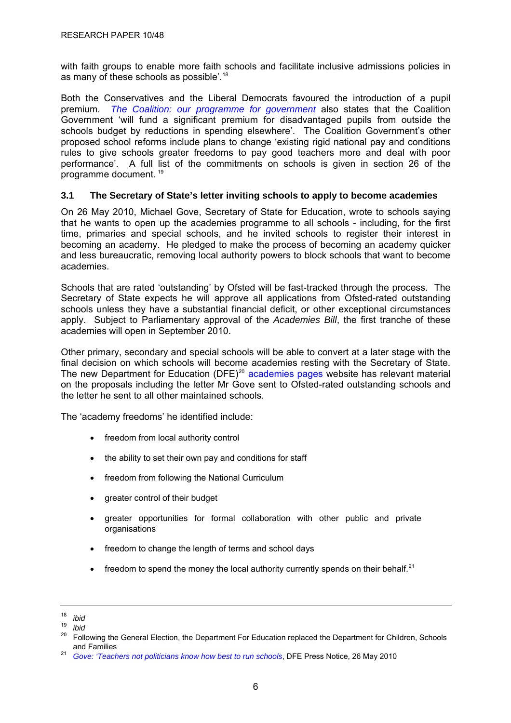<span id="page-9-0"></span>with faith groups to enable more faith schools and facilitate inclusive admissions policies in as many of these schools as possible'.[18](#page-9-0)

Both the Conservatives and the Liberal Democrats favoured the introduction of a pupil premium. *[The Coalition: our programme for government](http://www.cabinetoffice.gov.uk/media/409088/pfg_coalition.pdf)* also states that the Coalition Government 'will fund a significant premium for disadvantaged pupils from outside the schools budget by reductions in spending elsewhere'. The Coalition Government's other proposed school reforms include plans to change 'existing rigid national pay and conditions rules to give schools greater freedoms to pay good teachers more and deal with poor performance'. A full list of the commitments on schools is given in section 26 of the programme document. [19](#page-9-0)

#### **3.1 The Secretary of State's letter inviting schools to apply to become academies**

On 26 May 2010, Michael Gove, Secretary of State for Education, wrote to schools saying that he wants to open up the academies programme to all schools - including, for the first time, primaries and special schools, and he invited schools to register their interest in becoming an academy. He pledged to make the process of becoming an academy quicker and less bureaucratic, removing local authority powers to block schools that want to become academies.

Schools that are rated 'outstanding' by Ofsted will be fast-tracked through the process. The Secretary of State expects he will approve all applications from Ofsted-rated outstanding schools unless they have a substantial financial deficit, or other exceptional circumstances apply. Subject to Parliamentary approval of the *Academies Bill*, the first tranche of these academies will open in September 2010.

Other primary, secondary and special schools will be able to convert at a later stage with the final decision on which schools will become academies resting with the Secretary of State. The new Department for Education (DFE)<sup>[20](#page-9-0)</sup> [academies pages](http://www.education.gov.uk/academies) website has relevant material on the proposals including the letter Mr Gove sent to Ofsted-rated outstanding schools and the letter he sent to all other maintained schools.

The 'academy freedoms' he identified include:

- freedom from local authority control
- the ability to set their own pay and conditions for staff
- freedom from following the National Curriculum
- greater control of their budget
- greater opportunities for formal collaboration with other public and private organisations
- freedom to change the length of terms and school days
- freedom to spend the money the local authority currently spends on their behalf.<sup>[21](#page-9-0)</sup>

 $18$  *ibid*<br> $19$  *ibid* 

 $\frac{19}{20}$  *ibid* 

Following the General Election, the Department For Education replaced the Department for Children, Schools and Families

<sup>&</sup>lt;sup>21</sup> *[Gove: 'Teachers not politicians know how best to run schools](http://www.education.gov.uk/news/press-notices-new/academiesannouncement)*, DFE Press Notice, 26 May 2010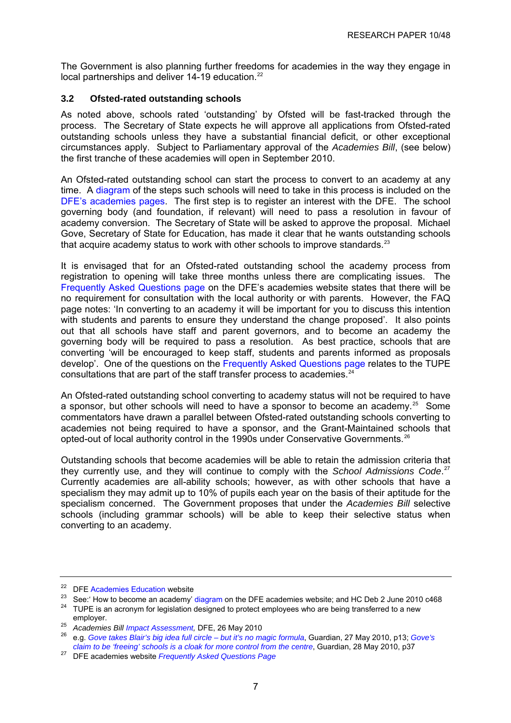<span id="page-10-0"></span>The Government is also planning further freedoms for academies in the way they engage in local partnerships and deliver 14-19 education.<sup>[22](#page-10-0)</sup>

## **3.2 Ofsted-rated outstanding schools**

As noted above, schools rated 'outstanding' by Ofsted will be fast-tracked through the process. The Secretary of State expects he will approve all applications from Ofsted-rated outstanding schools unless they have a substantial financial deficit, or other exceptional circumstances apply. Subject to Parliamentary approval of the *Academies Bill*, (see below) the first tranche of these academies will open in September 2010.

An Ofsted-rated outstanding school can start the process to convert to an academy at any time. A [diagram](http://www.education.gov.uk/academies/becomeanacademy) of the steps such schools will need to take in this process is included on the [DFE's academies pages](http://www.education.gov.uk/academies). The first step is to register an interest with the DFE. The school governing body (and foundation, if relevant) will need to pass a resolution in favour of academy conversion. The Secretary of State will be asked to approve the proposal. Michael Gove, Secretary of State for Education, has made it clear that he wants outstanding schools that acquire academy status to work with other schools to improve standards.<sup>[23](#page-10-0)</sup>

It is envisaged that for an Ofsted-rated outstanding school the academy process from registration to opening will take three months unless there are complicating issues. The [Frequently Asked Questions page](http://www.education.gov.uk/academies/faqs) on the DFE's academies website states that there will be no requirement for consultation with the local authority or with parents. However, the FAQ page notes: 'In converting to an academy it will be important for you to discuss this intention with students and parents to ensure they understand the change proposed'. It also points out that all schools have staff and parent governors, and to become an academy the governing body will be required to pass a resolution. As best practice, schools that are converting 'will be encouraged to keep staff, students and parents informed as proposals develop'. One of the questions on the [Frequently Asked Questions page](http://www.education.gov.uk/academies/faqs) relates to the TUPE consultations that are part of the staff transfer process to academies.<sup>[24](#page-10-0)</sup>

An Ofsted-rated outstanding school converting to academy status will not be required to have a sponsor, but other schools will need to have a sponsor to become an academy.<sup>[25](#page-10-0)</sup> Some commentators have drawn a parallel between Ofsted-rated outstanding schools converting to academies not being required to have a sponsor, and the Grant-Maintained schools that opted-out of local authority control in the 1990s under Conservative Governments.[26](#page-10-0)

Outstanding schools that become academies will be able to retain the admission criteria that they currently use, and they will continue to comply with the *School Admissions Code*. [27](#page-10-0) Currently academies are all-ability schools; however, as with other schools that have a specialism they may admit up to 10% of pupils each year on the basis of their aptitude for the specialism concerned. The Government proposes that under the *Academies Bill* selective schools (including grammar schools) will be able to keep their selective status when converting to an academy.

<sup>&</sup>lt;sup>22</sup> DFE [Academies Education](http://www.education.gov.uk/academies) website<br><sup>23</sup> See:' How to become an academy' [diagram](http://www.education.gov.uk/academies/becomeanacademy) on the DFE academies website; and HC Deb 2 June 2010 c468<br><sup>24</sup> TUPE is an acronym for legislation designed to protect employees who are bei

employer. 25 *Academies Bill Impact Assessment,* DFE, 26 May 2010 26 e.g. *[Gove takes Blair's big idea full circle – but it's no magic formula](http://www.guardian.co.uk/education/2010/may/28/academies-education-analysis)*, Guardian, 27 May 2010, p13; *[Gove's](http://www.guardian.co.uk/commentisfree/2010/may/27/michael-gove-free-schools-admissions-policy)  claim to be 'freeing' schools is a cloak for more control from the centre*, Guardian, 28 May 2010, p37 27 DFE academies website *Frequently Asked Questions Page*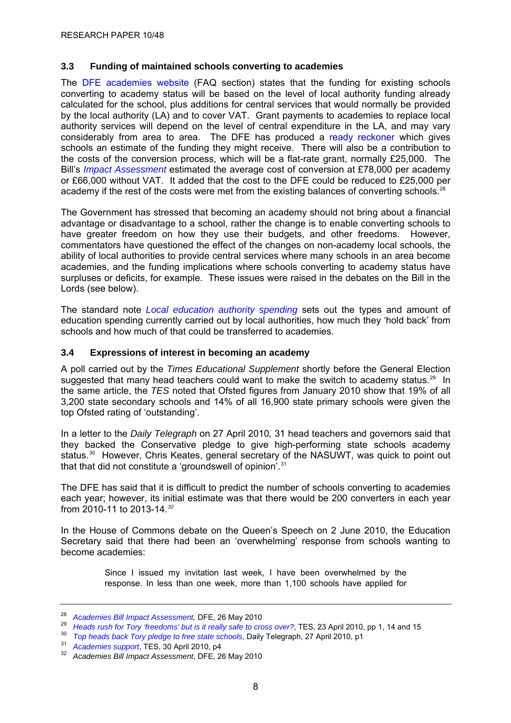## <span id="page-11-0"></span>**3.3 Funding of maintained schools converting to academies**

The [DFE academies website](http://www.education.gov.uk/academies/faqs#fi2) (FAQ section) states that the funding for existing schools converting to academy status will be based on the level of local authority funding already calculated for the school, plus additions for central services that would normally be provided by the local authority (LA) and to cover VAT. Grant payments to academies to replace local authority services will depend on the level of central expenditure in the LA, and may vary considerably from area to area. The DFE has produced a [ready reckoner](http://www.education.gov.uk/academies/%7E/media/Files/lacuna/academies/AcademyFundingReadyReckoner.ashx) which gives schools an estimate of the funding they might receive. There will also be a contribution to the costs of the conversion process, which will be a flat-rate grant, normally £25,000. The Bill's *[Impact Assessment](http://www.education.gov.uk/academies/academiesbill)* estimated the average cost of conversion at £78,000 per academy or £66,000 without VAT. It added that the cost to the DFE could be reduced to £25,000 per academy if the rest of the costs were met from the existing balances of converting schools.<sup>[28](#page-11-0)</sup>

The Government has stressed that becoming an academy should not bring about a financial advantage or disadvantage to a school, rather the change is to enable converting schools to have greater freedom on how they use their budgets, and other freedoms. However, commentators have questioned the effect of the changes on non-academy local schools, the ability of local authorities to provide central services where many schools in an area become academies, and the funding implications where schools converting to academy status have surpluses or deficits, for example. These issues were raised in the debates on the Bill in the Lords (see below).

The standard note *[Local education authority spending](http://www.parliament.uk/briefingpapers/commons/lib/research/briefings/snsg-05640.pdf)* sets out the types and amount of education spending currently carried out by local authorities, how much they 'hold back' from schools and how much of that could be transferred to academies.

#### **3.4 Expressions of interest in becoming an academy**

A poll carried out by the *Times Educational Supplement* shortly before the General Election suggested that many head teachers could want to make the switch to academy status.<sup>[29](#page-11-0)</sup> In the same article, the *TES* noted that Ofsted figures from January 2010 show that 19% of all 3,200 state secondary schools and 14% of all 16,900 state primary schools were given the top Ofsted rating of 'outstanding'.

In a letter to the *Daily Telegraph* on 27 April 2010*,* 31 head teachers and governors said that they backed the Conservative pledge to give high-performing state schools academy status.<sup>[30](#page-11-0)</sup> However, Chris Keates, general secretary of the NASUWT, was quick to point out that that did not constitute a 'groundswell of opinion'.<sup>31</sup>

The DFE has said that it is difficult to predict the number of schools converting to academies each year; however, its initial estimate was that there would be 200 converters in each year from 2010-11 to 2013-14.*[32](#page-11-0)*

In the House of Commons debate on the Queen's Speech on 2 June 2010, the Education Secretary said that there had been an 'overwhelming' response from schools wanting to become academies:

> Since I issued my invitation last week, I have been overwhelmed by the response. In less than one week, more than 1,100 schools have applied for

<sup>&</sup>lt;sup>28</sup> Academies Bill Impact Assessment, DFE, 26 May 2010<br>
<sup>29</sup> Heads rush for Tory 'freedoms' but is it really safe to cross over?, TES, 23 April 2010, pp 1, 14 and 15<br>
<sup>30</sup> Top heads back Tory pledge to free state schools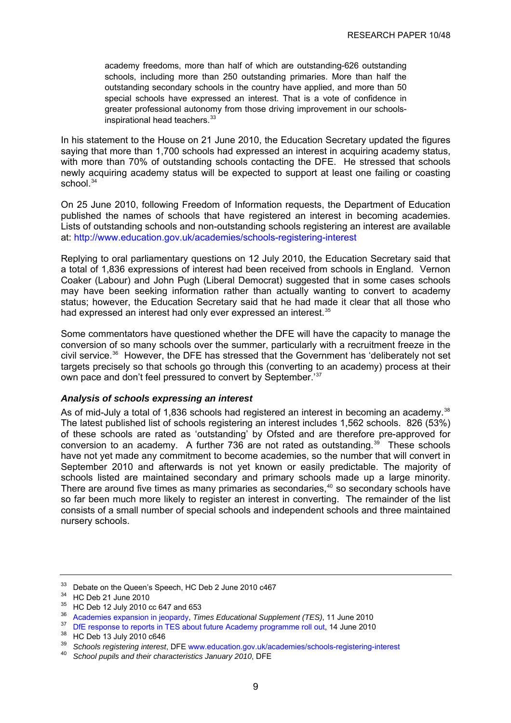<span id="page-12-0"></span>academy freedoms, more than half of which are outstanding-626 outstanding schools, including more than 250 outstanding primaries. More than half the outstanding secondary schools in the country have applied, and more than 50 special schools have expressed an interest. That is a vote of confidence in greater professional autonomy from those driving improvement in our schools-inspirational head teachers.<sup>[33](#page-12-0)</sup>

In his statement to the House on 21 June 2010, the Education Secretary updated the figures saying that more than 1,700 schools had expressed an interest in acquiring academy status, with more than 70% of outstanding schools contacting the DFE. He stressed that schools newly acquiring academy status will be expected to support at least one failing or coasting school.<sup>[34](#page-12-0)</sup>

On 25 June 2010, following Freedom of Information requests, the Department of Education published the names of schools that have registered an interest in becoming academies. Lists of outstanding schools and non-outstanding schools registering an interest are available at:<http://www.education.gov.uk/academies/schools-registering-interest>

Replying to oral parliamentary questions on 12 July 2010, the Education Secretary said that a total of 1,836 expressions of interest had been received from schools in England. Vernon Coaker (Labour) and John Pugh (Liberal Democrat) suggested that in some cases schools may have been seeking information rather than actually wanting to convert to academy status; however, the Education Secretary said that he had made it clear that all those who had expressed an interest had only ever expressed an interest.<sup>[35](#page-12-0)</sup>

Some commentators have questioned whether the DFE will have the capacity to manage the conversion of so many schools over the summer, particularly with a recruitment freeze in the civil service.[36](#page-12-0) However, the DFE has stressed that the Government has 'deliberately not set targets precisely so that schools go through this (converting to an academy) process at their own pace and don't feel pressured to convert by September.'[37](#page-12-0)

## *Analysis of schools expressing an interest*

As of mid-July a total of 1,836 schools had registered an interest in becoming an academy.<sup>[38](#page-12-0)</sup> The latest published list of schools registering an interest includes 1,562 schools. 826 (53%) of these schools are rated as 'outstanding' by Ofsted and are therefore pre-approved for conversion to an academy. A further 736 are not rated as outstanding.<sup>[39](#page-12-0)</sup> These schools have not yet made any commitment to become academies, so the number that will convert in September 2010 and afterwards is not yet known or easily predictable. The majority of schools listed are maintained secondary and primary schools made up a large minority. There are around five times as many primaries as secondaries,<sup>[40](#page-12-0)</sup> so secondary schools have so far been much more likely to register an interest in converting. The remainder of the list consists of a small number of special schools and independent schools and three maintained nursery schools.

<sup>&</sup>lt;sup>33</sup> Debate on the Queen's Speech, HC Deb 2 June 2010 c467

<sup>34</sup> HC Deb 21 June 2010

<sup>&</sup>lt;sup>35</sup> HC Deb 12 July 2010 cc 647 and 653

<sup>&</sup>lt;sup>36</sup> [Academies expansion in jeopardy,](http://www.tes.co.uk/article.aspx?storycode=6047277) *Times Educational Supplement (TES)*, 11 June 2010<br><sup>37</sup> [DfE response to reports in TES about future Academy programme roll out](http://www.education.gov.uk/news/news/dfe-response-tes), 14 June 2010<br><sup>38</sup> HC Deb 13 July 2010 c646<br><sup>39</sup> Cebesis

<sup>39</sup> *Schools registering interest*, DFE [www.education.gov.uk/academies/schools-registering-interest](http://www.education.gov.uk/academies/schools-registering-interest) 40 *School pupils and their characteristics January 2010*, DFE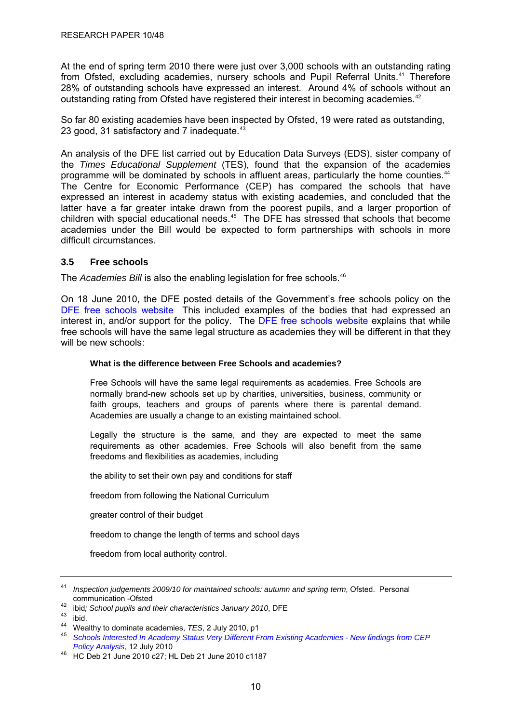<span id="page-13-0"></span>At the end of spring term 2010 there were just over 3,000 schools with an outstanding rating from Ofsted, excluding academies, nursery schools and Pupil Referral Units.<sup>[41](#page-13-0)</sup> Therefore 28% of outstanding schools have expressed an interest. Around 4% of schools without an outstanding rating from Ofsted have registered their interest in becoming academies.<sup>[42](#page-13-0)</sup>

So far 80 existing academies have been inspected by Ofsted, 19 were rated as outstanding, 23 good, 31 satisfactory and 7 inadequate.<sup>[43](#page-13-0)</sup>

An analysis of the DFE list carried out by Education Data Surveys (EDS), sister company of the *Times Educational Supplement* (TES), found that the expansion of the academies programme will be dominated by schools in affluent areas, particularly the home counties.<sup>[44](#page-13-0)</sup> The Centre for Economic Performance (CEP) has compared the schools that have expressed an interest in academy status with existing academies, and concluded that the latter have a far greater intake drawn from the poorest pupils, and a larger proportion of children with special educational needs.<sup>[45](#page-13-0)</sup> The DFE has stressed that schools that become academies under the Bill would be expected to form partnerships with schools in more difficult circumstances.

## **3.5 Free schools**

The *Academies Bill* is also the enabling legislation for free schools.<sup>[46](#page-13-0)</sup>

On 18 June 2010, the DFE posted details of the Government's free schools policy on the [DFE free schools website](http://www.education.gov.uk/freeschools) This included examples of the bodies that had expressed an interest in, and/or support for the policy. The [DFE free schools website](http://www.education.gov.uk/freeschools) explains that while free schools will have the same legal structure as academies they will be different in that they will be new schools:

#### **What is the difference between Free Schools and academies?**

Free Schools will have the same legal requirements as academies. Free Schools are normally brand-new schools set up by charities, universities, business, community or faith groups, teachers and groups of parents where there is parental demand. Academies are usually a change to an existing maintained school.

Legally the structure is the same, and they are expected to meet the same requirements as other academies. Free Schools will also benefit from the same freedoms and flexibilities as academies, including

the ability to set their own pay and conditions for staff

freedom from following the National Curriculum

greater control of their budget

freedom to change the length of terms and school days

freedom from local authority control.

<sup>41</sup> *Inspection judgements 2009/10 for maintained schools: autumn and spring term*, Ofsted. Personal

<sup>&</sup>lt;sup>42</sup> ibid; School pupils and their characteristics January 2010, DFE<br><sup>43</sup> ibid.<br><sup>44</sup> Wealthy to dominate academies, *TES*, 2 July 2010, p1

<sup>45</sup> Schools Interested In Academy Status Very Different From Existing Academies - New findings from CEP<br>Policy Analysis, 12 July 2010

*Policy Analysis*, 12 July 2010 46 HC Deb 21 June 2010 c27; HL Deb 21 June 2010 c1187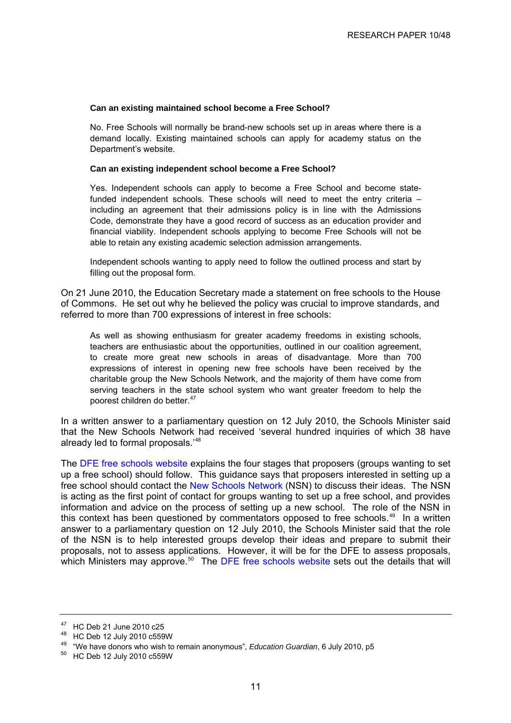#### <span id="page-14-0"></span>**Can an existing maintained school become a Free School?**

No. Free Schools will normally be brand-new schools set up in areas where there is a demand locally. Existing maintained schools can apply for academy status on the [Department's website](http://www.education.gov.uk/academies).

#### **Can an existing independent school become a Free School?**

Yes. Independent schools can apply to become a Free School and become statefunded independent schools. These schools will need to meet the entry criteria – including an agreement that their admissions policy is in line with the Admissions Code, demonstrate they have a good record of success as an education provider and financial viability. Independent schools applying to become Free Schools will not be able to retain any existing academic selection admission arrangements.

Independent schools wanting to apply need to follow the outlined process and start by filling out the proposal form.

On 21 June 2010, the Education Secretary made a statement on free schools to the House of Commons. He set out why he believed the policy was crucial to improve standards, and referred to more than 700 expressions of interest in free schools:

As well as showing enthusiasm for greater academy freedoms in existing schools, teachers are enthusiastic about the opportunities, outlined in our coalition agreement, to create more great new schools in areas of disadvantage. More than 700 expressions of interest in opening new free schools have been received by the charitable group the New Schools Network, and the majority of them have come from serving teachers in the state school system who want greater freedom to help the poorest children do better.<sup>[47](#page-14-0)</sup>

In a written answer to a parliamentary question on 12 July 2010, the Schools Minister said that the New Schools Network had received 'several hundred inquiries of which 38 have already led to formal proposals.'[48](#page-14-0)

The [DFE free schools website](http://www.education.gov.uk/freeschools) explains the four stages that proposers (groups wanting to set up a free school) should follow. This guidance says that proposers interested in setting up a free school should contact the [New Schools Network](http://newschoolsnetwork.org/get-involved/register) (NSN) to discuss their ideas. The NSN is acting as the first point of contact for groups wanting to set up a free school, and provides information and advice on the process of setting up a new school. The role of the NSN in this context has been questioned by commentators opposed to free schools.<sup>[49](#page-14-0)</sup> In a written answer to a parliamentary question on 12 July 2010, the Schools Minister said that the role of the NSN is to help interested groups develop their ideas and prepare to submit their proposals, not to assess applications. However, it will be for the DFE to assess proposals, which Ministers may approve.<sup>[50](#page-14-0)</sup> The [DFE free schools website](http://www.education.gov.uk/freeschools) sets out the details that will

<sup>47</sup> HC Deb 21 June 2010 c25

<sup>48</sup> HC Deb 12 July 2010 c559W

<sup>49 &</sup>quot;We have donors who wish to remain anonymous", *Education Guardian*, 6 July 2010, p5 50 HC Deb 12 July 2010 c559W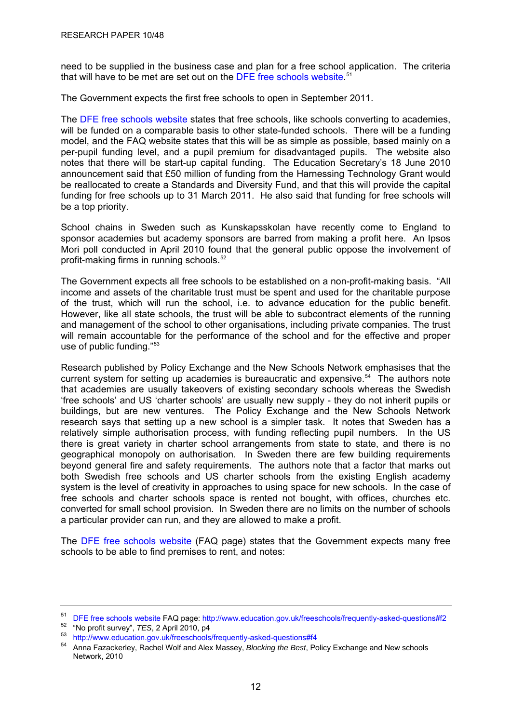<span id="page-15-0"></span>need to be supplied in the business case and plan for a free school application. The criteria that will have to be met are set out on the [DFE free schools website.](http://www.education.gov.uk/freeschools) [51](#page-15-0)

The Government expects the first free schools to open in September 2011.

The [DFE free schools website](http://www.education.gov.uk/freeschools) states that free schools, like schools converting to academies, will be funded on a comparable basis to other state-funded schools. There will be a funding model, and the FAQ website states that this will be as simple as possible, based mainly on a per-pupil funding level, and a pupil premium for disadvantaged pupils. The website also notes that there will be start-up capital funding. The Education Secretary's 18 June 2010 announcement said that £50 million of funding from the Harnessing Technology Grant would be reallocated to create a Standards and Diversity Fund, and that this will provide the capital funding for free schools up to 31 March 2011. He also said that funding for free schools will be a top priority.

School chains in Sweden such as Kunskapsskolan have recently come to England to sponsor academies but academy sponsors are barred from making a profit here. An Ipsos Mori poll conducted in April 2010 found that the general public oppose the involvement of profit-making firms in running schools.<sup>[52](#page-15-0)</sup>

The Government expects all free schools to be established on a non-profit-making basis. "All income and assets of the charitable trust must be spent and used for the charitable purpose of the trust, which will run the school, i.e. to advance education for the public benefit. However, like all state schools, the trust will be able to subcontract elements of the running and management of the school to other organisations, including private companies. The trust will remain accountable for the performance of the school and for the effective and proper use of public funding."[53](#page-15-0)

Research published by Policy Exchange and the New Schools Network emphasises that the current system for setting up academies is bureaucratic and expensive.<sup>[54](#page-15-0)</sup> The authors note that academies are usually takeovers of existing secondary schools whereas the Swedish 'free schools' and US 'charter schools' are usually new supply - they do not inherit pupils or buildings, but are new ventures. The Policy Exchange and the New Schools Network research says that setting up a new school is a simpler task. It notes that Sweden has a relatively simple authorisation process, with funding reflecting pupil numbers. In the US there is great variety in charter school arrangements from state to state, and there is no geographical monopoly on authorisation. In Sweden there are few building requirements beyond general fire and safety requirements. The authors note that a factor that marks out both Swedish free schools and US charter schools from the existing English academy system is the level of creativity in approaches to using space for new schools. In the case of free schools and charter schools space is rented not bought, with offices, churches etc. converted for small school provision. In Sweden there are no limits on the number of schools a particular provider can run, and they are allowed to make a profit.

The [DFE free schools website](http://www.education.gov.uk/freeschools) (FAQ page) states that the Government expects many free schools to be able to find premises to rent, and notes:

<sup>&</sup>lt;sup>51</sup> [DFE free schools website](http://www.education.gov.uk/freeschools) FAQ page: <http://www.education.gov.uk/freeschools/frequently-asked-questions#f2><br><sup>52</sup> "No profit survey", *TES*, 2 April 2010, p4

<sup>53</sup> <http://www.education.gov.uk/freeschools/frequently-asked-questions#f4>

<sup>54</sup> Anna Fazackerley, Rachel Wolf and Alex Massey, *Blocking the Best*, Policy Exchange and New schools Network, 2010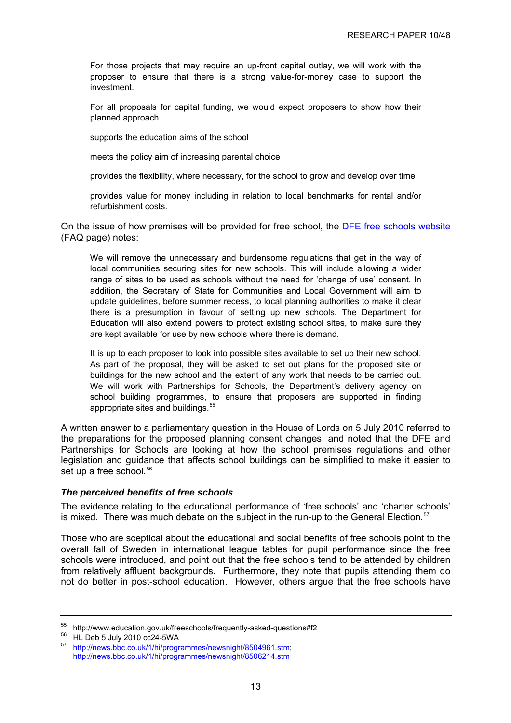<span id="page-16-0"></span>For those projects that may require an up-front capital outlay, we will work with the proposer to ensure that there is a strong value-for-money case to support the investment.

For all proposals for capital funding, we would expect proposers to show how their planned approach

supports the education aims of the school

meets the policy aim of increasing parental choice

provides the flexibility, where necessary, for the school to grow and develop over time

provides value for money including in relation to local benchmarks for rental and/or refurbishment costs.

On the issue of how premises will be provided for free school, the [DFE free schools website](http://www.education.gov.uk/freeschools) (FAQ page) notes:

We will remove the unnecessary and burdensome regulations that get in the way of local communities securing sites for new schools. This will include allowing a wider range of sites to be used as schools without the need for 'change of use' consent. In addition, the Secretary of State for Communities and Local Government will aim to update guidelines, before summer recess, to local planning authorities to make it clear there is a presumption in favour of setting up new schools. The Department for Education will also extend powers to protect existing school sites, to make sure they are kept available for use by new schools where there is demand.

It is up to each proposer to look into possible sites available to set up their new school. As part of the proposal, they will be asked to set out plans for the proposed site or buildings for the new school and the extent of any work that needs to be carried out. We will work with Partnerships for Schools, the Department's delivery agency on school building programmes, to ensure that proposers are supported in finding appropriate sites and buildings.<sup>[55](#page-16-0)</sup>

A written answer to a parliamentary question in the House of Lords on 5 July 2010 referred to the preparations for the proposed planning consent changes, and noted that the DFE and Partnerships for Schools are looking at how the school premises regulations and other legislation and guidance that affects school buildings can be simplified to make it easier to set up a free school.<sup>56</sup>

## *The perceived benefits of free schools*

The evidence relating to the educational performance of 'free schools' and 'charter schools' is mixed. There was much debate on the subject in the run-up to the General Election.<sup>[57](#page-16-0)</sup>

Those who are sceptical about the educational and social benefits of free schools point to the overall fall of Sweden in international league tables for pupil performance since the free schools were introduced, and point out that the free schools tend to be attended by children from relatively affluent backgrounds. Furthermore, they note that pupils attending them do not do better in post-school education. However, others argue that the free schools have

<sup>55</sup> http://www.education.gov.uk/freeschools/frequently-asked-questions#f2

 $^{56}$  HL Deb 5 July 2010 cc24-5WA

<sup>57</sup> <http://news.bbc.co.uk/1/hi/programmes/newsnight/8504961.stm>; <http://news.bbc.co.uk/1/hi/programmes/newsnight/8506214.stm>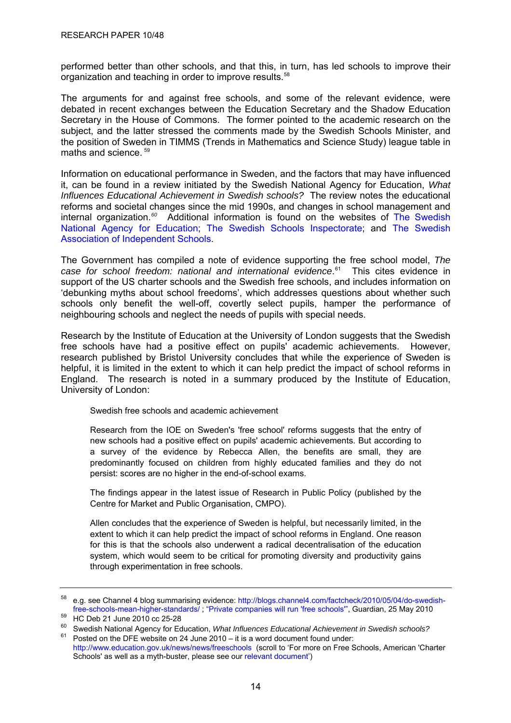<span id="page-17-0"></span>performed better than other schools, and that this, in turn, has led schools to improve their organization and teaching in order to improve results.<sup>[58](#page-17-0)</sup>

The arguments for and against free schools, and some of the relevant evidence, were debated in recent exchanges between the Education Secretary and the Shadow Education Secretary in the House of Commons. The former pointed to the academic research on the subject, and the latter stressed the comments made by the Swedish Schools Minister, and the position of Sweden in TIMMS (Trends in Mathematics and Science Study) league table in maths and science. [59](#page-17-0)

Information on educational performance in Sweden, and the factors that may have influenced it, can be found in a review initiated by the Swedish National Agency for Education, *What Influences Educational Achievement in Swedish schools?* The review notes the educational reforms and societal changes since the mid 1990s, and changes in school management and internal organization.*[60](#page-17-0)* Additional information is found on the websites of [The Swedish](http://www.skolverket.se/sb/d/353)  [National Agency for Education;](http://www.skolverket.se/sb/d/353) [The Swedish Schools Inspectorate;](http://www.skolinspektionen.se/en/About-Skolinspektionen/About-the-Swedish-Schools-Inspectorate/) and [The Swedish](http://www.friskola.se/Om_oss_In_English_DXNI-38495_.aspx)  [Association of Independent Schools.](http://www.friskola.se/Om_oss_In_English_DXNI-38495_.aspx)

The Government has compiled a note of evidence supporting the free school model, *The case for school freedom: national and international evidence*. This cites evidence in support of the US charter schools and the Swedish free schools, and includes information on 'debunking myths about school freedoms', which addresses questions about whether such schools only benefit the well-off, covertly select pupils, hamper the performance of neighbouring schools and neglect the needs of pupils with special needs.

Research by the Institute of Education at the University of London suggests that the Swedish free schools have had a positive effect on pupils' academic achievements. However, research published by Bristol University concludes that while the experience of Sweden is helpful, it is limited in the extent to which it can help predict the impact of school reforms in England. The research is noted in a summary produced by the Institute of Education, University of London:

Swedish free schools and academic achievement

Research from the IOE on Sweden's 'free school' reforms suggests that the entry of new schools had a positive effect on pupils' academic achievements. But according to a survey of the evidence by Rebecca Allen, the benefits are small, they are predominantly focused on children from highly educated families and they do not persist: scores are no higher in the end-of-school exams.

The findings appear in the latest issue of Research in Public Policy (published by the Centre for Market and Public Organisation, CMPO).

Allen concludes that the experience of Sweden is helpful, but necessarily limited, in the extent to which it can help predict the impact of school reforms in England. One reason for this is that the schools also underwent a radical decentralisation of the education system, which would seem to be critical for promoting diversity and productivity gains through experimentation in free schools.

<sup>58</sup> e.g. see Channel 4 blog summarising evidence: [http://blogs.channel4.com/factcheck/2010/05/04/do-swedish](http://blogs.channel4.com/factcheck/2010/05/04/do-swedish-free-schools-mean-higher-standards/)[free-schools-mean-higher-standards/](http://blogs.channel4.com/factcheck/2010/05/04/do-swedish-free-schools-mean-higher-standards/) ; ["Private companies will run 'free schools'"](http://www.guardian.co.uk/education/2010/may/25/free-schools-private-companies), Guardian, 25 May 2010 59 HC Deb 21 June 2010 cc 25-28

<sup>60</sup> Swedish National Agency for Education, *What Influences Educational Achievement in Swedish schools?* 

 $61$  Posted on the DFE website on 24 June 2010 – it is a word document found under: <http://www.education.gov.uk/news/news/freeschools> (scroll to 'For more on Free Schools, American 'Charter Schools' as well as a myth-buster, please see our [relevant document'](http://www.education.gov.uk/news/news/%7E/media/Files/lacuna/freeschools/mythbuster2.ashx))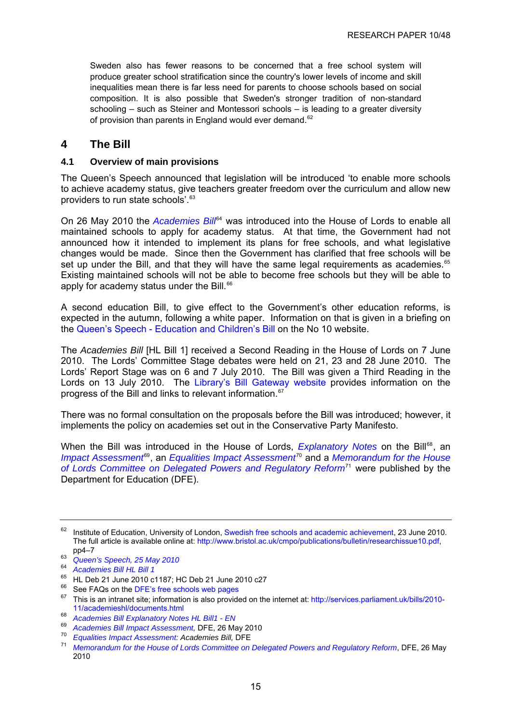<span id="page-18-0"></span>Sweden also has fewer reasons to be concerned that a free school system will produce greater school stratification since the country's lower levels of income and skill inequalities mean there is far less need for parents to choose schools based on social composition. It is also possible that Sweden's stronger tradition of non-standard schooling – such as Steiner and Montessori schools – is leading to a greater diversity of provision than parents in England would ever demand.<sup>[62](#page-18-0)</sup>

# **4 The Bill**

#### **4.1 Overview of main provisions**

The Queen's Speech announced that legislation will be introduced 'to enable more schools to achieve academy status, give teachers greater freedom over the curriculum and allow new providers to run state schools'.[63](#page-18-0)

On 26 May 2010 the *[Academies Bill](http://www.publications.parliament.uk/pa/ld201011/ldbills/001/11001.i-i.html)*<sup>[64](#page-18-0)</sup> was introduced into the House of Lords to enable all maintained schools to apply for academy status. At that time, the Government had not announced how it intended to implement its plans for free schools, and what legislative changes would be made. Since then the Government has clarified that free schools will be set up under the Bill, and that they will have the same legal requirements as academies.<sup>[65](#page-18-0)</sup> Existing maintained schools will not be able to become free schools but they will be able to apply for academy status under the Bill.<sup>[66](#page-18-0)</sup>

A second education Bill, to give effect to the Government's other education reforms, is expected in the autumn, following a white paper. Information on that is given in a briefing on the [Queen's Speech - Education and Children's Bill](http://www.number10.gov.uk/queens-speech/2010/05/queens-speech-education-and-children%E2%80%99s-bill-50848) on the [No 10 website.](http://www.number10.gov.uk/queens-speech/2010/05/queens-speech-education-and-children%E2%80%99s-bill-50848)

The *Academies Bill* [HL Bill 1] received a Second Reading in the House of Lords on 7 June 2010. The Lords' Committee Stage debates were held on 21, 23 and 28 June 2010. The Lords' Report Stage was on 6 and 7 July 2010. The Bill was given a Third Reading in the Lords on 13 July 2010. The [Library's Bill Gateway website](http://webapplications.parliament.uk/BillGateways/session/2010-11.html) provides information on the progress of the Bill and links to relevant information.<sup>[67](#page-18-0)</sup>

There was no formal consultation on the proposals before the Bill was introduced; however, it implements the policy on academies set out in the Conservative Party Manifesto.

When the Bill was introduced in the House of Lords, *[Explanatory Notes](http://www.publications.parliament.uk/pa/ld201011/ldbills/001/en/2011001ex.htm)* on the Bill<sup>[68](#page-18-0)</sup>, an *[Impact Assessment](http://www.education.gov.uk/academies/academiesbill)<sup>e</sup>, an [Equalities Impact Assessment](http://www.education.gov.uk/%7E/media/Files/lacuna/academiesbillequia.ashx)<sup>[70](#page-18-0)</sup> and a Memorandum for the House [of Lords Committee on Delegated Powers and Regulatory Reform](http://www.education.gov.uk/%7E/media/Files/lacuna/academiesbilldprrcmemo.ashx)*[71](#page-18-0) were published by the Department for Education (DFE).

<sup>&</sup>lt;sup>62</sup> Institute of Education, University of London, [Swedish free schools and academic achievement](http://www.ioe.ac.uk/newsEvents/41733.html), 23 June 2010. The full article is available online at: <http://www.bristol.ac.uk/cmpo/publications/bulletin/researchissue10.pdf>, pp4-7

<sup>&</sup>lt;sup>63</sup> *[Queen's Speech, 25 May 2010](http://www.publications.parliament.uk/pa/ld201011/ldhansrd/text/100525-0001.htm#1005255000153)* 

<sup>64</sup> *Academies Bill [HL Bill 1](http://www.publications.parliament.uk/pa/ld201011/ldbills/001/11001.i-i.html)*

 $^{65}$  HL Deb 21 June 2010 c1187; HC Deb 21 June 2010 c27

 $^{66}$  See FAQs on the [DFE's free schools web pages](http://www.education.gov.uk/freeschools)  $^{67}$  This is an intranst site: information is also provide

This is an intranet site; information is also provided on the internet at: [http://services.parliament.uk/bills/2010-](http://services.parliament.uk/bills/2010-11/academieshl/documents.html) [11/academieshl/documents.html](http://services.parliament.uk/bills/2010-11/academieshl/documents.html)

<sup>68</sup> *Academies Bill Explanatory Notes HL Bill1 - EN*

<sup>&</sup>lt;sup>69</sup> Academies Bill Impact Assessment, DFE, 26 May 2010<br><sup>70</sup> Equalities Impact Assessment: Academies Bill, DFE<br><sup>71</sup> [Memorandum for the House of Lords Committee on Delegated Powers and Regulatory Reform](http://www.education.gov.uk/academies/academiesbill), DFE, 26 May 2010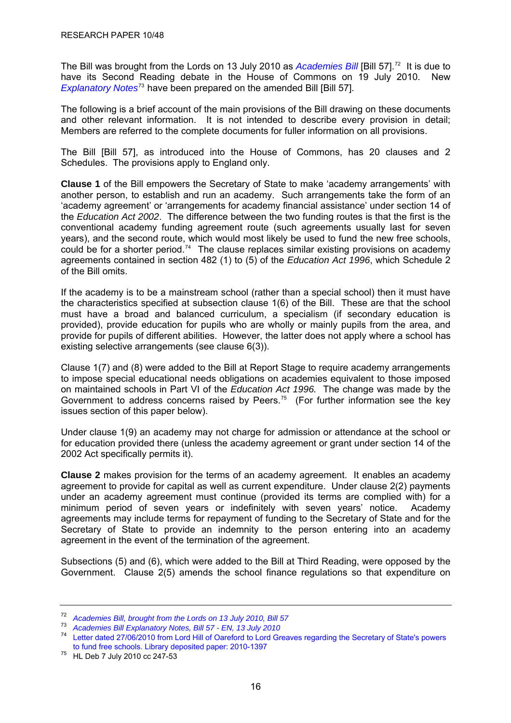<span id="page-19-0"></span>The Bill was brought from the Lords on 13 July 2010 as *[Academies Bill](http://www.publications.parliament.uk/pa/cm201011/cmbills/057/11057.i-i.html)* [Bill 57].<sup>[72](#page-19-0)</sup> It is due to have its Second Reading debate in the House of Commons on 19 July 2010. New *[Explanatory Notes](http://www.publications.parliament.uk/pa/cm201011/cmbills/057/en/2011057x--.htm)*<sup>[73](#page-19-0)</sup> have been prepared on the amended Bill [Bill 57].

The following is a brief account of the main provisions of the Bill drawing on these documents and other relevant information. It is not intended to describe every provision in detail; Members are referred to the complete documents for fuller information on all provisions.

The Bill [Bill 57], as introduced into the House of Commons, has 20 clauses and 2 Schedules. The provisions apply to England only.

**Clause 1** of the Bill empowers the Secretary of State to make 'academy arrangements' with another person, to establish and run an academy. Such arrangements take the form of an 'academy agreement' or 'arrangements for academy financial assistance' under section 14 of the *Education Act 2002*. The difference between the two funding routes is that the first is the conventional academy funding agreement route (such agreements usually last for seven years), and the second route, which would most likely be used to fund the new free schools, could be for a shorter period.<sup>[74](#page-19-0)</sup> The clause replaces similar existing provisions on academy agreements contained in section 482 (1) to (5) of the *Education Act 1996*, which Schedule 2 of the Bill omits.

If the academy is to be a mainstream school (rather than a special school) then it must have the characteristics specified at subsection clause 1(6) of the Bill. These are that the school must have a broad and balanced curriculum, a specialism (if secondary education is provided), provide education for pupils who are wholly or mainly pupils from the area, and provide for pupils of different abilities. However, the latter does not apply where a school has existing selective arrangements (see clause 6(3)).

Clause 1(7) and (8) were added to the Bill at Report Stage to require academy arrangements to impose special educational needs obligations on academies equivalent to those imposed on maintained schools in Part VI of the *Education Act 1996.* The change was made by the Government to address concerns raised by Peers.<sup>[75](#page-19-0)</sup> (For further information see the key issues section of this paper below).

Under clause 1(9) an academy may not charge for admission or attendance at the school or for education provided there (unless the academy agreement or grant under section 14 of the 2002 Act specifically permits it).

**Clause 2** makes provision for the terms of an academy agreement. It enables an academy agreement to provide for capital as well as current expenditure. Under clause 2(2) payments under an academy agreement must continue (provided its terms are complied with) for a minimum period of seven years or indefinitely with seven years' notice. Academy agreements may include terms for repayment of funding to the Secretary of State and for the Secretary of State to provide an indemnity to the person entering into an academy agreement in the event of the termination of the agreement.

Subsections (5) and (6), which were added to the Bill at Third Reading, were opposed by the Government. Clause 2(5) amends the school finance regulations so that expenditure on

<sup>72</sup> *[Academies Bill, brought from the Lords on 13 July 2010, Bill 57](http://www.publications.parliament.uk/pa/cm201011/cmbills/057/11057.i-i.html)*

<sup>73</sup> *[Academies Bill Explanatory Notes, Bill 57 - EN, 13 July 2010](http://www.publications.parliament.uk/pa/cm201011/cmbills/057/en/2011057x--.htm)*

<sup>74</sup> [Letter dated 27/06/2010 from Lord Hill of Oareford to Lord Greaves regarding the Secretary of State's powers](http://www.parliament.uk/deposits/depositedpapers/2010/DEP2010-1397.pdf)  to fund free schools. [Library deposited paper: 2010-1397](http://www.parliament.uk/deposits/depositedpapers/2010/DEP2010-1397.pdf)

<sup>75</sup> HL Deb 7 July 2010 cc 247-53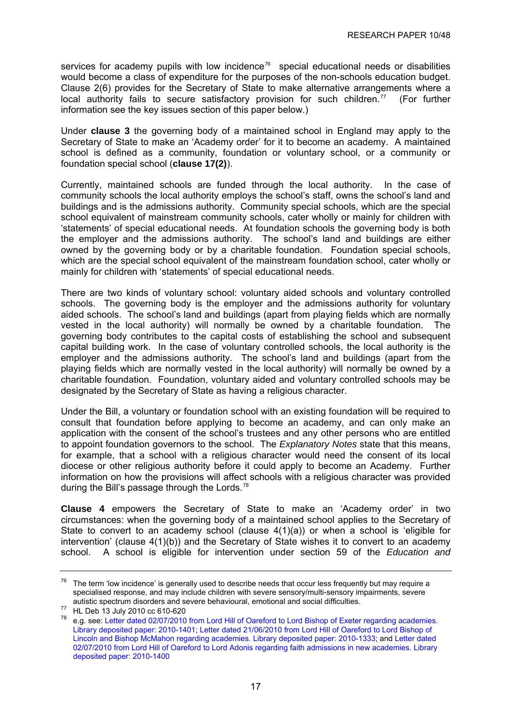<span id="page-20-0"></span>services for academy pupils with low incidence<sup>[76](#page-20-0)</sup> special educational needs or disabilities would become a class of expenditure for the purposes of the non-schools education budget. Clause 2(6) provides for the Secretary of State to make alternative arrangements where a local authority fails to secure satisfactory provision for such children.<sup>[77](#page-20-0)</sup> (For further information see the key issues section of this paper below.)

Under **clause 3** the governing body of a maintained school in England may apply to the Secretary of State to make an 'Academy order' for it to become an academy. A maintained school is defined as a community, foundation or voluntary school, or a community or foundation special school (**clause 17(2)**).

Currently, maintained schools are funded through the local authority. In the case of community schools the local authority employs the school's staff, owns the school's land and buildings and is the admissions authority. Community special schools, which are the special school equivalent of mainstream community schools, cater wholly or mainly for children with 'statements' of special educational needs. At foundation schools the governing body is both the employer and the admissions authority. The school's land and buildings are either owned by the governing body or by a charitable foundation. Foundation special schools, which are the special school equivalent of the mainstream foundation school, cater wholly or mainly for children with 'statements' of special educational needs.

There are two kinds of voluntary school: voluntary aided schools and voluntary controlled schools. The governing body is the employer and the admissions authority for voluntary aided schools. The school's land and buildings (apart from playing fields which are normally vested in the local authority) will normally be owned by a charitable foundation. The governing body contributes to the capital costs of establishing the school and subsequent capital building work. In the case of voluntary controlled schools, the local authority is the employer and the admissions authority. The school's land and buildings (apart from the playing fields which are normally vested in the local authority) will normally be owned by a charitable foundation. Foundation, voluntary aided and voluntary controlled schools may be designated by the Secretary of State as having a religious character.

Under the Bill, a voluntary or foundation school with an existing foundation will be required to consult that foundation before applying to become an academy, and can only make an application with the consent of the school's trustees and any other persons who are entitled to appoint foundation governors to the school. The *Explanatory Notes* state that this means, for example, that a school with a religious character would need the consent of its local diocese or other religious authority before it could apply to become an Academy. Further information on how the provisions will affect schools with a religious character was provided during the Bill's passage through the Lords.<sup>[78](#page-20-0)</sup>

**Clause 4** empowers the Secretary of State to make an 'Academy order' in two circumstances: when the governing body of a maintained school applies to the Secretary of State to convert to an academy school (clause 4(1)(a)) or when a school is 'eligible for intervention' (clause 4(1)(b)) and the Secretary of State wishes it to convert to an academy school. A school is eligible for intervention under section 59 of the *Education and* 

 $76$  The term 'low incidence' is generally used to describe needs that occur less frequently but may require a specialised response, and may include children with severe sensory/multi-sensory impairments, severe autistic spectrum disorders and severe behavioural, emotional and social difficulties. 77 HL Deb 13 July 2010 cc 610-620

<sup>78</sup> e.g. see: [Letter dated 02/07/2010 from Lord Hill of Oareford to Lord Bishop of Exeter regarding academies.](http://www.parliament.uk/deposits/depositedpapers/2010/DEP2010-1401.pdf) [Library deposited paper: 2010-1401;](http://www.parliament.uk/deposits/depositedpapers/2010/DEP2010-1401.pdf) [Letter dated 21/06/2010 from Lord Hill of Oareford to Lord Bishop of](http://www.parliament.uk/deposits/depositedpapers/2010/DEP2010-1333.pdf)  [Lincoln and Bishop McMahon regarding academies.](http://www.parliament.uk/deposits/depositedpapers/2010/DEP2010-1333.pdf) Library deposited paper: 2010-1333; and [Letter dated](http://www.parliament.uk/deposits/depositedpapers/2010/DEP2010-1400.pdf)  [02/07/2010 from Lord Hill of Oareford to Lord Adonis regarding faith admissions in new academies.](http://www.parliament.uk/deposits/depositedpapers/2010/DEP2010-1400.pdf) Library [deposited paper: 2010-1400](http://www.parliament.uk/deposits/depositedpapers/2010/DEP2010-1400.pdf)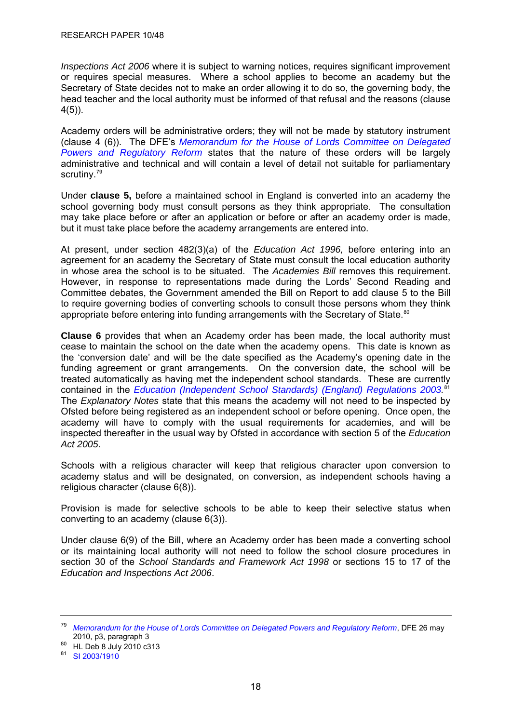<span id="page-21-0"></span>*Inspections Act 2006* where it is subject to warning notices, requires significant improvement or requires special measures. Where a school applies to become an academy but the Secretary of State decides not to make an order allowing it to do so, the governing body, the head teacher and the local authority must be informed of that refusal and the reasons (clause 4(5)).

Academy orders will be administrative orders; they will not be made by statutory instrument (clause 4 (6)). The DFE's *[Memorandum for the House of Lords Committee on Delegated](http://www.education.gov.uk/%7E/media/Files/lacuna/academiesbilldprrcmemo.ashx)  [Powers and Regulatory Reform](http://www.education.gov.uk/%7E/media/Files/lacuna/academiesbilldprrcmemo.ashx)* states that the nature of these orders will be largely administrative and technical and will contain a level of detail not suitable for parliamentary scrutiny.<sup>[79](#page-21-0)</sup>

Under **clause 5,** before a maintained school in England is converted into an academy the school governing body must consult persons as they think appropriate. The consultation may take place before or after an application or before or after an academy order is made, but it must take place before the academy arrangements are entered into.

At present, under section 482(3)(a) of the *Education Act 1996,* before entering into an agreement for an academy the Secretary of State must consult the local education authority in whose area the school is to be situated. The *Academies Bill* removes this requirement. However, in response to representations made during the Lords' Second Reading and Committee debates, the Government amended the Bill on Report to add clause 5 to the Bill to require governing bodies of converting schools to consult those persons whom they think appropriate before entering into funding arrangements with the Secretary of State.<sup>[80](#page-21-0)</sup>

**Clause 6** provides that when an Academy order has been made, the local authority must cease to maintain the school on the date when the academy opens. This date is known as the 'conversion date' and will be the date specified as the Academy's opening date in the funding agreement or grant arrangements. On the conversion date, the school will be treated automatically as having met the independent school standards. These are currently contained in the *[Education \(Independent School Standards\) \(England\) Regulations 2003.](http://www.opsi.gov.uk/si/si2003/20031910.htm)* [81](#page-21-0) The *Explanatory Notes* state that this means the academy will not need to be inspected by Ofsted before being registered as an independent school or before opening. Once open, the academy will have to comply with the usual requirements for academies, and will be inspected thereafter in the usual way by Ofsted in accordance with section 5 of the *Education Act 2005*.

Schools with a religious character will keep that religious character upon conversion to academy status and will be designated, on conversion, as independent schools having a religious character (clause 6(8)).

Provision is made for selective schools to be able to keep their selective status when converting to an academy (clause 6(3)).

Under clause 6(9) of the Bill, where an Academy order has been made a converting school or its maintaining local authority will not need to follow the school closure procedures in section 30 of the *School Standards and Framework Act 1998* or sections 15 to 17 of the *Education and Inspections Act 2006*.

<sup>79</sup> *[Memorandum for the House of Lords Committee on Delegated Powers and Regulatory Reform](http://www.education.gov.uk/%7E/media/Files/lacuna/academiesbilldprrcmemo.ashx)*, DFE 26 may 2010, p3, paragraph 3<br><sup>80</sup> HL Deb 8 July 2010 c313

<sup>81</sup> [SI 2003/1910](http://www.opsi.gov.uk/si/si2003/20031910.htm)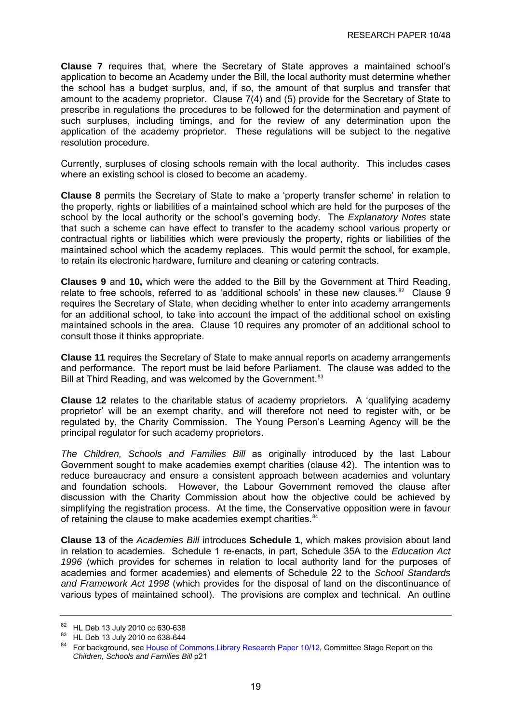<span id="page-22-0"></span>**Clause 7** requires that, where the Secretary of State approves a maintained school's application to become an Academy under the Bill, the local authority must determine whether the school has a budget surplus, and, if so, the amount of that surplus and transfer that amount to the academy proprietor. Clause 7(4) and (5) provide for the Secretary of State to prescribe in regulations the procedures to be followed for the determination and payment of such surpluses, including timings, and for the review of any determination upon the application of the academy proprietor. These regulations will be subject to the negative resolution procedure.

Currently, surpluses of closing schools remain with the local authority. This includes cases where an existing school is closed to become an academy.

**Clause 8** permits the Secretary of State to make a 'property transfer scheme' in relation to the property, rights or liabilities of a maintained school which are held for the purposes of the school by the local authority or the school's governing body. The *Explanatory Notes* state that such a scheme can have effect to transfer to the academy school various property or contractual rights or liabilities which were previously the property, rights or liabilities of the maintained school which the academy replaces. This would permit the school, for example, to retain its electronic hardware, furniture and cleaning or catering contracts.

**Clauses 9** and **10,** which were the added to the Bill by the Government at Third Reading, relate to free schools, referred to as 'additional schools' in these new clauses.<sup>[82](#page-22-0)</sup> Clause 9 requires the Secretary of State, when deciding whether to enter into academy arrangements for an additional school, to take into account the impact of the additional school on existing maintained schools in the area. Clause 10 requires any promoter of an additional school to consult those it thinks appropriate.

**Clause 11** requires the Secretary of State to make annual reports on academy arrangements and performance. The report must be laid before Parliament. The clause was added to the Bill at Third Reading, and was welcomed by the Government.<sup>[83](#page-22-0)</sup>

**Clause 12** relates to the charitable status of academy proprietors. A 'qualifying academy proprietor' will be an exempt charity, and will therefore not need to register with, or be regulated by, the Charity Commission. The Young Person's Learning Agency will be the principal regulator for such academy proprietors.

*The Children, Schools and Families Bill* as originally introduced by the last Labour Government sought to make academies exempt charities (clause 42). The intention was to reduce bureaucracy and ensure a consistent approach between academies and voluntary and foundation schools. However, the Labour Government removed the clause after discussion with the Charity Commission about how the objective could be achieved by simplifying the registration process. At the time, the Conservative opposition were in favour of retaining the clause to make academies exempt charities.<sup>[84](#page-22-0)</sup>

**Clause 13** of the *Academies Bill* introduces **Schedule 1**, which makes provision about land in relation to academies. Schedule 1 re-enacts, in part, Schedule 35A to the *Education Act 1996* (which provides for schemes in relation to local authority land for the purposes of academies and former academies) and elements of Schedule 22 to the *School Standards and Framework Act 1998* (which provides for the disposal of land on the discontinuance of various types of maintained school). The provisions are complex and technical. An outline

<sup>82</sup> HL Deb 13 July 2010 cc 630-638

<sup>&</sup>lt;sup>83</sup> HL Deb 13 July 2010 cc 638-644

<sup>84</sup> For background, see [House of Commons Library Research Paper 10/12](http://pims.parliament.uk:81/PIMS/Static%20Files/Extended%20File%20Scan%20Files/LIBRARY_OTHER_PAPERS/RESEARCH_PAPER/RP10-012.pdf), Committee Stage Report on the *Children, Schools and Families Bill* p21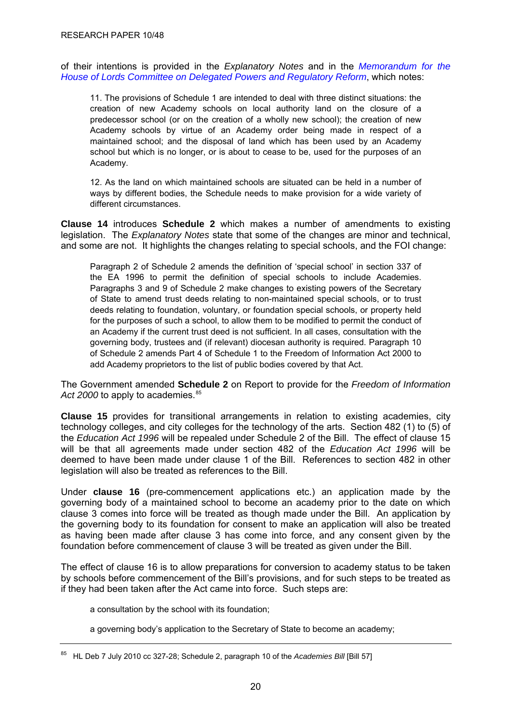<span id="page-23-0"></span>of their intentions is provided in the *Explanatory Notes* and in the *[Memorandum for the](http://www.education.gov.uk/%7E/media/Files/lacuna/academiesbilldprrcmemo.ashx)  [House of Lords Committee on Delegated Powers and Regulatory Reform](http://www.education.gov.uk/%7E/media/Files/lacuna/academiesbilldprrcmemo.ashx)*, which notes:

11. The provisions of Schedule 1 are intended to deal with three distinct situations: the creation of new Academy schools on local authority land on the closure of a predecessor school (or on the creation of a wholly new school); the creation of new Academy schools by virtue of an Academy order being made in respect of a maintained school; and the disposal of land which has been used by an Academy school but which is no longer, or is about to cease to be, used for the purposes of an Academy.

12. As the land on which maintained schools are situated can be held in a number of ways by different bodies, the Schedule needs to make provision for a wide variety of different circumstances.

**Clause 14** introduces **Schedule 2** which makes a number of amendments to existing legislation. The *Explanatory Notes* state that some of the changes are minor and technical, and some are not. It highlights the changes relating to special schools, and the FOI change:

Paragraph 2 of Schedule 2 amends the definition of 'special school' in section 337 of the EA 1996 to permit the definition of special schools to include Academies. Paragraphs 3 and 9 of Schedule 2 make changes to existing powers of the Secretary of State to amend trust deeds relating to non-maintained special schools, or to trust deeds relating to foundation, voluntary, or foundation special schools, or property held for the purposes of such a school, to allow them to be modified to permit the conduct of an Academy if the current trust deed is not sufficient. In all cases, consultation with the governing body, trustees and (if relevant) diocesan authority is required. Paragraph 10 of Schedule 2 amends Part 4 of Schedule 1 to the Freedom of Information Act 2000 to add Academy proprietors to the list of public bodies covered by that Act.

The Government amended **Schedule 2** on Report to provide for the *Freedom of Information*  Act 2000 to apply to academies.<sup>[85](#page-23-0)</sup>

**Clause 15** provides for transitional arrangements in relation to existing academies, city technology colleges, and city colleges for the technology of the arts. Section 482 (1) to (5) of the *Education Act 1996* will be repealed under Schedule 2 of the Bill. The effect of clause 15 will be that all agreements made under section 482 of the *Education Act 1996* will be deemed to have been made under clause 1 of the Bill. References to section 482 in other legislation will also be treated as references to the Bill.

Under **clause 16** (pre-commencement applications etc.) an application made by the governing body of a maintained school to become an academy prior to the date on which clause 3 comes into force will be treated as though made under the Bill. An application by the governing body to its foundation for consent to make an application will also be treated as having been made after clause 3 has come into force, and any consent given by the foundation before commencement of clause 3 will be treated as given under the Bill.

The effect of clause 16 is to allow preparations for conversion to academy status to be taken by schools before commencement of the Bill's provisions, and for such steps to be treated as if they had been taken after the Act came into force. Such steps are:

a consultation by the school with its foundation;

a governing body's application to the Secretary of State to become an academy;

<sup>85</sup> HL Deb 7 July 2010 cc 327-28; Schedule 2, paragraph 10 of the *Academies Bill* [Bill 57]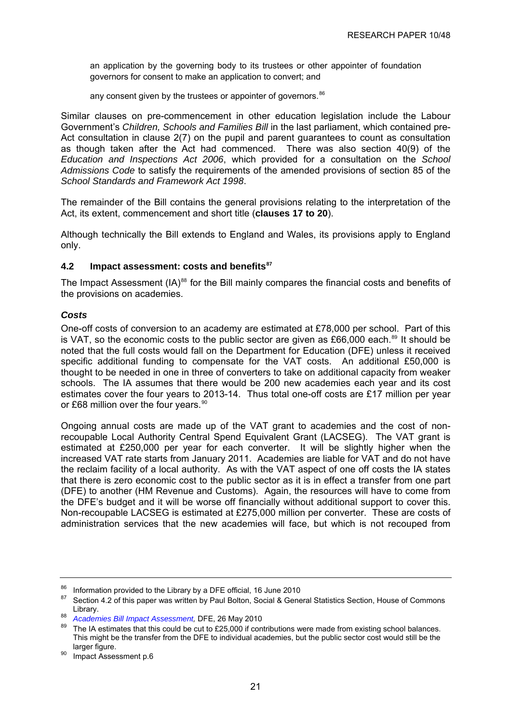<span id="page-24-0"></span>an application by the governing body to its trustees or other appointer of foundation governors for consent to make an application to convert; and

any consent given by the trustees or appointer of governors.<sup>[86](#page-24-0)</sup>

Similar clauses on pre-commencement in other education legislation include the Labour Government's *Children, Schools and Families Bill* in the last parliament, which contained pre-Act consultation in clause 2(7) on the pupil and parent guarantees to count as consultation as though taken after the Act had commenced. There was also section 40(9) of the *Education and Inspections Act 2006*, which provided for a consultation on the *School Admissions Code* to satisfy the requirements of the amended provisions of section 85 of the *School Standards and Framework Act 1998*.

The remainder of the Bill contains the general provisions relating to the interpretation of the Act, its extent, commencement and short title (**clauses 17 to 20**).

Although technically the Bill extends to England and Wales, its provisions apply to England only.

#### **4.2 Impact assessment: costs and benefits[87](#page-24-0)**

The Impact Assessment  $(IA)^{88}$  $(IA)^{88}$  $(IA)^{88}$  for the Bill mainly compares the financial costs and benefits of the provisions on academies.

## *Costs*

One-off costs of conversion to an academy are estimated at £78,000 per school. Part of this is VAT, so the economic costs to the public sector are given as £66,000 each. $89$  It should be noted that the full costs would fall on the Department for Education (DFE) unless it received specific additional funding to compensate for the VAT costs. An additional £50,000 is thought to be needed in one in three of converters to take on additional capacity from weaker schools. The IA assumes that there would be 200 new academies each year and its cost estimates cover the four years to 2013-14. Thus total one-off costs are £17 million per year or £68 million over the four vears.<sup>[90](#page-24-0)</sup>

Ongoing annual costs are made up of the VAT grant to academies and the cost of nonrecoupable Local Authority Central Spend Equivalent Grant (LACSEG). The VAT grant is estimated at £250,000 per year for each converter. It will be slightly higher when the increased VAT rate starts from January 2011. Academies are liable for VAT and do not have the reclaim facility of a local authority. As with the VAT aspect of one off costs the IA states that there is zero economic cost to the public sector as it is in effect a transfer from one part (DFE) to another (HM Revenue and Customs). Again, the resources will have to come from the DFE's budget and it will be worse off financially without additional support to cover this. Non-recoupable LACSEG is estimated at £275,000 million per converter. These are costs of administration services that the new academies will face, but which is not recouped from

<sup>&</sup>lt;sup>86</sup> Information provided to the Library by a DFE official, 16 June 2010<br><sup>87</sup> Section 4.2 of this paper was written by Paul Beltan, Secial 8, Canal

Section 4.2 of this paper was written by Paul Bolton, Social & General Statistics Section, House of Commons

Library.<br><sup>88</sup> *Academies Bill Impact Assessment,* DFE, 26 May 2010<br><sup>89</sup> The IA estimates that this could be cut to £25,000 if contributions were made from existing school balances. This might be the transfer from the DFE to individual academies, but the public sector cost would still be the larger figure.<br><sup>90</sup> Impact Assessment p.6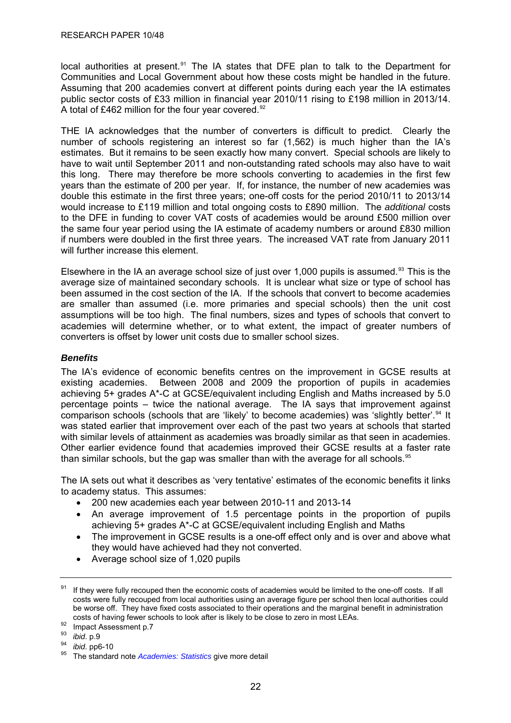<span id="page-25-0"></span>local authorities at present.<sup>[91](#page-25-0)</sup> The IA states that DFE plan to talk to the Department for Communities and Local Government about how these costs might be handled in the future. Assuming that 200 academies convert at different points during each year the IA estimates public sector costs of £33 million in financial year 2010/11 rising to £198 million in 2013/14. A total of £462 million for the four year covered.<sup>[92](#page-25-0)</sup>

THE IA acknowledges that the number of converters is difficult to predict. Clearly the number of schools registering an interest so far (1,562) is much higher than the IA's estimates. But it remains to be seen exactly how many convert. Special schools are likely to have to wait until September 2011 and non-outstanding rated schools may also have to wait this long. There may therefore be more schools converting to academies in the first few years than the estimate of 200 per year. If, for instance, the number of new academies was double this estimate in the first three years; one-off costs for the period 2010/11 to 2013/14 would increase to £119 million and total ongoing costs to £890 million. The *additional* costs to the DFE in funding to cover VAT costs of academies would be around £500 million over the same four year period using the IA estimate of academy numbers or around £830 million if numbers were doubled in the first three years. The increased VAT rate from January 2011 will further increase this element.

Elsewhere in the IA an average school size of just over 1,000 pupils is assumed.<sup>[93](#page-25-0)</sup> This is the average size of maintained secondary schools. It is unclear what size or type of school has been assumed in the cost section of the IA. If the schools that convert to become academies are smaller than assumed (i.e. more primaries and special schools) then the unit cost assumptions will be too high. The final numbers, sizes and types of schools that convert to academies will determine whether, or to what extent, the impact of greater numbers of converters is offset by lower unit costs due to smaller school sizes.

## *Benefits*

The IA's evidence of economic benefits centres on the improvement in GCSE results at existing academies. Between 2008 and 2009 the proportion of pupils in academies achieving 5+ grades A\*-C at GCSE/equivalent including English and Maths increased by 5.0 percentage points – twice the national average. The IA says that improvement against comparison schools (schools that are 'likely' to become academies) was 'slightly better'.<sup>[94](#page-25-0)</sup> It was stated earlier that improvement over each of the past two years at schools that started with similar levels of attainment as academies was broadly similar as that seen in academies. Other earlier evidence found that academies improved their GCSE results at a faster rate than similar schools, but the gap was smaller than with the average for all schools.<sup>[95](#page-25-0)</sup>

The IA sets out what it describes as 'very tentative' estimates of the economic benefits it links to academy status. This assumes:

- 200 new academies each year between 2010-11 and 2013-14
- An average improvement of 1.5 percentage points in the proportion of pupils achieving 5+ grades A\*-C at GCSE/equivalent including English and Maths
- The improvement in GCSE results is a one-off effect only and is over and above what they would have achieved had they not converted.
- Average school size of 1,020 pupils

<sup>&</sup>lt;sup>91</sup> If they were fully recouped then the economic costs of academies would be limited to the one-off costs. If all costs were fully recouped from local authorities using an average figure per school then local authorities could be worse off. They have fixed costs associated to their operations and the marginal benefit in administration costs of having fewer schools to look after is likely to be close to zero in most LEAs.<br><sup>92</sup> Impact Assessment p.7<br><sup>93</sup> *ihid.* n.9

<sup>&</sup>lt;sup>94</sup> *ibid.* pp6-10<br><sup>95</sup> The standard note *[Academies: Statistics](http://www.parliament.uk/briefingpapers/commons/lib/research/briefings/snsg-04719.pdf)* give more detail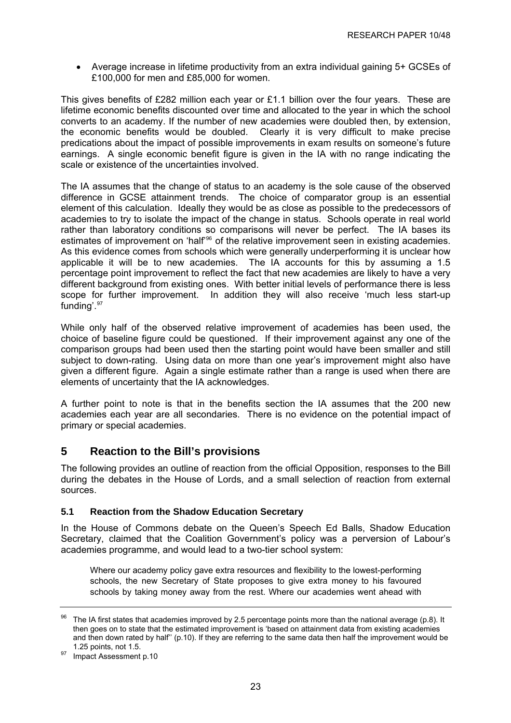<span id="page-26-0"></span>• Average increase in lifetime productivity from an extra individual gaining 5+ GCSEs of £100,000 for men and £85,000 for women.

This gives benefits of £282 million each year or £1.1 billion over the four years. These are lifetime economic benefits discounted over time and allocated to the year in which the school converts to an academy. If the number of new academies were doubled then, by extension, the economic benefits would be doubled. Clearly it is very difficult to make precise predications about the impact of possible improvements in exam results on someone's future earnings. A single economic benefit figure is given in the IA with no range indicating the scale or existence of the uncertainties involved.

The IA assumes that the change of status to an academy is the sole cause of the observed difference in GCSE attainment trends. The choice of comparator group is an essential element of this calculation. Ideally they would be as close as possible to the predecessors of academies to try to isolate the impact of the change in status. Schools operate in real world rather than laboratory conditions so comparisons will never be perfect. The IA bases its estimates of improvement on 'half<sup>[96](#page-26-0)</sup> of the relative improvement seen in existing academies. As this evidence comes from schools which were generally underperforming it is unclear how applicable it will be to new academies. The IA accounts for this by assuming a 1.5 percentage point improvement to reflect the fact that new academies are likely to have a very different background from existing ones. With better initial levels of performance there is less scope for further improvement. In addition they will also receive 'much less start-up funding'.<sup>[97](#page-26-0)</sup>

While only half of the observed relative improvement of academies has been used, the choice of baseline figure could be questioned. If their improvement against any one of the comparison groups had been used then the starting point would have been smaller and still subject to down-rating. Using data on more than one year's improvement might also have given a different figure. Again a single estimate rather than a range is used when there are elements of uncertainty that the IA acknowledges.

A further point to note is that in the benefits section the IA assumes that the 200 new academies each year are all secondaries. There is no evidence on the potential impact of primary or special academies.

# **5 Reaction to the Bill's provisions**

The following provides an outline of reaction from the official Opposition, responses to the Bill during the debates in the House of Lords, and a small selection of reaction from external sources.

## **5.1 Reaction from the Shadow Education Secretary**

In the House of Commons debate on the Queen's Speech Ed Balls, Shadow Education Secretary, claimed that the Coalition Government's policy was a perversion of Labour's academies programme, and would lead to a two-tier school system:

Where our academy policy gave extra resources and flexibility to the lowest-performing schools, the new Secretary of State proposes to give extra money to his favoured schools by taking money away from the rest. Where our academies went ahead with

The IA first states that academies improved by 2.5 percentage points more than the national average (p.8). It then goes on to state that the estimated improvement is 'based on attainment data from existing academies and then down rated by half'' (p.10). If they are referring to the same data then half the improvement would be

<sup>1.25</sup> points, not 1.5.<br><sup>97</sup> Impact Assessment p.10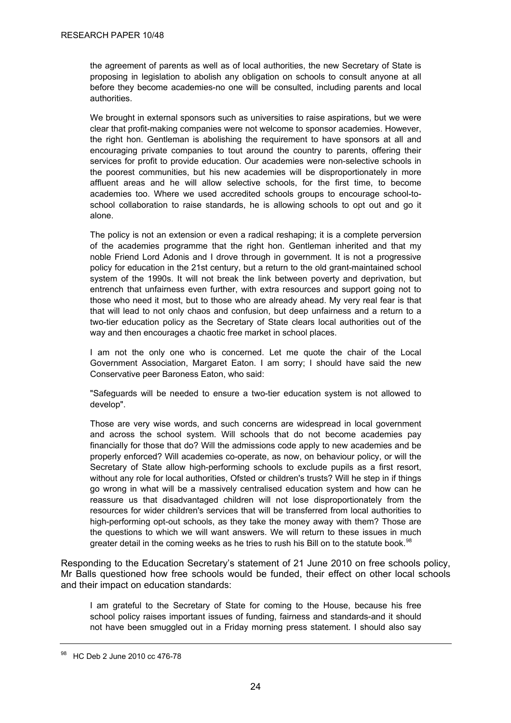<span id="page-27-0"></span>the agreement of parents as well as of local authorities, the new Secretary of State is proposing in legislation to abolish any obligation on schools to consult anyone at all before they become academies-no one will be consulted, including parents and local authorities.

We brought in external sponsors such as universities to raise aspirations, but we were clear that profit-making companies were not welcome to sponsor academies. However, the right hon. Gentleman is abolishing the requirement to have sponsors at all and encouraging private companies to tout around the country to parents, offering their services for profit to provide education. Our academies were non-selective schools in the poorest communities, but his new academies will be disproportionately in more affluent areas and he will allow selective schools, for the first time, to become academies too. Where we used accredited schools groups to encourage school-toschool collaboration to raise standards, he is allowing schools to opt out and go it alone.

The policy is not an extension or even a radical reshaping; it is a complete perversion of the academies programme that the right hon. Gentleman inherited and that my noble Friend Lord Adonis and I drove through in government. It is not a progressive policy for education in the 21st century, but a return to the old grant-maintained school system of the 1990s. It will not break the link between poverty and deprivation, but entrench that unfairness even further, with extra resources and support going not to those who need it most, but to those who are already ahead. My very real fear is that that will lead to not only chaos and confusion, but deep unfairness and a return to a two-tier education policy as the Secretary of State clears local authorities out of the way and then encourages a chaotic free market in school places.

I am not the only one who is concerned. Let me quote the chair of the Local Government Association, Margaret Eaton. I am sorry; I should have said the new Conservative peer Baroness Eaton, who said:

"Safeguards will be needed to ensure a two-tier education system is not allowed to develop".

Those are very wise words, and such concerns are widespread in local government and across the school system. Will schools that do not become academies pay financially for those that do? Will the admissions code apply to new academies and be properly enforced? Will academies co-operate, as now, on behaviour policy, or will the Secretary of State allow high-performing schools to exclude pupils as a first resort, without any role for local authorities, Ofsted or children's trusts? Will he step in if things go wrong in what will be a massively centralised education system and how can he reassure us that disadvantaged children will not lose disproportionately from the resources for wider children's services that will be transferred from local authorities to high-performing opt-out schools, as they take the money away with them? Those are the questions to which we will want answers. We will return to these issues in much greater detail in the coming weeks as he tries to rush his Bill on to the statute book.<sup>[98](#page-27-0)</sup>

Responding to the Education Secretary's statement of 21 June 2010 on free schools policy, Mr Balls questioned how free schools would be funded, their effect on other local schools and their impact on education standards:

I am grateful to the Secretary of State for coming to the House, because his free school policy raises important issues of funding, fairness and standards-and it should not have been smuggled out in a Friday morning press statement. I should also say

<sup>98</sup> HC Deb 2 June 2010 cc 476-78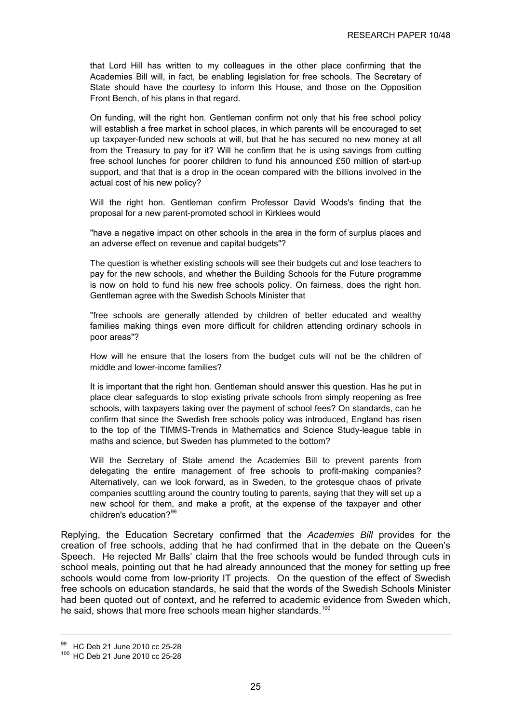<span id="page-28-0"></span>that Lord Hill has written to my colleagues in the other place confirming that the Academies Bill will, in fact, be enabling legislation for free schools. The Secretary of State should have the courtesy to inform this House, and those on the Opposition Front Bench, of his plans in that regard.

On funding, will the right hon. Gentleman confirm not only that his free school policy will establish a free market in school places, in which parents will be encouraged to set up taxpayer-funded new schools at will, but that he has secured no new money at all from the Treasury to pay for it? Will he confirm that he is using savings from cutting free school lunches for poorer children to fund his announced £50 million of start-up support, and that that is a drop in the ocean compared with the billions involved in the actual cost of his new policy?

Will the right hon. Gentleman confirm Professor David Woods's finding that the proposal for a new parent-promoted school in Kirklees would

"have a negative impact on other schools in the area in the form of surplus places and an adverse effect on revenue and capital budgets"?

The question is whether existing schools will see their budgets cut and lose teachers to pay for the new schools, and whether the Building Schools for the Future programme is now on hold to fund his new free schools policy. On fairness, does the right hon. Gentleman agree with the Swedish Schools Minister that

"free schools are generally attended by children of better educated and wealthy families making things even more difficult for children attending ordinary schools in poor areas"?

How will he ensure that the losers from the budget cuts will not be the children of middle and lower-income families?

It is important that the right hon. Gentleman should answer this question. Has he put in place clear safeguards to stop existing private schools from simply reopening as free schools, with taxpayers taking over the payment of school fees? On standards, can he confirm that since the Swedish free schools policy was introduced, England has risen to the top of the TIMMS-Trends in Mathematics and Science Study-league table in maths and science, but Sweden has plummeted to the bottom?

Will the Secretary of State amend the Academies Bill to prevent parents from delegating the entire management of free schools to profit-making companies? Alternatively, can we look forward, as in Sweden, to the grotesque chaos of private companies scuttling around the country touting to parents, saying that they will set up a new school for them, and make a profit, at the expense of the taxpayer and other children's education?<sup>[99](#page-28-0)</sup>

Replying, the Education Secretary confirmed that the *Academies Bill* provides for the creation of free schools, adding that he had confirmed that in the debate on the Queen's Speech. He rejected Mr Balls' claim that the free schools would be funded through cuts in school meals, pointing out that he had already announced that the money for setting up free schools would come from low-priority IT projects. On the question of the effect of Swedish free schools on education standards, he said that the words of the Swedish Schools Minister had been quoted out of context, and he referred to academic evidence from Sweden which, he said, shows that more free schools mean higher standards.<sup>[100](#page-28-0)</sup>

<sup>99</sup> HC Deb 21 June 2010 cc 25-28

<sup>100</sup> HC Deb 21 June 2010 cc 25-28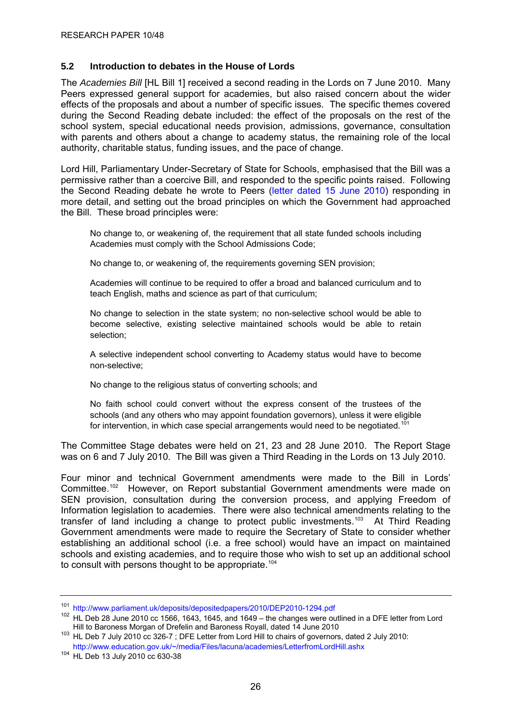#### <span id="page-29-0"></span>**5.2 Introduction to debates in the House of Lords**

The *Academies Bill* [HL Bill 1] received a second reading in the Lords on 7 June 2010. Many Peers expressed general support for academies, but also raised concern about the wider effects of the proposals and about a number of specific issues. The specific themes covered during the Second Reading debate included: the effect of the proposals on the rest of the school system, special educational needs provision, admissions, governance, consultation with parents and others about a change to academy status, the remaining role of the local authority, charitable status, funding issues, and the pace of change.

Lord Hill, Parliamentary Under-Secretary of State for Schools, emphasised that the Bill was a permissive rather than a coercive Bill, and responded to the specific points raised. Following the Second Reading debate he wrote to Peers ([letter dated 15 June 2010](http://www.parliament.uk/deposits/depositedpapers/2010/DEP2010-1294.pdf)) responding in more detail, and setting out the broad principles on which the Government had approached the Bill. These broad principles were:

No change to, or weakening of, the requirement that all state funded schools including Academies must comply with the School Admissions Code;

No change to, or weakening of, the requirements governing SEN provision;

Academies will continue to be required to offer a broad and balanced curriculum and to teach English, maths and science as part of that curriculum;

No change to selection in the state system; no non-selective school would be able to become selective, existing selective maintained schools would be able to retain selection;

A selective independent school converting to Academy status would have to become non-selective;

No change to the religious status of converting schools; and

No faith school could convert without the express consent of the trustees of the schools (and any others who may appoint foundation governors), unless it were eligible for intervention, in which case special arrangements would need to be negotiated.<sup>[101](#page-29-0)</sup>

The Committee Stage debates were held on 21, 23 and 28 June 2010. The Report Stage was on 6 and 7 July 2010. The Bill was given a Third Reading in the Lords on 13 July 2010.

Four minor and technical Government amendments were made to the Bill in Lords' Committee.<sup>[102](#page-29-0)</sup> However, on Report substantial Government amendments were made on SEN provision, consultation during the conversion process, and applying Freedom of Information legislation to academies. There were also technical amendments relating to the transfer of land including a change to protect public investments.<sup>[103](#page-29-0)</sup> At Third Reading Government amendments were made to require the Secretary of State to consider whether establishing an additional school (i.e. a free school) would have an impact on maintained schools and existing academies, and to require those who wish to set up an additional school to consult with persons thought to be appropriate.<sup>[104](#page-29-0)</sup>

<sup>101</sup> <http://www.parliament.uk/deposits/depositedpapers/2010/DEP2010-1294.pdf>

<sup>102</sup> HL Deb 28 June 2010 cc 1566, 1643, 1645, and 1649 – the changes were outlined in a DFE letter from Lord<br>Hill to Baroness Morgan of Drefelin and Baroness Royall, dated 14 June 2010

<sup>103</sup> HL Deb 7 July 2010 cc 326-7 ; DFE Letter from Lord Hill to chairs of governors, dated 2 July 2010:

[http://www.education.gov.uk/~/media/Files/lacuna/academies/LetterfromLordHill.ashx](http://www.education.gov.uk/%7E/media/Files/lacuna/academies/LetterfromLordHill.ashx)

<sup>104</sup> HL Deb 13 July 2010 cc 630-38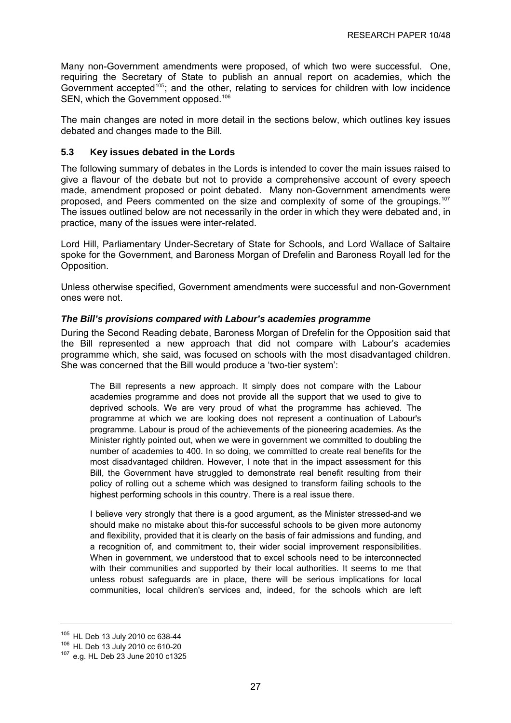<span id="page-30-0"></span>Many non-Government amendments were proposed, of which two were successful. One, requiring the Secretary of State to publish an annual report on academies, which the Government accepted<sup>[105](#page-30-0)</sup>; and the other, relating to services for children with low incidence SEN, which the Government opposed.<sup>[106](#page-30-0)</sup>

The main changes are noted in more detail in the sections below, which outlines key issues debated and changes made to the Bill.

#### **5.3 Key issues debated in the Lords**

The following summary of debates in the Lords is intended to cover the main issues raised to give a flavour of the debate but not to provide a comprehensive account of every speech made, amendment proposed or point debated. Many non-Government amendments were proposed, and Peers commented on the size and complexity of some of the groupings.[107](#page-30-0) The issues outlined below are not necessarily in the order in which they were debated and, in practice, many of the issues were inter-related.

Lord Hill, Parliamentary Under-Secretary of State for Schools, and Lord Wallace of Saltaire spoke for the Government, and Baroness Morgan of Drefelin and Baroness Royall led for the Opposition.

Unless otherwise specified, Government amendments were successful and non-Government ones were not.

#### *The Bill's provisions compared with Labour's academies programme*

During the Second Reading debate, Baroness Morgan of Drefelin for the Opposition said that the Bill represented a new approach that did not compare with Labour's academies programme which, she said, was focused on schools with the most disadvantaged children. She was concerned that the Bill would produce a 'two-tier system':

The Bill represents a new approach. It simply does not compare with the Labour academies programme and does not provide all the support that we used to give to deprived schools. We are very proud of what the programme has achieved. The programme at which we are looking does not represent a continuation of Labour's programme. Labour is proud of the achievements of the pioneering academies. As the Minister rightly pointed out, when we were in government we committed to doubling the number of academies to 400. In so doing, we committed to create real benefits for the most disadvantaged children. However, I note that in the impact assessment for this Bill, the Government have struggled to demonstrate real benefit resulting from their policy of rolling out a scheme which was designed to transform failing schools to the highest performing schools in this country. There is a real issue there.

I believe very strongly that there is a good argument, as the Minister stressed-and we should make no mistake about this-for successful schools to be given more autonomy and flexibility, provided that it is clearly on the basis of fair admissions and funding, and a recognition of, and commitment to, their wider social improvement responsibilities. When in government, we understood that to excel schools need to be interconnected with their communities and supported by their local authorities. It seems to me that unless robust safeguards are in place, there will be serious implications for local communities, local children's services and, indeed, for the schools which are left

<sup>105</sup> HL Deb 13 July 2010 cc 638-44<br><sup>106</sup> HL Deb 13 July 2010 cc 610-20<br><sup>107</sup> e.g. HL Deb 23 June 2010 c1325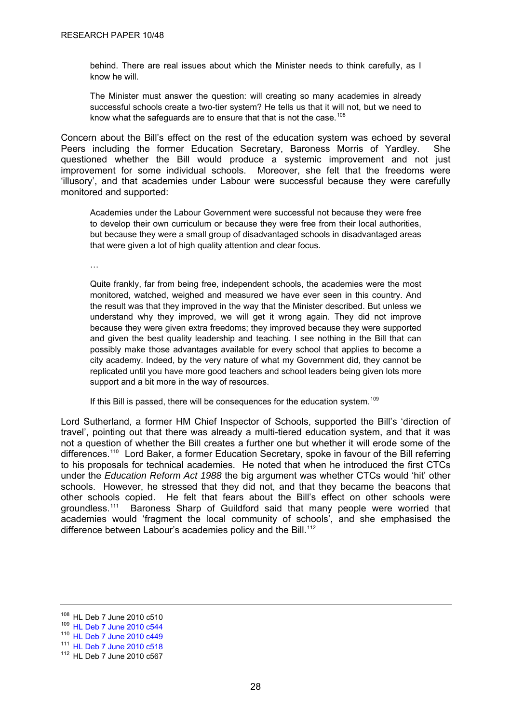<span id="page-31-0"></span>behind. There are real issues about which the Minister needs to think carefully, as I know he will.

The Minister must answer the question: will creating so many academies in already successful schools create a two-tier system? He tells us that it will not, but we need to know what the safeguards are to ensure that that is not the case.<sup>[108](#page-31-0)</sup>

Concern about the Bill's effect on the rest of the education system was echoed by several Peers including the former Education Secretary, Baroness Morris of Yardley. She questioned whether the Bill would produce a systemic improvement and not just improvement for some individual schools. Moreover, she felt that the freedoms were 'illusory', and that academies under Labour were successful because they were carefully monitored and supported:

Academies under the Labour Government were successful not because they were free to develop their own curriculum or because they were free from their local authorities, but because they were a small group of disadvantaged schools in disadvantaged areas that were given a lot of high quality attention and clear focus.

…

Quite frankly, far from being free, independent schools, the academies were the most monitored, watched, weighed and measured we have ever seen in this country. And the result was that they improved in the way that the Minister described. But unless we understand why they improved, we will get it wrong again. They did not improve because they were given extra freedoms; they improved because they were supported and given the best quality leadership and teaching. I see nothing in the Bill that can possibly make those advantages available for every school that applies to become a city academy. Indeed, by the very nature of what my Government did, they cannot be replicated until you have more good teachers and school leaders being given lots more support and a bit more in the way of resources.

If this Bill is passed, there will be consequences for the education system.<sup>[109](#page-31-0)</sup>

Lord Sutherland, a former HM Chief Inspector of Schools, supported the Bill's 'direction of travel', pointing out that there was already a multi-tiered education system, and that it was not a question of whether the Bill creates a further one but whether it will erode some of the differences.<sup>[110](#page-31-0)</sup> Lord Baker, a former Education Secretary, spoke in favour of the Bill referring to his proposals for technical academies. He noted that when he introduced the first CTCs under the *Education Reform Act 1988* the big argument was whether CTCs would 'hit' other schools. However, he stressed that they did not, and that they became the beacons that other schools copied. He felt that fears about the Bill's effect on other schools were groundless.[111](#page-31-0) Baroness Sharp of Guildford said that many people were worried that academies would 'fragment the local community of schools', and she emphasised the difference between Labour's academies policy and the Bill.<sup>[112](#page-31-0)</sup>

 $108$  HL Deb 7 June 2010 c510<br> $109$  [HL Deb 7 June 2010 c544](http://www.publications.parliament.uk/pa/ld201011/ldhansrd/text/100607-0007.htm)

<sup>110</sup> [HL Deb 7 June 2010 c449](http://www.publications.parliament.uk/pa/ld201011/ldhansrd/text/100607-0008.htm)

<sup>111</sup> [HL Deb 7 June 2010 c518](http://www.publications.parliament.uk/pa/ld201011/ldhansrd/text/100607-0003.htm)

<sup>112</sup> HL Deb 7 June 2010 c567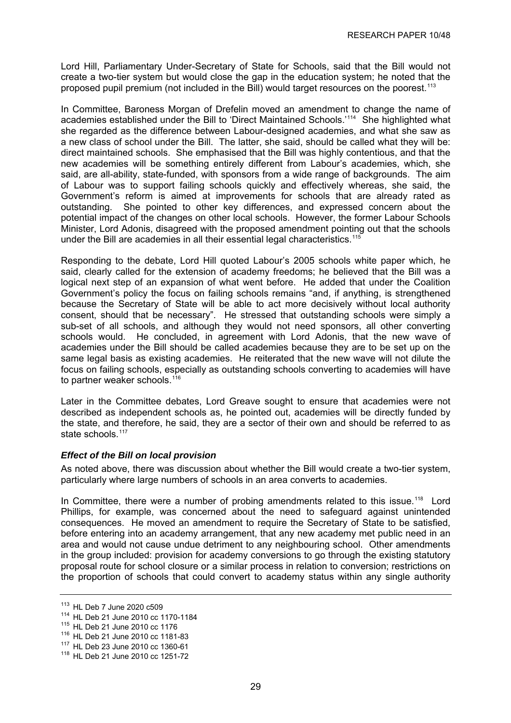<span id="page-32-0"></span>Lord Hill, Parliamentary Under-Secretary of State for Schools, said that the Bill would not create a two-tier system but would close the gap in the education system; he noted that the proposed pupil premium (not included in the Bill) would target resources on the poorest.<sup>[113](#page-32-0)</sup>

In Committee, Baroness Morgan of Drefelin moved an amendment to change the name of academies established under the Bill to 'Direct Maintained Schools.'[114](#page-32-0) She highlighted what she regarded as the difference between Labour-designed academies, and what she saw as a new class of school under the Bill. The latter, she said, should be called what they will be: direct maintained schools. She emphasised that the Bill was highly contentious, and that the new academies will be something entirely different from Labour's academies, which, she said, are all-ability, state-funded, with sponsors from a wide range of backgrounds. The aim of Labour was to support failing schools quickly and effectively whereas, she said, the Government's reform is aimed at improvements for schools that are already rated as outstanding. She pointed to other key differences, and expressed concern about the potential impact of the changes on other local schools. However, the former Labour Schools Minister, Lord Adonis, disagreed with the proposed amendment pointing out that the schools under the Bill are academies in all their essential legal characteristics.<sup>[115](#page-32-0)</sup>

Responding to the debate, Lord Hill quoted Labour's 2005 schools white paper which, he said, clearly called for the extension of academy freedoms; he believed that the Bill was a logical next step of an expansion of what went before. He added that under the Coalition Government's policy the focus on failing schools remains "and, if anything, is strengthened because the Secretary of State will be able to act more decisively without local authority consent, should that be necessary". He stressed that outstanding schools were simply a sub-set of all schools, and although they would not need sponsors, all other converting schools would. He concluded, in agreement with Lord Adonis, that the new wave of academies under the Bill should be called academies because they are to be set up on the same legal basis as existing academies. He reiterated that the new wave will not dilute the focus on failing schools, especially as outstanding schools converting to academies will have to partner weaker schools.<sup>[116](#page-32-0)</sup>

Later in the Committee debates, Lord Greave sought to ensure that academies were not described as independent schools as, he pointed out, academies will be directly funded by the state, and therefore, he said, they are a sector of their own and should be referred to as state schools.<sup>[117](#page-32-0)</sup>

## *Effect of the Bill on local provision*

As noted above, there was discussion about whether the Bill would create a two-tier system, particularly where large numbers of schools in an area converts to academies.

In Committee, there were a number of probing amendments related to this issue.<sup>[118](#page-32-0)</sup> Lord Phillips, for example, was concerned about the need to safeguard against unintended consequences. He moved an amendment to require the Secretary of State to be satisfied, before entering into an academy arrangement, that any new academy met public need in an area and would not cause undue detriment to any neighbouring school. Other amendments in the group included: provision for academy conversions to go through the existing statutory proposal route for school closure or a similar process in relation to conversion; restrictions on the proportion of schools that could convert to academy status within any single authority

<sup>&</sup>lt;sup>113</sup> HL Deb 7 June 2020 c509<br><sup>114</sup> HL Deb 21 June 2010 cc 1170-1184<br><sup>115</sup> HL Deb 21 June 2010 cc 1181-83<br><sup>117</sup> HL Deb 23 June 2010 cc 1360-61<br><sup>118</sup> HL Deb 21 June 2010 cc 1251-72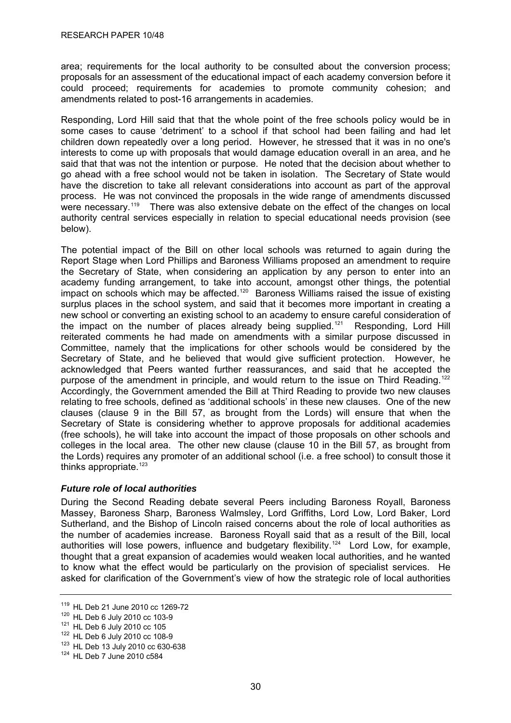<span id="page-33-0"></span>area; requirements for the local authority to be consulted about the conversion process; proposals for an assessment of the educational impact of each academy conversion before it could proceed; requirements for academies to promote community cohesion; and amendments related to post-16 arrangements in academies.

Responding, Lord Hill said that that the whole point of the free schools policy would be in some cases to cause 'detriment' to a school if that school had been failing and had let children down repeatedly over a long period. However, he stressed that it was in no one's interests to come up with proposals that would damage education overall in an area, and he said that that was not the intention or purpose. He noted that the decision about whether to go ahead with a free school would not be taken in isolation. The Secretary of State would have the discretion to take all relevant considerations into account as part of the approval process. He was not convinced the proposals in the wide range of amendments discussed were necessary.<sup>[119](#page-33-0)</sup> There was also extensive debate on the effect of the changes on local authority central services especially in relation to special educational needs provision (see below).

The potential impact of the Bill on other local schools was returned to again during the Report Stage when Lord Phillips and Baroness Williams proposed an amendment to require the Secretary of State, when considering an application by any person to enter into an academy funding arrangement, to take into account, amongst other things, the potential impact on schools which may be affected.<sup>[120](#page-33-0)</sup> Baroness Williams raised the issue of existing surplus places in the school system, and said that it becomes more important in creating a new school or converting an existing school to an academy to ensure careful consideration of the impact on the number of places already being supplied.<sup>[121](#page-33-0)</sup> Responding, Lord Hill reiterated comments he had made on amendments with a similar purpose discussed in Committee, namely that the implications for other schools would be considered by the Secretary of State, and he believed that would give sufficient protection. However, he acknowledged that Peers wanted further reassurances, and said that he accepted the purpose of the amendment in principle, and would return to the issue on Third Reading.<sup>[122](#page-33-0)</sup> Accordingly, the Government amended the Bill at Third Reading to provide two new clauses relating to free schools, defined as 'additional schools' in these new clauses. One of the new clauses (clause 9 in the Bill 57, as brought from the Lords) will ensure that when the Secretary of State is considering whether to approve proposals for additional academies (free schools), he will take into account the impact of those proposals on other schools and colleges in the local area. The other new clause (clause 10 in the Bill 57, as brought from the Lords) requires any promoter of an additional school (i.e. a free school) to consult those it thinks appropriate. $123$ 

## *Future role of local authorities*

During the Second Reading debate several Peers including Baroness Royall, Baroness Massey, Baroness Sharp, Baroness Walmsley, Lord Griffiths, Lord Low, Lord Baker, Lord Sutherland, and the Bishop of Lincoln raised concerns about the role of local authorities as the number of academies increase. Baroness Royall said that as a result of the Bill, local authorities will lose powers, influence and budgetary flexibility.<sup>[124](#page-33-0)</sup> Lord Low, for example, thought that a great expansion of academies would weaken local authorities, and he wanted to know what the effect would be particularly on the provision of specialist services. He asked for clarification of the Government's view of how the strategic role of local authorities

<sup>&</sup>lt;sup>119</sup> HL Deb 21 June 2010 cc 1269-72<br><sup>120</sup> HL Deb 6 July 2010 cc 103-9<br><sup>121</sup> HL Deb 6 July 2010 cc 108-9<br><sup>123</sup> HL Deb 13 July 2010 cc 630-638<br><sup>124</sup> HL Deb 7 June 2010 c584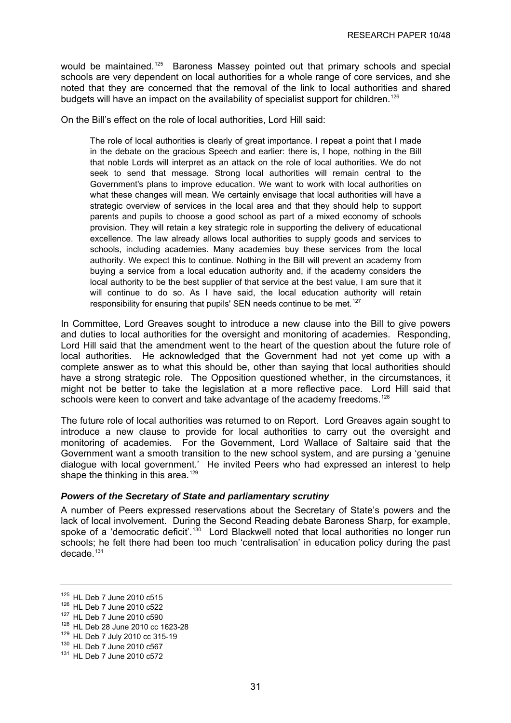<span id="page-34-0"></span>would be maintained.<sup>[125](#page-34-0)</sup> Baroness Massey pointed out that primary schools and special schools are very dependent on local authorities for a whole range of core services, and she noted that they are concerned that the removal of the link to local authorities and shared budgets will have an impact on the availability of specialist support for children.<sup>[126](#page-34-0)</sup>

On the Bill's effect on the role of local authorities, Lord Hill said:

The role of local authorities is clearly of great importance. I repeat a point that I made in the debate on the gracious Speech and earlier: there is, I hope, nothing in the Bill that noble Lords will interpret as an attack on the role of local authorities. We do not seek to send that message. Strong local authorities will remain central to the Government's plans to improve education. We want to work with local authorities on what these changes will mean. We certainly envisage that local authorities will have a strategic overview of services in the local area and that they should help to support parents and pupils to choose a good school as part of a mixed economy of schools provision. They will retain a key strategic role in supporting the delivery of educational excellence. The law already allows local authorities to supply goods and services to schools, including academies. Many academies buy these services from the local authority. We expect this to continue. Nothing in the Bill will prevent an academy from buying a service from a local education authority and, if the academy considers the local authority to be the best supplier of that service at the best value, I am sure that it will continue to do so. As I have said, the local education authority will retain responsibility for ensuring that pupils' SEN needs continue to be met.<sup>[127](#page-34-0)</sup>

In Committee, Lord Greaves sought to introduce a new clause into the Bill to give powers and duties to local authorities for the oversight and monitoring of academies. Responding, Lord Hill said that the amendment went to the heart of the question about the future role of local authorities. He acknowledged that the Government had not yet come up with a complete answer as to what this should be, other than saying that local authorities should have a strong strategic role. The Opposition questioned whether, in the circumstances, it might not be better to take the legislation at a more reflective pace. Lord Hill said that schools were keen to convert and take advantage of the academy freedoms.<sup>[128](#page-34-0)</sup>

The future role of local authorities was returned to on Report. Lord Greaves again sought to introduce a new clause to provide for local authorities to carry out the oversight and monitoring of academies. For the Government, Lord Wallace of Saltaire said that the Government want a smooth transition to the new school system, and are pursing a 'genuine dialogue with local government.' He invited Peers who had expressed an interest to help shape the thinking in this area.<sup>[129](#page-34-0)</sup>

## *Powers of the Secretary of State and parliamentary scrutiny*

A number of Peers expressed reservations about the Secretary of State's powers and the lack of local involvement. During the Second Reading debate Baroness Sharp, for example, spoke of a 'democratic deficit'.<sup>[130](#page-34-0)</sup> Lord Blackwell noted that local authorities no longer run schools; he felt there had been too much 'centralisation' in education policy during the past  $decade.<sup>131</sup>$  $decade.<sup>131</sup>$  $decade.<sup>131</sup>$ 

<sup>125</sup> HL Deb 7 June 2010 c515<br>
126 HL Deb 7 June 2010 c522<br>
127 HL Deb 7 June 2010 cc 1623-28<br>
128 HL Deb 28 June 2010 cc 1623-28<br>
129 HL Deb 7 July 2010 cc 315-19<br>
130 HL Deb 7 June 2010 c567<br>
131 HL Deb 7 June 2010 c572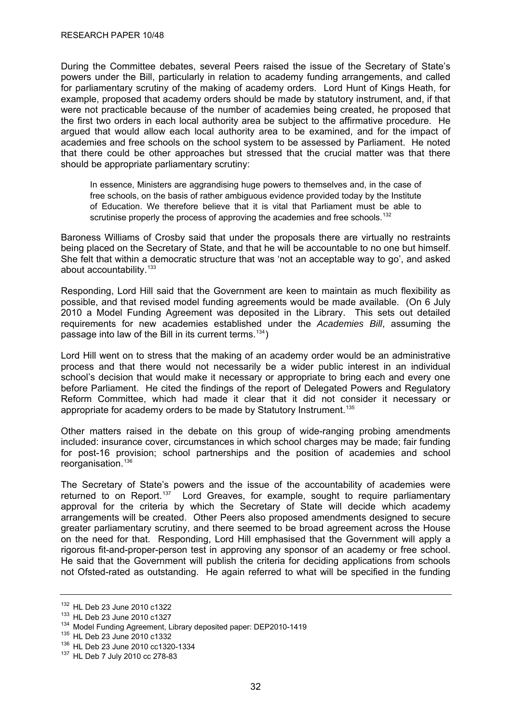<span id="page-35-0"></span>During the Committee debates, several Peers raised the issue of the Secretary of State's powers under the Bill, particularly in relation to academy funding arrangements, and called for parliamentary scrutiny of the making of academy orders. Lord Hunt of Kings Heath, for example, proposed that academy orders should be made by statutory instrument, and, if that were not practicable because of the number of academies being created, he proposed that the first two orders in each local authority area be subject to the affirmative procedure. He argued that would allow each local authority area to be examined, and for the impact of academies and free schools on the school system to be assessed by Parliament. He noted that there could be other approaches but stressed that the crucial matter was that there should be appropriate parliamentary scrutiny:

In essence, Ministers are aggrandising huge powers to themselves and, in the case of free schools, on the basis of rather ambiguous evidence provided today by the Institute of Education. We therefore believe that it is vital that Parliament must be able to scrutinise properly the process of approving the academies and free schools.<sup>[132](#page-35-0)</sup>

Baroness Williams of Crosby said that under the proposals there are virtually no restraints being placed on the Secretary of State, and that he will be accountable to no one but himself. She felt that within a democratic structure that was 'not an acceptable way to go', and asked about accountability.<sup>[133](#page-35-0)</sup>

Responding, Lord Hill said that the Government are keen to maintain as much flexibility as possible, and that revised model funding agreements would be made available. (On 6 July 2010 a Model Funding Agreement was deposited in the Library. This sets out detailed requirements for new academies established under the *Academies Bill*, assuming the passage into law of the Bill in its current terms.  $134$ )

Lord Hill went on to stress that the making of an academy order would be an administrative process and that there would not necessarily be a wider public interest in an individual school's decision that would make it necessary or appropriate to bring each and every one before Parliament. He cited the findings of the report of Delegated Powers and Regulatory Reform Committee, which had made it clear that it did not consider it necessary or appropriate for academy orders to be made by Statutory Instrument.<sup>[135](#page-35-0)</sup>

Other matters raised in the debate on this group of wide-ranging probing amendments included: insurance cover, circumstances in which school charges may be made; fair funding for post-16 provision; school partnerships and the position of academies and school reorganisation.<sup>[136](#page-35-0)</sup>

The Secretary of State's powers and the issue of the accountability of academies were returned to on Report.<sup>[137](#page-35-0)</sup> Lord Greaves, for example, sought to require parliamentary approval for the criteria by which the Secretary of State will decide which academy arrangements will be created. Other Peers also proposed amendments designed to secure greater parliamentary scrutiny, and there seemed to be broad agreement across the House on the need for that. Responding, Lord Hill emphasised that the Government will apply a rigorous fit-and-proper-person test in approving any sponsor of an academy or free school. He said that the Government will publish the criteria for deciding applications from schools not Ofsted-rated as outstanding. He again referred to what will be specified in the funding

<sup>&</sup>lt;sup>132</sup> HL Deb 23 June 2010 c1322<br><sup>133</sup> HL Deb 23 June 2010 c1327<br><sup>134</sup> Model Funding Agreement, Library deposited paper: DEP2010-1419<br><sup>135</sup> HL Deb 23 June 2010 c1332<br><sup>136</sup> HL Deb 23 June 2010 cc1320-1334<br><sup>137</sup> HL Deb 7 Jul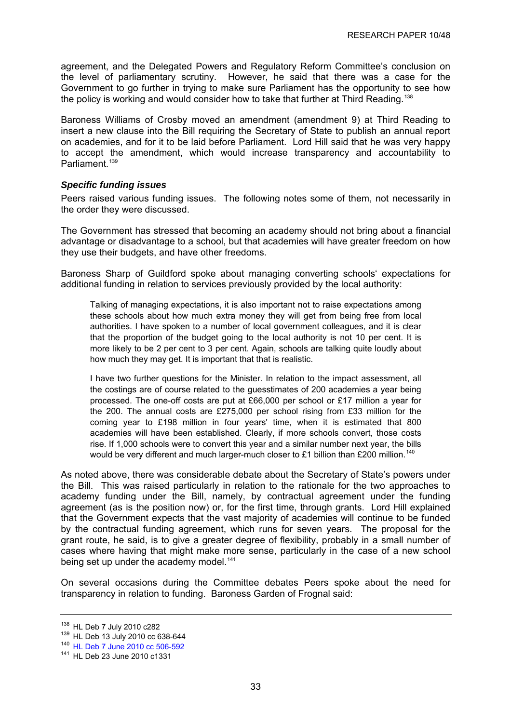<span id="page-36-0"></span>agreement, and the Delegated Powers and Regulatory Reform Committee's conclusion on the level of parliamentary scrutiny. However, he said that there was a case for the Government to go further in trying to make sure Parliament has the opportunity to see how the policy is working and would consider how to take that further at Third Reading.<sup>[138](#page-36-0)</sup>

Baroness Williams of Crosby moved an amendment (amendment 9) at Third Reading to insert a new clause into the Bill requiring the Secretary of State to publish an annual report on academies, and for it to be laid before Parliament. Lord Hill said that he was very happy to accept the amendment, which would increase transparency and accountability to Parliament.<sup>[139](#page-36-0)</sup>

#### *Specific funding issues*

Peers raised various funding issues. The following notes some of them, not necessarily in the order they were discussed.

The Government has stressed that becoming an academy should not bring about a financial advantage or disadvantage to a school, but that academies will have greater freedom on how they use their budgets, and have other freedoms.

Baroness Sharp of Guildford spoke about managing converting schools' expectations for additional funding in relation to services previously provided by the local authority:

Talking of managing expectations, it is also important not to raise expectations among these schools about how much extra money they will get from being free from local authorities. I have spoken to a number of local government colleagues, and it is clear that the proportion of the budget going to the local authority is not 10 per cent. It is more likely to be 2 per cent to 3 per cent. Again, schools are talking quite loudly about how much they may get. It is important that that is realistic.

I have two further questions for the Minister. In relation to the impact assessment, all the costings are of course related to the guesstimates of 200 academies a year being processed. The one-off costs are put at £66,000 per school or £17 million a year for the 200. The annual costs are £275,000 per school rising from £33 million for the coming year to £198 million in four years' time, when it is estimated that 800 academies will have been established. Clearly, if more schools convert, those costs rise. If 1,000 schools were to convert this year and a similar number next year, the bills would be very different and much larger-much closer to £1 billion than £200 million.<sup>[140](#page-36-0)</sup>

As noted above, there was considerable debate about the Secretary of State's powers under the Bill. This was raised particularly in relation to the rationale for the two approaches to academy funding under the Bill, namely, by contractual agreement under the funding agreement (as is the position now) or, for the first time, through grants. Lord Hill explained that the Government expects that the vast majority of academies will continue to be funded by the contractual funding agreement, which runs for seven years. The proposal for the grant route, he said, is to give a greater degree of flexibility, probably in a small number of cases where having that might make more sense, particularly in the case of a new school being set up under the academy model.<sup>[141](#page-36-0)</sup>

On several occasions during the Committee debates Peers spoke about the need for transparency in relation to funding. Baroness Garden of Frognal said:

<sup>&</sup>lt;sup>138</sup> HL Deb 7 July 2010 c282<br><sup>139</sup> HL Deb 13 July 2010 cc 638-644<br><sup>140</sup> [HL Deb 7 June 2010 cc 506-592](http://www.parliament.uk/business/publications/hansard/lords/by-date/?d=7&m=6&y=2010&pageInstanceId=24341)

<sup>141</sup> HL Deb 23 June 2010 c1331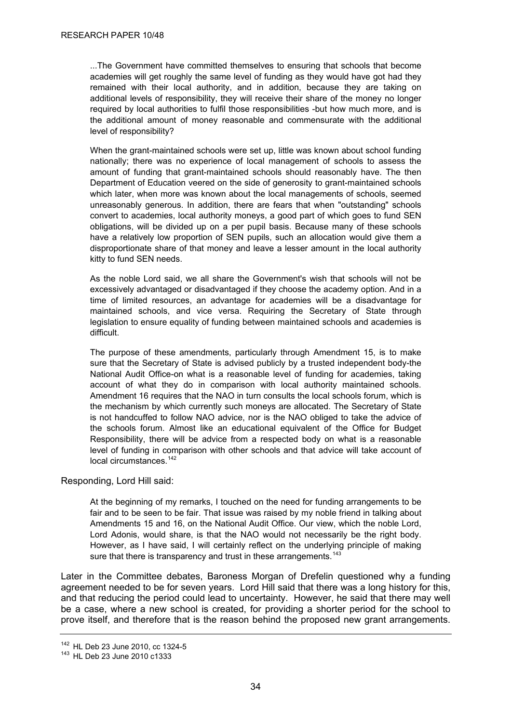<span id="page-37-0"></span>...The Government have committed themselves to ensuring that schools that become academies will get roughly the same level of funding as they would have got had they remained with their local authority, and in addition, because they are taking on additional levels of responsibility, they will receive their share of the money no longer required by local authorities to fulfil those responsibilities -but how much more, and is the additional amount of money reasonable and commensurate with the additional level of responsibility?

When the grant-maintained schools were set up, little was known about school funding nationally; there was no experience of local management of schools to assess the amount of funding that grant-maintained schools should reasonably have. The then Department of Education veered on the side of generosity to grant-maintained schools which later, when more was known about the local managements of schools, seemed unreasonably generous. In addition, there are fears that when "outstanding" schools convert to academies, local authority moneys, a good part of which goes to fund SEN obligations, will be divided up on a per pupil basis. Because many of these schools have a relatively low proportion of SEN pupils, such an allocation would give them a disproportionate share of that money and leave a lesser amount in the local authority kitty to fund SEN needs.

As the noble Lord said, we all share the Government's wish that schools will not be excessively advantaged or disadvantaged if they choose the academy option. And in a time of limited resources, an advantage for academies will be a disadvantage for maintained schools, and vice versa. Requiring the Secretary of State through legislation to ensure equality of funding between maintained schools and academies is difficult.

The purpose of these amendments, particularly through Amendment 15, is to make sure that the Secretary of State is advised publicly by a trusted independent body-the National Audit Office-on what is a reasonable level of funding for academies, taking account of what they do in comparison with local authority maintained schools. Amendment 16 requires that the NAO in turn consults the local schools forum, which is the mechanism by which currently such moneys are allocated. The Secretary of State is not handcuffed to follow NAO advice, nor is the NAO obliged to take the advice of the schools forum. Almost like an educational equivalent of the Office for Budget Responsibility, there will be advice from a respected body on what is a reasonable level of funding in comparison with other schools and that advice will take account of local circumstances.[142](#page-37-0)

Responding, Lord Hill said:

At the beginning of my remarks, I touched on the need for funding arrangements to be fair and to be seen to be fair. That issue was raised by my noble friend in talking about Amendments 15 and 16, on the National Audit Office. Our view, which the noble Lord, Lord Adonis, would share, is that the NAO would not necessarily be the right body. However, as I have said, I will certainly reflect on the underlying principle of making sure that there is transparency and trust in these arrangements.<sup>[143](#page-37-0)</sup>

Later in the Committee debates, Baroness Morgan of Drefelin questioned why a funding agreement needed to be for seven years. Lord Hill said that there was a long history for this, and that reducing the period could lead to uncertainty. However, he said that there may well be a case, where a new school is created, for providing a shorter period for the school to prove itself, and therefore that is the reason behind the proposed new grant arrangements.

 $142$  HL Deb 23 June 2010, cc 1324-5<br> $143$  HL Deb 23 June 2010 c1333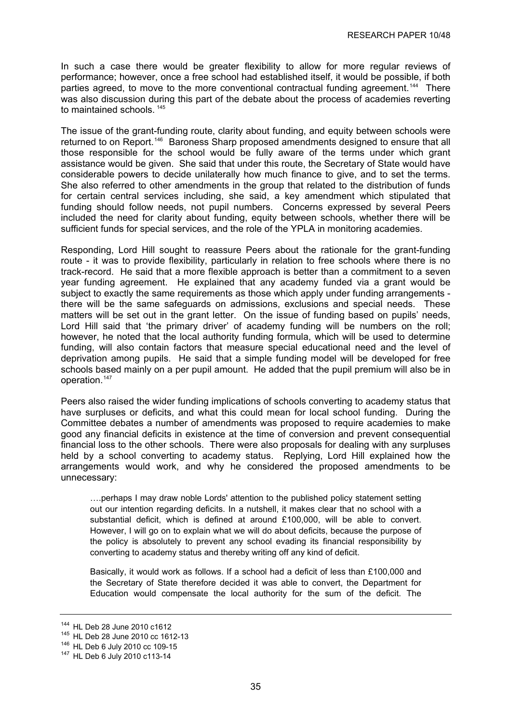<span id="page-38-0"></span>In such a case there would be greater flexibility to allow for more regular reviews of performance; however, once a free school had established itself, it would be possible, if both parties agreed, to move to the more conventional contractual funding agreement.<sup>[144](#page-38-0)</sup> There was also discussion during this part of the debate about the process of academies reverting to maintained schools.<sup>[145](#page-38-0)</sup>

The issue of the grant-funding route, clarity about funding, and equity between schools were returned to on Report.<sup>[146](#page-38-0)</sup> Baroness Sharp proposed amendments designed to ensure that all those responsible for the school would be fully aware of the terms under which grant assistance would be given. She said that under this route, the Secretary of State would have considerable powers to decide unilaterally how much finance to give, and to set the terms. She also referred to other amendments in the group that related to the distribution of funds for certain central services including, she said, a key amendment which stipulated that funding should follow needs, not pupil numbers. Concerns expressed by several Peers included the need for clarity about funding, equity between schools, whether there will be sufficient funds for special services, and the role of the YPLA in monitoring academies.

Responding, Lord Hill sought to reassure Peers about the rationale for the grant-funding route - it was to provide flexibility, particularly in relation to free schools where there is no track-record. He said that a more flexible approach is better than a commitment to a seven year funding agreement. He explained that any academy funded via a grant would be subject to exactly the same requirements as those which apply under funding arrangements there will be the same safeguards on admissions, exclusions and special needs. These matters will be set out in the grant letter. On the issue of funding based on pupils' needs, Lord Hill said that 'the primary driver' of academy funding will be numbers on the roll; however, he noted that the local authority funding formula, which will be used to determine funding, will also contain factors that measure special educational need and the level of deprivation among pupils. He said that a simple funding model will be developed for free schools based mainly on a per pupil amount. He added that the pupil premium will also be in operation.<sup>[147](#page-38-0)</sup>

Peers also raised the wider funding implications of schools converting to academy status that have surpluses or deficits, and what this could mean for local school funding. During the Committee debates a number of amendments was proposed to require academies to make good any financial deficits in existence at the time of conversion and prevent consequential financial loss to the other schools. There were also proposals for dealing with any surpluses held by a school converting to academy status. Replying, Lord Hill explained how the arrangements would work, and why he considered the proposed amendments to be unnecessary:

….perhaps I may draw noble Lords' attention to the published policy statement setting out our intention regarding deficits. In a nutshell, it makes clear that no school with a substantial deficit, which is defined at around £100,000, will be able to convert. However, I will go on to explain what we will do about deficits, because the purpose of the policy is absolutely to prevent any school evading its financial responsibility by converting to academy status and thereby writing off any kind of deficit.

Basically, it would work as follows. If a school had a deficit of less than £100,000 and the Secretary of State therefore decided it was able to convert, the Department for Education would compensate the local authority for the sum of the deficit. The

<sup>&</sup>lt;sup>144</sup> HL Deb 28 June 2010 c1612<br><sup>145</sup> HL Deb 28 June 2010 cc 1612-13<br><sup>146</sup> HL Deb 6 July 2010 c113-14<br><sup>147</sup> HL Deb 6 July 2010 c113-14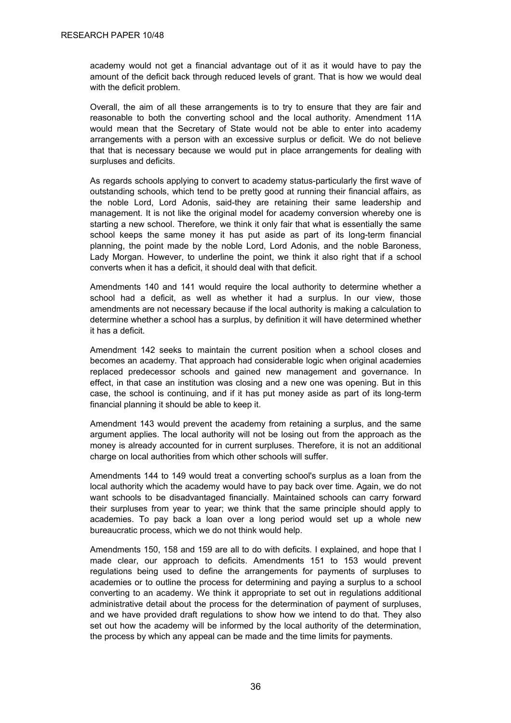academy would not get a financial advantage out of it as it would have to pay the amount of the deficit back through reduced levels of grant. That is how we would deal with the deficit problem.

Overall, the aim of all these arrangements is to try to ensure that they are fair and reasonable to both the converting school and the local authority. Amendment 11A would mean that the Secretary of State would not be able to enter into academy arrangements with a person with an excessive surplus or deficit. We do not believe that that is necessary because we would put in place arrangements for dealing with surpluses and deficits.

As regards schools applying to convert to academy status-particularly the first wave of outstanding schools, which tend to be pretty good at running their financial affairs, as the noble Lord, Lord Adonis, said-they are retaining their same leadership and management. It is not like the original model for academy conversion whereby one is starting a new school. Therefore, we think it only fair that what is essentially the same school keeps the same money it has put aside as part of its long-term financial planning, the point made by the noble Lord, Lord Adonis, and the noble Baroness, Lady Morgan. However, to underline the point, we think it also right that if a school converts when it has a deficit, it should deal with that deficit.

Amendments 140 and 141 would require the local authority to determine whether a school had a deficit, as well as whether it had a surplus. In our view, those amendments are not necessary because if the local authority is making a calculation to determine whether a school has a surplus, by definition it will have determined whether it has a deficit.

Amendment 142 seeks to maintain the current position when a school closes and becomes an academy. That approach had considerable logic when original academies replaced predecessor schools and gained new management and governance. In effect, in that case an institution was closing and a new one was opening. But in this case, the school is continuing, and if it has put money aside as part of its long-term financial planning it should be able to keep it.

Amendment 143 would prevent the academy from retaining a surplus, and the same argument applies. The local authority will not be losing out from the approach as the money is already accounted for in current surpluses. Therefore, it is not an additional charge on local authorities from which other schools will suffer.

Amendments 144 to 149 would treat a converting school's surplus as a loan from the local authority which the academy would have to pay back over time. Again, we do not want schools to be disadvantaged financially. Maintained schools can carry forward their surpluses from year to year; we think that the same principle should apply to academies. To pay back a loan over a long period would set up a whole new bureaucratic process, which we do not think would help.

Amendments 150, 158 and 159 are all to do with deficits. I explained, and hope that I made clear, our approach to deficits. Amendments 151 to 153 would prevent regulations being used to define the arrangements for payments of surpluses to academies or to outline the process for determining and paying a surplus to a school converting to an academy. We think it appropriate to set out in regulations additional administrative detail about the process for the determination of payment of surpluses, and we have provided draft regulations to show how we intend to do that. They also set out how the academy will be informed by the local authority of the determination, the process by which any appeal can be made and the time limits for payments.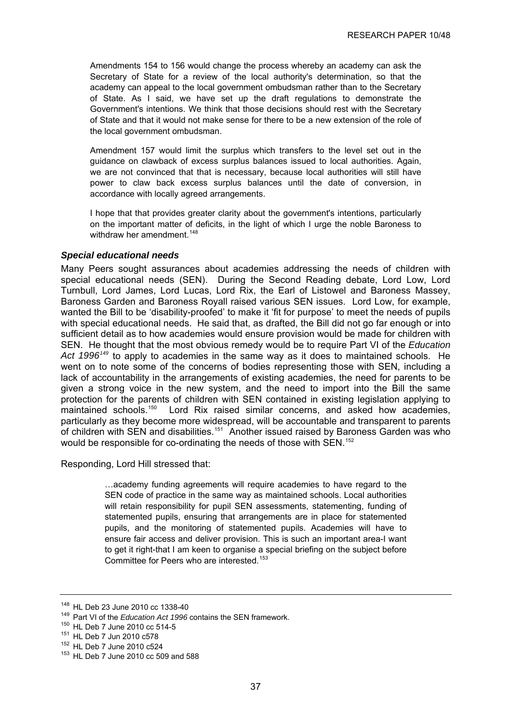<span id="page-40-0"></span>Amendments 154 to 156 would change the process whereby an academy can ask the Secretary of State for a review of the local authority's determination, so that the academy can appeal to the local government ombudsman rather than to the Secretary of State. As I said, we have set up the draft regulations to demonstrate the Government's intentions. We think that those decisions should rest with the Secretary of State and that it would not make sense for there to be a new extension of the role of the local government ombudsman.

Amendment 157 would limit the surplus which transfers to the level set out in the guidance on clawback of excess surplus balances issued to local authorities. Again, we are not convinced that that is necessary, because local authorities will still have power to claw back excess surplus balances until the date of conversion, in accordance with locally agreed arrangements.

I hope that that provides greater clarity about the government's intentions, particularly on the important matter of deficits, in the light of which I urge the noble Baroness to withdraw her amendment.  $148$ 

#### *Special educational needs*

Many Peers sought assurances about academies addressing the needs of children with special educational needs (SEN). During the Second Reading debate, Lord Low, Lord Turnbull, Lord James, Lord Lucas, Lord Rix, the Earl of Listowel and Baroness Massey, Baroness Garden and Baroness Royall raised various SEN issues. Lord Low, for example, wanted the Bill to be 'disability-proofed' to make it 'fit for purpose' to meet the needs of pupils with special educational needs. He said that, as drafted, the Bill did not go far enough or into sufficient detail as to how academies would ensure provision would be made for children with SEN. He thought that the most obvious remedy would be to require Part VI of the *Education Act 1996[149](#page-40-0)* to apply to academies in the same way as it does to maintained schools. He went on to note some of the concerns of bodies representing those with SEN, including a lack of accountability in the arrangements of existing academies, the need for parents to be given a strong voice in the new system, and the need to import into the Bill the same protection for the parents of children with SEN contained in existing legislation applying to maintained schools.<sup>[150](#page-40-0)</sup> Lord Rix raised similar concerns, and asked how academies, particularly as they become more widespread, will be accountable and transparent to parents of children with SEN and disabilities.<sup>[151](#page-40-0)</sup> Another issued raised by Baroness Garden was who would be responsible for co-ordinating the needs of those with SEN.<sup>[152](#page-40-0)</sup>

Responding, Lord Hill stressed that:

…academy funding agreements will require academies to have regard to the SEN code of practice in the same way as maintained schools. Local authorities will retain responsibility for pupil SEN assessments, statementing, funding of statemented pupils, ensuring that arrangements are in place for statemented pupils, and the monitoring of statemented pupils. Academies will have to ensure fair access and deliver provision. This is such an important area-I want to get it right-that I am keen to organise a special briefing on the subject before Committee for Peers who are interested.<sup>[153](#page-40-0)</sup>

<sup>&</sup>lt;sup>148</sup> HL Deb 23 June 2010 cc 1338-40<br><sup>149</sup> Part VI of the *Education Act 1996* contains the SEN framework.<br><sup>150</sup> HL Deb 7 June 2010 cc 514-5<br><sup>151</sup> HL Deb 7 Jun 2010 c578<br><sup>152</sup> HL Deb 7 June 2010 c524<br><sup>153</sup> HL Deb 7 June 2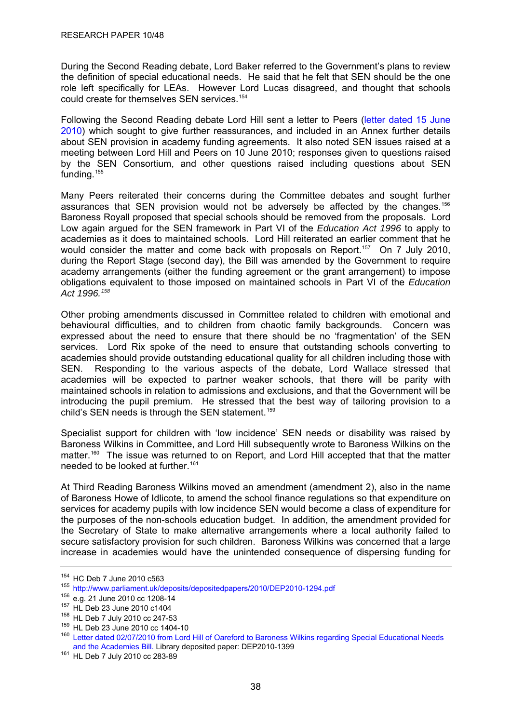<span id="page-41-0"></span>During the Second Reading debate, Lord Baker referred to the Government's plans to review the definition of special educational needs. He said that he felt that SEN should be the one role left specifically for LEAs. However Lord Lucas disagreed, and thought that schools could create for themselves SEN services.<sup>[154](#page-41-0)</sup>

Following the Second Reading debate Lord Hill sent a letter to Peers [\(letter dated 15 June](http://www.parliament.uk/deposits/depositedpapers/2010/DEP2010-1294.pdf)  [2010](http://www.parliament.uk/deposits/depositedpapers/2010/DEP2010-1294.pdf)) which sought to give further reassurances, and included in an Annex further details about SEN provision in academy funding agreements. It also noted SEN issues raised at a meeting between Lord Hill and Peers on 10 June 2010; responses given to questions raised by the SEN Consortium, and other questions raised including questions about SEN funding.<sup>[155](#page-41-0)</sup>

Many Peers reiterated their concerns during the Committee debates and sought further assurances that SEN provision would not be adversely be affected by the changes.<sup>[156](#page-41-0)</sup> Baroness Royall proposed that special schools should be removed from the proposals. Lord Low again argued for the SEN framework in Part VI of the *Education Act 1996* to apply to academies as it does to maintained schools. Lord Hill reiterated an earlier comment that he would consider the matter and come back with proposals on Report.<sup>[157](#page-41-0)</sup> On 7 July 2010, during the Report Stage (second day), the Bill was amended by the Government to require academy arrangements (either the funding agreement or the grant arrangement) to impose obligations equivalent to those imposed on maintained schools in Part VI of the *Education Act 1996.[158](#page-41-0)*

Other probing amendments discussed in Committee related to children with emotional and behavioural difficulties, and to children from chaotic family backgrounds. Concern was expressed about the need to ensure that there should be no 'fragmentation' of the SEN services. Lord Rix spoke of the need to ensure that outstanding schools converting to academies should provide outstanding educational quality for all children including those with SEN. Responding to the various aspects of the debate, Lord Wallace stressed that academies will be expected to partner weaker schools, that there will be parity with maintained schools in relation to admissions and exclusions, and that the Government will be introducing the pupil premium. He stressed that the best way of tailoring provision to a child's SEN needs is through the SEN statement.<sup>[159](#page-41-0)</sup>

Specialist support for children with 'low incidence' SEN needs or disability was raised by Baroness Wilkins in Committee, and Lord Hill subsequently wrote to Baroness Wilkins on the matter.<sup>[160](#page-41-0)</sup> The issue was returned to on Report, and Lord Hill accepted that that the matter needed to be looked at further.<sup>[161](#page-41-0)</sup>

At Third Reading Baroness Wilkins moved an amendment (amendment 2), also in the name of Baroness Howe of Idlicote, to amend the school finance regulations so that expenditure on services for academy pupils with low incidence SEN would become a class of expenditure for the purposes of the non-schools education budget. In addition, the amendment provided for the Secretary of State to make alternative arrangements where a local authority failed to secure satisfactory provision for such children. Baroness Wilkins was concerned that a large increase in academies would have the unintended consequence of dispersing funding for

<sup>&</sup>lt;sup>154</sup> HC Deb 7 June 2010 c563<br><sup>155</sup> <http://www.parliament.uk/deposits/depositedpapers/2010/DEP2010-1294.pdf><br><sup>156</sup> e.g. 21 June 2010 cc 1208-14

<sup>&</sup>lt;sup>157</sup> HL Deb 23 June 2010 c1404<br><sup>158</sup> HL Deb 7 July 2010 cc 247-53<br><sup>159</sup> HL Deb 23 June 2010 cc 1404-10<br><sup>159</sup> HL Deb 23 June 2010 cc 1404-10<br><sup>159</sup> Letter dated 02/07/2010 from Lord Hill of Oareford to Baroness Wilkins rega [and the Academies Bill.](http://www.parliament.uk/deposits/depositedpapers/2010/DEP2010-1399.pdf) Library deposited paper: DEP2010-1399 161 HL Deb 7 July 2010 cc 283-89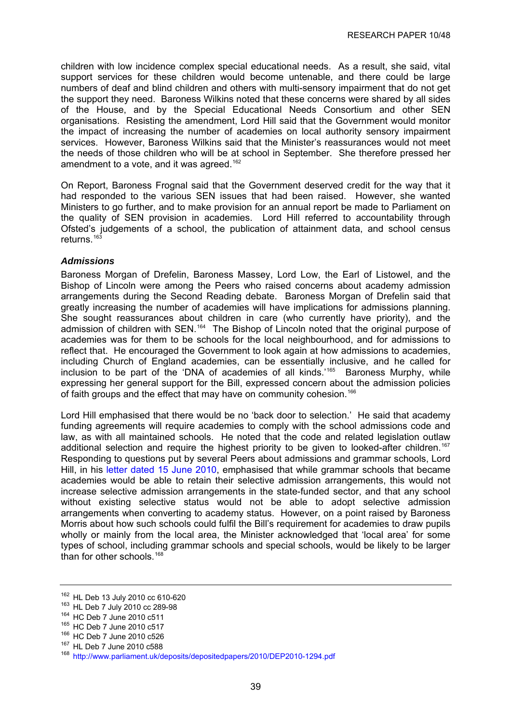<span id="page-42-0"></span>children with low incidence complex special educational needs. As a result, she said, vital support services for these children would become untenable, and there could be large numbers of deaf and blind children and others with multi-sensory impairment that do not get the support they need. Baroness Wilkins noted that these concerns were shared by all sides of the House, and by the Special Educational Needs Consortium and other SEN organisations. Resisting the amendment, Lord Hill said that the Government would monitor the impact of increasing the number of academies on local authority sensory impairment services. However, Baroness Wilkins said that the Minister's reassurances would not meet the needs of those children who will be at school in September. She therefore pressed her amendment to a vote, and it was agreed.<sup>[162](#page-42-0)</sup>

On Report, Baroness Frognal said that the Government deserved credit for the way that it had responded to the various SEN issues that had been raised. However, she wanted Ministers to go further, and to make provision for an annual report be made to Parliament on the quality of SEN provision in academies. Lord Hill referred to accountability through Ofsted's judgements of a school, the publication of attainment data, and school census returns<sup>[163](#page-42-0)</sup>

#### *Admissions*

Baroness Morgan of Drefelin, Baroness Massey, Lord Low, the Earl of Listowel, and the Bishop of Lincoln were among the Peers who raised concerns about academy admission arrangements during the Second Reading debate. Baroness Morgan of Drefelin said that greatly increasing the number of academies will have implications for admissions planning. She sought reassurances about children in care (who currently have priority), and the admission of children with SEN.<sup>[164](#page-42-0)</sup> The Bishop of Lincoln noted that the original purpose of academies was for them to be schools for the local neighbourhood, and for admissions to reflect that. He encouraged the Government to look again at how admissions to academies, including Church of England academies, can be essentially inclusive, and he called for inclusion to be part of the 'DNA of academies of all kinds.'<sup>[165](#page-42-0)</sup> Baroness Murphy, while expressing her general support for the Bill, expressed concern about the admission policies of faith groups and the effect that may have on community cohesion.<sup>[166](#page-42-0)</sup>

Lord Hill emphasised that there would be no 'back door to selection.' He said that academy funding agreements will require academies to comply with the school admissions code and law, as with all maintained schools. He noted that the code and related legislation outlaw additional selection and require the highest priority to be given to looked-after children.<sup>[167](#page-42-0)</sup> Responding to questions put by several Peers about admissions and grammar schools, Lord Hill, in his [letter dated 15 June 2010](http://www.parliament.uk/deposits/depositedpapers/2010/DEP2010-1294.pdf), emphasised that while grammar schools that became academies would be able to retain their selective admission arrangements, this would not increase selective admission arrangements in the state-funded sector, and that any school without existing selective status would not be able to adopt selective admission arrangements when converting to academy status. However, on a point raised by Baroness Morris about how such schools could fulfil the Bill's requirement for academies to draw pupils wholly or mainly from the local area, the Minister acknowledged that 'local area' for some types of school, including grammar schools and special schools, would be likely to be larger than for other schools.<sup>[168](#page-42-0)</sup>

<sup>&</sup>lt;sup>162</sup> HL Deb 13 July 2010 cc 610-620<br>
<sup>162</sup> HL Deb 7 July 2010 cc 289-98<br>
<sup>164</sup> HC Deb 7 June 2010 c511<br>
<sup>165</sup> HC Deb 7 June 2010 c526<br>
<sup>166</sup> HC Deb 7 June 2010 c526<br>
<sup>167</sup> HL Deb 7 June 2010 c588<br>
<sup>167</sup> HL Deb 7 June 201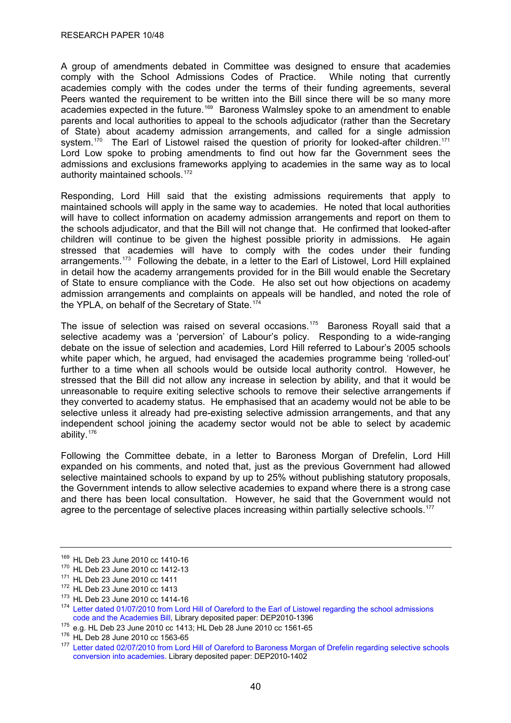<span id="page-43-0"></span>A group of amendments debated in Committee was designed to ensure that academies comply with the School Admissions Codes of Practice. While noting that currently academies comply with the codes under the terms of their funding agreements, several Peers wanted the requirement to be written into the Bill since there will be so many more academies expected in the future.<sup>[169](#page-43-0)</sup> Baroness Walmsley spoke to an amendment to enable parents and local authorities to appeal to the schools adjudicator (rather than the Secretary of State) about academy admission arrangements, and called for a single admission system.<sup>[170](#page-43-0)</sup> The Earl of Listowel raised the question of priority for looked-after children.<sup>[171](#page-43-0)</sup> Lord Low spoke to probing amendments to find out how far the Government sees the admissions and exclusions frameworks applying to academies in the same way as to local authority maintained schools.<sup>[172](#page-43-0)</sup>

Responding, Lord Hill said that the existing admissions requirements that apply to maintained schools will apply in the same way to academies. He noted that local authorities will have to collect information on academy admission arrangements and report on them to the schools adjudicator, and that the Bill will not change that. He confirmed that looked-after children will continue to be given the highest possible priority in admissions. He again stressed that academies will have to comply with the codes under their funding arrangements.<sup>[173](#page-43-0)</sup> Following the debate, in a letter to the Earl of Listowel, Lord Hill explained in detail how the academy arrangements provided for in the Bill would enable the Secretary of State to ensure compliance with the Code. He also set out how objections on academy admission arrangements and complaints on appeals will be handled, and noted the role of the YPLA, on behalf of the Secretary of State.<sup>[174](#page-43-0)</sup>

The issue of selection was raised on several occasions.<sup>[175](#page-43-0)</sup> Baroness Royall said that a selective academy was a 'perversion' of Labour's policy. Responding to a wide-ranging debate on the issue of selection and academies, Lord Hill referred to Labour's 2005 schools white paper which, he argued, had envisaged the academies programme being 'rolled-out' further to a time when all schools would be outside local authority control. However, he stressed that the Bill did not allow any increase in selection by ability, and that it would be unreasonable to require exiting selective schools to remove their selective arrangements if they converted to academy status. He emphasised that an academy would not be able to be selective unless it already had pre-existing selective admission arrangements, and that any independent school joining the academy sector would not be able to select by academic ability.[176](#page-43-0)

Following the Committee debate, in a letter to Baroness Morgan of Drefelin, Lord Hill expanded on his comments, and noted that, just as the previous Government had allowed selective maintained schools to expand by up to 25% without publishing statutory proposals, the Government intends to allow selective academies to expand where there is a strong case and there has been local consultation. However, he said that the Government would not agree to the percentage of selective places increasing within partially selective schools.<sup>[177](#page-43-0)</sup>

<sup>&</sup>lt;sup>169</sup> HL Deb 23 June 2010 cc 1410-16<br>
<sup>170</sup> HL Deb 23 June 2010 cc 1412-13<br>
<sup>171</sup> HL Deb 23 June 2010 cc 1411<br>
<sup>172</sup> HL Deb 23 June 2010 cc 1413<br>
<sup>173</sup> HL Deb 23 June 2010 cc 1414-16<br>
<sup>173</sup> HL Deb 23 June 2010 cc 1414-16<br>

<sup>&</sup>lt;sup>175</sup> e.g. HL Deb 23 June 2010 cc 1413; HL Deb 28 June 2010 cc 1561-65<br><sup>176</sup> HL Deb 28 June 2010 cc 1563-65<br><sup>177</sup> Letter dated 02/07/2010 from Lord Hill of Oareford to Baroness Morgan of Drefelin regarding selective school [conversion into academies.](http://www.parliament.uk/deposits/depositedpapers/2010/DEP2010-1402.pdf) Library deposited paper: DEP2010-1402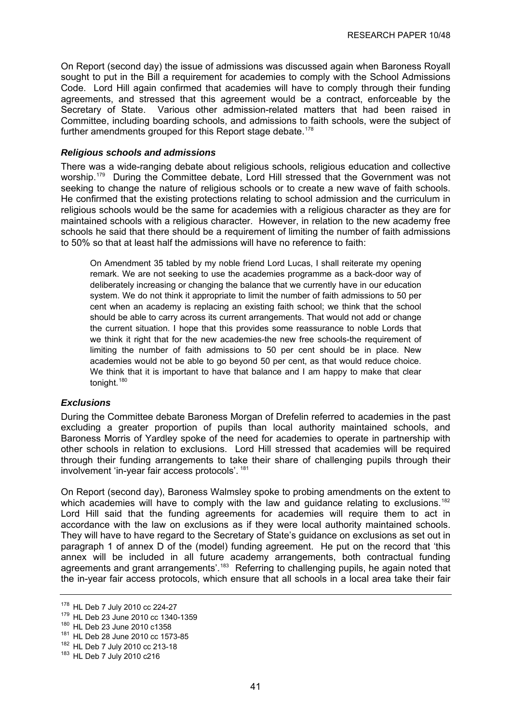<span id="page-44-0"></span>On Report (second day) the issue of admissions was discussed again when Baroness Royall sought to put in the Bill a requirement for academies to comply with the School Admissions Code. Lord Hill again confirmed that academies will have to comply through their funding agreements, and stressed that this agreement would be a contract, enforceable by the Secretary of State. Various other admission-related matters that had been raised in Committee, including boarding schools, and admissions to faith schools, were the subject of further amendments grouped for this Report stage debate.<sup>[178](#page-44-0)</sup>

#### *Religious schools and admissions*

There was a wide-ranging debate about religious schools, religious education and collective worship.<sup>[179](#page-44-0)</sup> During the Committee debate, Lord Hill stressed that the Government was not seeking to change the nature of religious schools or to create a new wave of faith schools. He confirmed that the existing protections relating to school admission and the curriculum in religious schools would be the same for academies with a religious character as they are for maintained schools with a religious character. However, in relation to the new academy free schools he said that there should be a requirement of limiting the number of faith admissions to 50% so that at least half the admissions will have no reference to faith:

On Amendment 35 tabled by my noble friend Lord Lucas, I shall reiterate my opening remark. We are not seeking to use the academies programme as a back-door way of deliberately increasing or changing the balance that we currently have in our education system. We do not think it appropriate to limit the number of faith admissions to 50 per cent when an academy is replacing an existing faith school; we think that the school should be able to carry across its current arrangements. That would not add or change the current situation. I hope that this provides some reassurance to noble Lords that we think it right that for the new academies-the new free schools-the requirement of limiting the number of faith admissions to 50 per cent should be in place. New academies would not be able to go beyond 50 per cent, as that would reduce choice. We think that it is important to have that balance and I am happy to make that clear tonight.<sup>[180](#page-44-0)</sup>

## *Exclusions*

During the Committee debate Baroness Morgan of Drefelin referred to academies in the past excluding a greater proportion of pupils than local authority maintained schools, and Baroness Morris of Yardley spoke of the need for academies to operate in partnership with other schools in relation to exclusions. Lord Hill stressed that academies will be required through their funding arrangements to take their share of challenging pupils through their involvement 'in-year fair access protocols'. [181](#page-44-0)

On Report (second day), Baroness Walmsley spoke to probing amendments on the extent to which academies will have to comply with the law and quidance relating to exclusions.<sup>[182](#page-44-0)</sup> Lord Hill said that the funding agreements for academies will require them to act in accordance with the law on exclusions as if they were local authority maintained schools. They will have to have regard to the Secretary of State's guidance on exclusions as set out in paragraph 1 of annex D of the (model) funding agreement. He put on the record that 'this annex will be included in all future academy arrangements, both contractual funding agreements and grant arrangements'.<sup>183</sup> Referring to challenging pupils, he again noted that the in-year fair access protocols, which ensure that all schools in a local area take their fair

<sup>&</sup>lt;sup>178</sup> HL Deb 7 July 2010 cc 224-27<br><sup>179</sup> HL Deb 23 June 2010 cc 1340-1359<br><sup>180</sup> HL Deb 23 June 2010 c1358<br><sup>181</sup> HL Deb 28 June 2010 cc 1573-85<br><sup>182</sup> HL Deb 7 July 2010 cc 213-18<br><sup>183</sup> HL Deb 7 July 2010 c216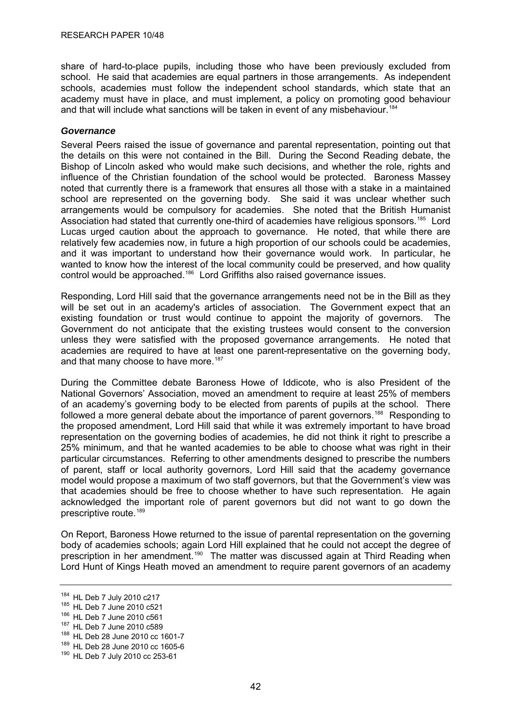<span id="page-45-0"></span>share of hard-to-place pupils, including those who have been previously excluded from school. He said that academies are equal partners in those arrangements. As independent schools, academies must follow the independent school standards, which state that an academy must have in place, and must implement, a policy on promoting good behaviour and that will include what sanctions will be taken in event of any misbehaviour.<sup>[184](#page-45-0)</sup>

#### *Governance*

Several Peers raised the issue of governance and parental representation, pointing out that the details on this were not contained in the Bill. During the Second Reading debate, the Bishop of Lincoln asked who would make such decisions, and whether the role, rights and influence of the Christian foundation of the school would be protected. Baroness Massey noted that currently there is a framework that ensures all those with a stake in a maintained school are represented on the governing body. She said it was unclear whether such arrangements would be compulsory for academies. She noted that the British Humanist Association had stated that currently one-third of academies have religious sponsors.<sup>[185](#page-45-0)</sup> Lord Lucas urged caution about the approach to governance. He noted, that while there are relatively few academies now, in future a high proportion of our schools could be academies, and it was important to understand how their governance would work. In particular, he wanted to know how the interest of the local community could be preserved, and how quality control would be approached.<sup>[186](#page-45-0)</sup> Lord Griffiths also raised governance issues.

Responding, Lord Hill said that the governance arrangements need not be in the Bill as they will be set out in an academy's articles of association. The Government expect that an existing foundation or trust would continue to appoint the majority of governors. The Government do not anticipate that the existing trustees would consent to the conversion unless they were satisfied with the proposed governance arrangements. He noted that academies are required to have at least one parent-representative on the governing body, and that many choose to have more.<sup>[187](#page-45-0)</sup>

During the Committee debate Baroness Howe of Iddicote, who is also President of the National Governors' Association, moved an amendment to require at least 25% of members of an academy's governing body to be elected from parents of pupils at the school. There followed a more general debate about the importance of parent governors.<sup>[188](#page-45-0)</sup> Responding to the proposed amendment, Lord Hill said that while it was extremely important to have broad representation on the governing bodies of academies, he did not think it right to prescribe a 25% minimum, and that he wanted academies to be able to choose what was right in their particular circumstances. Referring to other amendments designed to prescribe the numbers of parent, staff or local authority governors, Lord Hill said that the academy governance model would propose a maximum of two staff governors, but that the Government's view was that academies should be free to choose whether to have such representation. He again acknowledged the important role of parent governors but did not want to go down the prescriptive route.<sup>[189](#page-45-0)</sup>

On Report, Baroness Howe returned to the issue of parental representation on the governing body of academies schools; again Lord Hill explained that he could not accept the degree of prescription in her amendment.[190](#page-45-0) The matter was discussed again at Third Reading when Lord Hunt of Kings Heath moved an amendment to require parent governors of an academy

<sup>&</sup>lt;sup>184</sup> HL Deb 7 July 2010 c217<br><sup>186</sup> HL Deb 7 June 2010 c521<br><sup>186</sup> HL Deb 7 June 2010 c589<br><sup>188</sup> HL Deb 28 June 2010 cc 1601-7<br><sup>189</sup> HL Deb 28 June 2010 cc 1605-6<br><sup>190</sup> HL Deb 7 July 2010 cc 253-61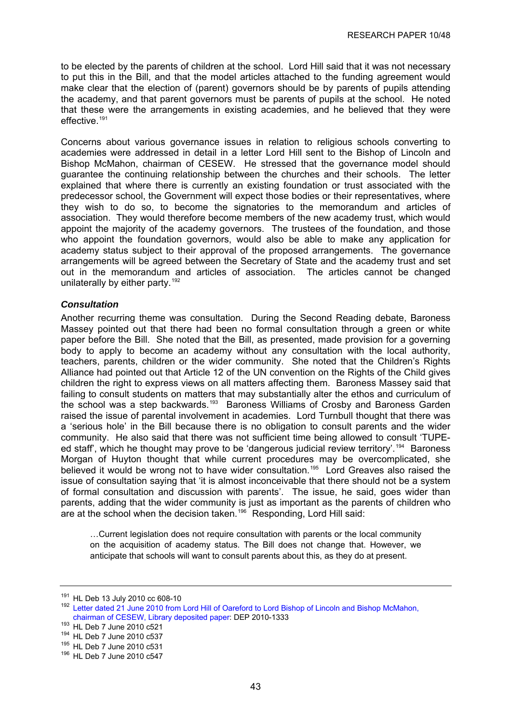<span id="page-46-0"></span>to be elected by the parents of children at the school. Lord Hill said that it was not necessary to put this in the Bill, and that the model articles attached to the funding agreement would make clear that the election of (parent) governors should be by parents of pupils attending the academy, and that parent governors must be parents of pupils at the school. He noted that these were the arrangements in existing academies, and he believed that they were effective.<sup>[191](#page-46-0)</sup>

Concerns about various governance issues in relation to religious schools converting to academies were addressed in detail in a letter Lord Hill sent to the Bishop of Lincoln and Bishop McMahon, chairman of CESEW. He stressed that the governance model should guarantee the continuing relationship between the churches and their schools. The letter explained that where there is currently an existing foundation or trust associated with the predecessor school, the Government will expect those bodies or their representatives, where they wish to do so, to become the signatories to the memorandum and articles of association. They would therefore become members of the new academy trust, which would appoint the majority of the academy governors. The trustees of the foundation, and those who appoint the foundation governors, would also be able to make any application for academy status subject to their approval of the proposed arrangements. The governance arrangements will be agreed between the Secretary of State and the academy trust and set out in the memorandum and articles of association. The articles cannot be changed unilaterally by either party.<sup>[192](#page-46-0)</sup>

#### *Consultation*

Another recurring theme was consultation. During the Second Reading debate, Baroness Massey pointed out that there had been no formal consultation through a green or white paper before the Bill. She noted that the Bill, as presented, made provision for a governing body to apply to become an academy without any consultation with the local authority, teachers, parents, children or the wider community. She noted that the Children's Rights Alliance had pointed out that Article 12 of the UN convention on the Rights of the Child gives children the right to express views on all matters affecting them. Baroness Massey said that failing to consult students on matters that may substantially alter the ethos and curriculum of the school was a step backwards.[193](#page-46-0) Baroness Williams of Crosby and Baroness Garden raised the issue of parental involvement in academies. Lord Turnbull thought that there was a 'serious hole' in the Bill because there is no obligation to consult parents and the wider community. He also said that there was not sufficient time being allowed to consult 'TUPE-ed staff', which he thought may prove to be 'dangerous judicial review territory'.<sup>[194](#page-46-0)</sup> Baroness Morgan of Huyton thought that while current procedures may be overcomplicated, she believed it would be wrong not to have wider consultation.<sup>[195](#page-46-0)</sup> Lord Greaves also raised the issue of consultation saying that 'it is almost inconceivable that there should not be a system of formal consultation and discussion with parents'. The issue, he said, goes wider than parents, adding that the wider community is just as important as the parents of children who are at the school when the decision taken.<sup>[196](#page-46-0)</sup> Responding, Lord Hill said:

…Current legislation does not require consultation with parents or the local community on the acquisition of academy status. The Bill does not change that. However, we anticipate that schools will want to consult parents about this, as they do at present.

<sup>&</sup>lt;sup>191</sup> HL Deb 13 July 2010 cc 608-10<br><sup>192</sup> Letter dated 21 June 2010 from Lord Hill of Oareford to Lord Bishop of Lincoln and Bishop McMahon, [chairman of CESEW, Library deposited paper](http://www.parliament.uk/deposits/depositedpapers/2010/DEP2010-1333.pdf): DEP 2010-1333<br><sup>193</sup> HL Deb 7 June 2010 c521<br><sup>194</sup> HL Deb 7 June 2010 c537<br><sup>195</sup> HL Deb 7 June 2010 c547<br><sup>196</sup> HL Deb 7 June 2010 c547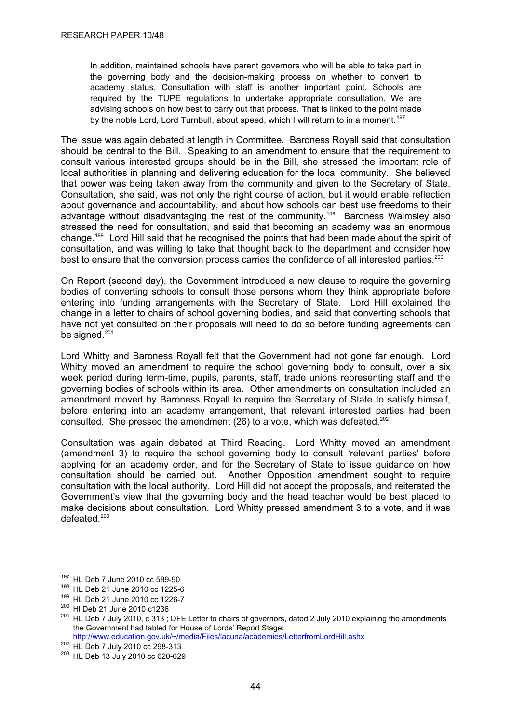<span id="page-47-0"></span>In addition, maintained schools have parent governors who will be able to take part in the governing body and the decision-making process on whether to convert to academy status. Consultation with staff is another important point. Schools are required by the TUPE regulations to undertake appropriate consultation. We are advising schools on how best to carry out that process. That is linked to the point made by the noble Lord, Lord Turnbull, about speed, which I will return to in a moment.<sup>[197](#page-47-0)</sup>

The issue was again debated at length in Committee. Baroness Royall said that consultation should be central to the Bill. Speaking to an amendment to ensure that the requirement to consult various interested groups should be in the Bill, she stressed the important role of local authorities in planning and delivering education for the local community. She believed that power was being taken away from the community and given to the Secretary of State. Consultation, she said, was not only the right course of action, but it would enable reflection about governance and accountability, and about how schools can best use freedoms to their advantage without disadvantaging the rest of the community.<sup>[198](#page-47-0)</sup> Baroness Walmsley also stressed the need for consultation, and said that becoming an academy was an enormous change.[199](#page-47-0) Lord Hill said that he recognised the points that had been made about the spirit of consultation, and was willing to take that thought back to the department and consider how best to ensure that the conversion process carries the confidence of all interested parties.<sup>[200](#page-47-0)</sup>

On Report (second day), the Government introduced a new clause to require the governing bodies of converting schools to consult those persons whom they think appropriate before entering into funding arrangements with the Secretary of State. Lord Hill explained the change in a letter to chairs of school governing bodies, and said that converting schools that have not yet consulted on their proposals will need to do so before funding agreements can be signed.<sup>[201](#page-47-0)</sup>

Lord Whitty and Baroness Royall felt that the Government had not gone far enough. Lord Whitty moved an amendment to require the school governing body to consult, over a six week period during term-time, pupils, parents, staff, trade unions representing staff and the governing bodies of schools within its area. Other amendments on consultation included an amendment moved by Baroness Royall to require the Secretary of State to satisfy himself, before entering into an academy arrangement, that relevant interested parties had been consulted. She pressed the amendment (26) to a vote, which was defeated.<sup>[202](#page-47-0)</sup>

Consultation was again debated at Third Reading. Lord Whitty moved an amendment (amendment 3) to require the school governing body to consult 'relevant parties' before applying for an academy order, and for the Secretary of State to issue guidance on how consultation should be carried out. Another Opposition amendment sought to require consultation with the local authority. Lord Hill did not accept the proposals, and reiterated the Government's view that the governing body and the head teacher would be best placed to make decisions about consultation. Lord Whitty pressed amendment 3 to a vote, and it was defeated.[203](#page-47-0)

<sup>&</sup>lt;sup>197</sup> HL Deb 7 June 2010 cc 589-90<br><sup>198</sup> HL Deb 21 June 2010 cc 1225-6<br><sup>199</sup> HL Deb 21 June 2010 cc 1226-7<br><sup>200</sup> HI Deb 21 June 2010 c1236<br><sup>201</sup> HL Deb 7 July 2010, c 313 ; DFE Letter to chairs of governors, dated 2 July the Government had tabled for House of Lords' Report Stage: [http://www.education.gov.uk/~/media/Files/lacuna/academies/LetterfromLordHill.ashx](http://www.education.gov.uk/%7E/media/Files/lacuna/academies/LetterfromLordHill.ashx)<sup>202</sup> HL Deb 7 July 2010 cc 298-313

<sup>&</sup>lt;sup>203</sup> HL Deb 13 July 2010 cc 620-629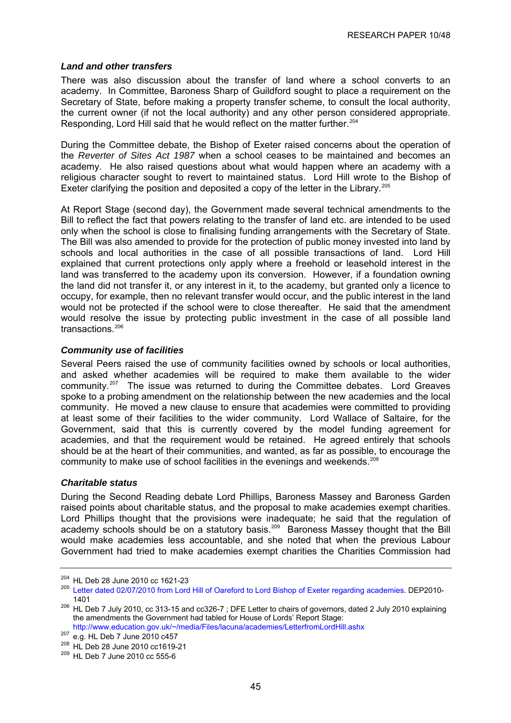#### <span id="page-48-0"></span>*Land and other transfers*

There was also discussion about the transfer of land where a school converts to an academy. In Committee, Baroness Sharp of Guildford sought to place a requirement on the Secretary of State, before making a property transfer scheme, to consult the local authority, the current owner (if not the local authority) and any other person considered appropriate. Responding, Lord Hill said that he would reflect on the matter further.<sup>[204](#page-48-0)</sup>

During the Committee debate, the Bishop of Exeter raised concerns about the operation of the *Reverter of Sites Act 1987* when a school ceases to be maintained and becomes an academy. He also raised questions about what would happen where an academy with a religious character sought to revert to maintained status. Lord Hill wrote to the Bishop of Exeter clarifying the position and deposited a copy of the letter in the Library.<sup>[205](#page-48-0)</sup>

At Report Stage (second day), the Government made several technical amendments to the Bill to reflect the fact that powers relating to the transfer of land etc. are intended to be used only when the school is close to finalising funding arrangements with the Secretary of State. The Bill was also amended to provide for the protection of public money invested into land by schools and local authorities in the case of all possible transactions of land. Lord Hill explained that current protections only apply where a freehold or leasehold interest in the land was transferred to the academy upon its conversion. However, if a foundation owning the land did not transfer it, or any interest in it, to the academy, but granted only a licence to occupy, for example, then no relevant transfer would occur, and the public interest in the land would not be protected if the school were to close thereafter. He said that the amendment would resolve the issue by protecting public investment in the case of all possible land transactions.<sup>[206](#page-48-0)</sup>

#### *Community use of facilities*

Several Peers raised the use of community facilities owned by schools or local authorities, and asked whether academies will be required to make them available to the wider community.[207](#page-48-0) The issue was returned to during the Committee debates. Lord Greaves spoke to a probing amendment on the relationship between the new academies and the local community. He moved a new clause to ensure that academies were committed to providing at least some of their facilities to the wider community. Lord Wallace of Saltaire, for the Government, said that this is currently covered by the model funding agreement for academies, and that the requirement would be retained. He agreed entirely that schools should be at the heart of their communities, and wanted, as far as possible, to encourage the community to make use of school facilities in the evenings and weekends.<sup>[208](#page-48-0)</sup>

#### *Charitable status*

During the Second Reading debate Lord Phillips, Baroness Massey and Baroness Garden raised points about charitable status, and the proposal to make academies exempt charities. Lord Phillips thought that the provisions were inadequate; he said that the regulation of academy schools should be on a statutory basis.<sup>[209](#page-48-0)</sup> Baroness Massey thought that the Bill would make academies less accountable, and she noted that when the previous Labour Government had tried to make academies exempt charities the Charities Commission had

<sup>&</sup>lt;sup>204</sup> HL Deb 28 June 2010 cc 1621-23<br><sup>205</sup> [Letter dated 02/07/2010 from Lord Hill of Oareford to Lord Bishop of Exeter regarding academies](http://www.parliament.uk/deposits/depositedpapers/2010/DEP2010-1401.pdf). DEP2010-

<sup>1401&</sup>lt;br><sup>206</sup> HL Deb 7 July 2010, cc 313-15 and cc326-7 ; DFE Letter to chairs of governors, dated 2 July 2010 explaining the amendments the Government had tabled for House of Lords' Report Stage: [http://www.education.gov.uk/~/media/Files/lacuna/academies/LetterfromLordHill.ashx](http://www.education.gov.uk/%7E/media/Files/lacuna/academies/LetterfromLordHill.ashx)

<sup>207</sup> e.g. HL Deb 7 June 2010 c457<br><sup>208</sup> HL Deb 28 June 2010 cc1619-21<br><sup>209</sup> HL Deb 7 June 2010 cc 555-6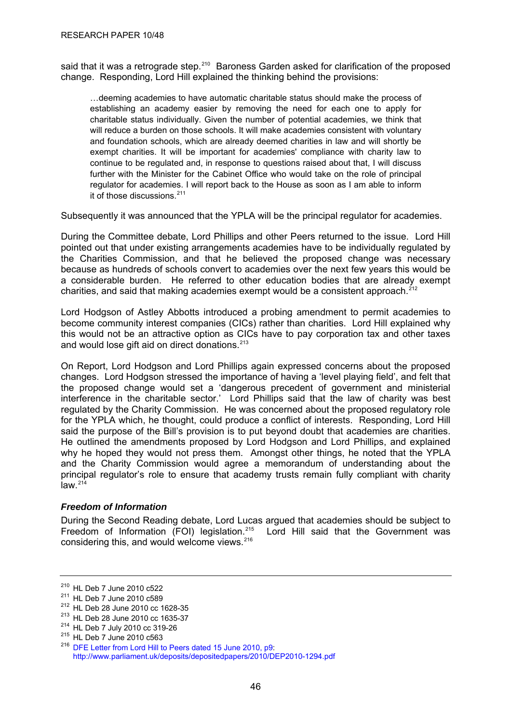<span id="page-49-0"></span>said that it was a retrograde step.<sup>[210](#page-49-0)</sup> Baroness Garden asked for clarification of the proposed change. Responding, Lord Hill explained the thinking behind the provisions:

…deeming academies to have automatic charitable status should make the process of establishing an academy easier by removing the need for each one to apply for charitable status individually. Given the number of potential academies, we think that will reduce a burden on those schools. It will make academies consistent with voluntary and foundation schools, which are already deemed charities in law and will shortly be exempt charities. It will be important for academies' compliance with charity law to continue to be regulated and, in response to questions raised about that, I will discuss further with the Minister for the Cabinet Office who would take on the role of principal regulator for academies. I will report back to the House as soon as I am able to inform it of those discussions.[211](#page-49-0)

Subsequently it was announced that the YPLA will be the principal regulator for academies.

During the Committee debate, Lord Phillips and other Peers returned to the issue. Lord Hill pointed out that under existing arrangements academies have to be individually regulated by the Charities Commission, and that he believed the proposed change was necessary because as hundreds of schools convert to academies over the next few years this would be a considerable burden. He referred to other education bodies that are already exempt charities, and said that making academies exempt would be a consistent approach.<sup>[212](#page-49-0)</sup>

Lord Hodgson of Astley Abbotts introduced a probing amendment to permit academies to become community interest companies (CICs) rather than charities. Lord Hill explained why this would not be an attractive option as CICs have to pay corporation tax and other taxes and would lose gift aid on direct donations.<sup>[213](#page-49-0)</sup>

On Report, Lord Hodgson and Lord Phillips again expressed concerns about the proposed changes. Lord Hodgson stressed the importance of having a 'level playing field', and felt that the proposed change would set a 'dangerous precedent of government and ministerial interference in the charitable sector.' Lord Phillips said that the law of charity was best regulated by the Charity Commission. He was concerned about the proposed regulatory role for the YPLA which, he thought, could produce a conflict of interests. Responding, Lord Hill said the purpose of the Bill's provision is to put beyond doubt that academies are charities. He outlined the amendments proposed by Lord Hodgson and Lord Phillips, and explained why he hoped they would not press them. Amongst other things, he noted that the YPLA and the Charity Commission would agree a memorandum of understanding about the principal regulator's role to ensure that academy trusts remain fully compliant with charity  $law<sup>214</sup>$  $law<sup>214</sup>$  $law<sup>214</sup>$ 

## *Freedom of Information*

During the Second Reading debate, Lord Lucas argued that academies should be subject to Freedom of Information (FOI) legislation.<sup>[215](#page-49-0)</sup> Lord Hill said that the Government was considering this, and would welcome views.<sup>[216](#page-49-0)</sup>

<sup>&</sup>lt;sup>210</sup> HL Deb 7 June 2010 c522<br>
<sup>211</sup> HL Deb 7 June 2010 c589<br>
<sup>212</sup> HL Deb 28 June 2010 cc 1628-35<br>
<sup>213</sup> HL Deb 28 June 2010 cc 1635-37<br>
<sup>214</sup> HL Deb 7 July 2010 cc 319-26<br>
<sup>215</sup> HL Deb 7 June 2010 c563<br>
<sup>216</sup> DFE Letter <http://www.parliament.uk/deposits/depositedpapers/2010/DEP2010-1294.pdf>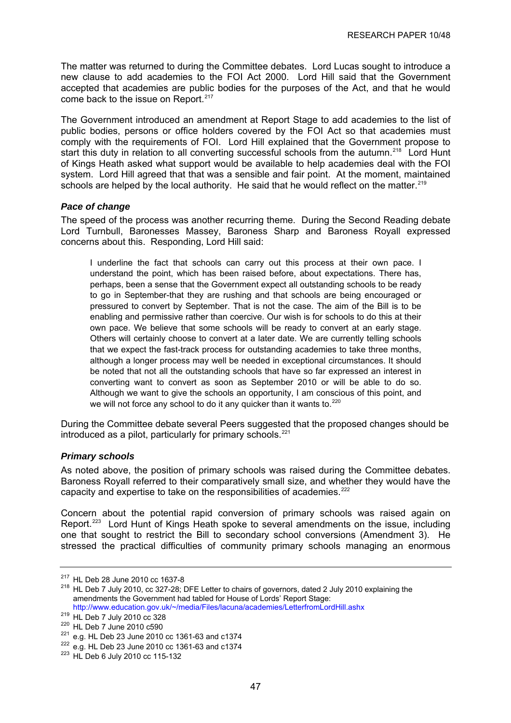<span id="page-50-0"></span>The matter was returned to during the Committee debates. Lord Lucas sought to introduce a new clause to add academies to the FOI Act 2000. Lord Hill said that the Government accepted that academies are public bodies for the purposes of the Act, and that he would come back to the issue on Report.<sup>[217](#page-50-0)</sup>

The Government introduced an amendment at Report Stage to add academies to the list of public bodies, persons or office holders covered by the FOI Act so that academies must comply with the requirements of FOI. Lord Hill explained that the Government propose to start this duty in relation to all converting successful schools from the autumn.<sup>[218](#page-50-0)</sup> Lord Hunt of Kings Heath asked what support would be available to help academies deal with the FOI system. Lord Hill agreed that that was a sensible and fair point. At the moment, maintained schools are helped by the local authority. He said that he would reflect on the matter.<sup>[219](#page-50-0)</sup>

#### *Pace of change*

The speed of the process was another recurring theme. During the Second Reading debate Lord Turnbull, Baronesses Massey, Baroness Sharp and Baroness Royall expressed concerns about this. Responding, Lord Hill said:

I underline the fact that schools can carry out this process at their own pace. I understand the point, which has been raised before, about expectations. There has, perhaps, been a sense that the Government expect all outstanding schools to be ready to go in September-that they are rushing and that schools are being encouraged or pressured to convert by September. That is not the case. The aim of the Bill is to be enabling and permissive rather than coercive. Our wish is for schools to do this at their own pace. We believe that some schools will be ready to convert at an early stage. Others will certainly choose to convert at a later date. We are currently telling schools that we expect the fast-track process for outstanding academies to take three months, although a longer process may well be needed in exceptional circumstances. It should be noted that not all the outstanding schools that have so far expressed an interest in converting want to convert as soon as September 2010 or will be able to do so. Although we want to give the schools an opportunity, I am conscious of this point, and we will not force any school to do it any quicker than it wants to. $220$ 

During the Committee debate several Peers suggested that the proposed changes should be introduced as a pilot, particularly for primary schools. $221$ 

#### *Primary schools*

As noted above, the position of primary schools was raised during the Committee debates. Baroness Royall referred to their comparatively small size, and whether they would have the capacity and expertise to take on the responsibilities of academies.<sup>[222](#page-50-0)</sup>

Concern about the potential rapid conversion of primary schools was raised again on Report.<sup>[223](#page-50-0)</sup> Lord Hunt of Kings Heath spoke to several amendments on the issue, including one that sought to restrict the Bill to secondary school conversions (Amendment 3). He stressed the practical difficulties of community primary schools managing an enormous

<sup>&</sup>lt;sup>217</sup> HL Deb 28 June 2010 cc 1637-8<br><sup>218</sup> HL Deb 7 July 2010, cc 327-28; DFE Letter to chairs of governors, dated 2 July 2010 explaining the amendments the Government had tabled for House of Lords' Report Stage: [http://www.education.gov.uk/~/media/Files/lacuna/academies/LetterfromLordHill.ashx](http://www.education.gov.uk/%7E/media/Files/lacuna/academies/LetterfromLordHill.ashx)<sup>219</sup> HL Deb 7 July 2010 cc 328

<sup>&</sup>lt;sup>220</sup> HL Deb 7 June 2010 c590<br><sup>221</sup> e.g. HL Deb 23 June 2010 cc 1361-63 and c1374<br><sup>222</sup> e.g. HL Deb 23 June 2010 cc 1361-63 and c1374<br><sup>223</sup> HL Deb 6 July 2010 cc 115-132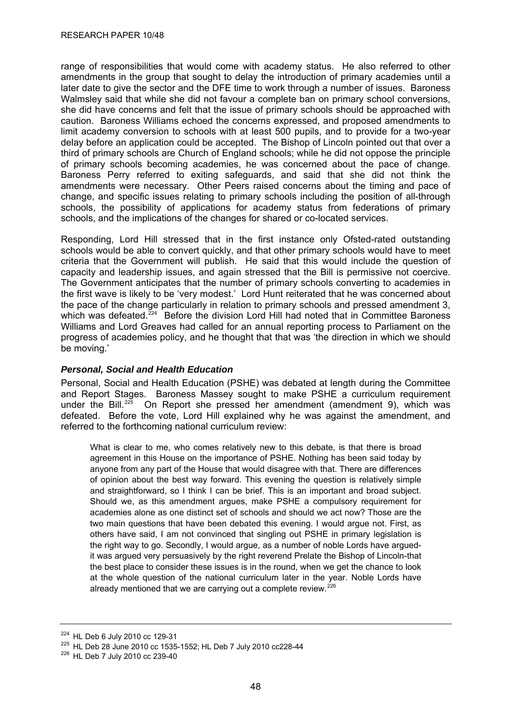<span id="page-51-0"></span>range of responsibilities that would come with academy status. He also referred to other amendments in the group that sought to delay the introduction of primary academies until a later date to give the sector and the DFE time to work through a number of issues. Baroness Walmsley said that while she did not favour a complete ban on primary school conversions, she did have concerns and felt that the issue of primary schools should be approached with caution. Baroness Williams echoed the concerns expressed, and proposed amendments to limit academy conversion to schools with at least 500 pupils, and to provide for a two-year delay before an application could be accepted. The Bishop of Lincoln pointed out that over a third of primary schools are Church of England schools; while he did not oppose the principle of primary schools becoming academies, he was concerned about the pace of change. Baroness Perry referred to exiting safeguards, and said that she did not think the amendments were necessary. Other Peers raised concerns about the timing and pace of change, and specific issues relating to primary schools including the position of all-through schools, the possibility of applications for academy status from federations of primary schools, and the implications of the changes for shared or co-located services.

Responding, Lord Hill stressed that in the first instance only Ofsted-rated outstanding schools would be able to convert quickly, and that other primary schools would have to meet criteria that the Government will publish. He said that this would include the question of capacity and leadership issues, and again stressed that the Bill is permissive not coercive. The Government anticipates that the number of primary schools converting to academies in the first wave is likely to be 'very modest.' Lord Hunt reiterated that he was concerned about the pace of the change particularly in relation to primary schools and pressed amendment 3, which was defeated. $2^{24}$  Before the division Lord Hill had noted that in Committee Baroness Williams and Lord Greaves had called for an annual reporting process to Parliament on the progress of academies policy, and he thought that that was 'the direction in which we should be moving.'

## *Personal, Social and Health Education*

Personal, Social and Health Education (PSHE) was debated at length during the Committee and Report Stages. Baroness Massey sought to make PSHE a curriculum requirement under the Bill.<sup>[225](#page-51-0)</sup> On Report she pressed her amendment (amendment 9), which was defeated. Before the vote, Lord Hill explained why he was against the amendment, and referred to the forthcoming national curriculum review:

What is clear to me, who comes relatively new to this debate, is that there is broad agreement in this House on the importance of PSHE. Nothing has been said today by anyone from any part of the House that would disagree with that. There are differences of opinion about the best way forward. This evening the question is relatively simple and straightforward, so I think I can be brief. This is an important and broad subject. Should we, as this amendment argues, make PSHE a compulsory requirement for academies alone as one distinct set of schools and should we act now? Those are the two main questions that have been debated this evening. I would argue not. First, as others have said, I am not convinced that singling out PSHE in primary legislation is the right way to go. Secondly, I would argue, as a number of noble Lords have arguedit was argued very persuasively by the right reverend Prelate the Bishop of Lincoln-that the best place to consider these issues is in the round, when we get the chance to look at the whole question of the national curriculum later in the year. Noble Lords have already mentioned that we are carrying out a complete review. $226$ 

<sup>&</sup>lt;sup>224</sup> HL Deb 6 July 2010 cc 129-31<br><sup>225</sup> HL Deb 28 June 2010 cc 1535-1552; HL Deb 7 July 2010 cc228-44<br><sup>226</sup> HL Deb 7 July 2010 cc 239-40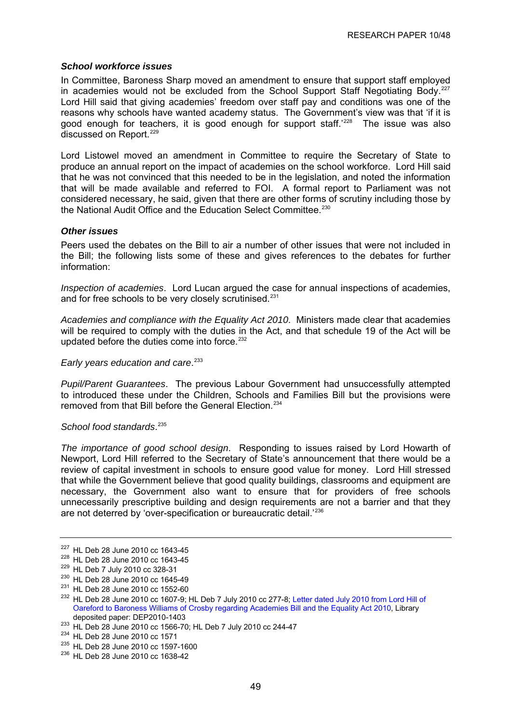#### <span id="page-52-0"></span>*School workforce issues*

In Committee, Baroness Sharp moved an amendment to ensure that support staff employed in academies would not be excluded from the School Support Staff Negotiating Body.<sup>[227](#page-52-0)</sup> Lord Hill said that giving academies' freedom over staff pay and conditions was one of the reasons why schools have wanted academy status. The Government's view was that 'if it is good enough for teachers, it is good enough for support staff.<sup>'[228](#page-52-0)</sup> The issue was also discussed on Report.<sup>[229](#page-52-0)</sup>

Lord Listowel moved an amendment in Committee to require the Secretary of State to produce an annual report on the impact of academies on the school workforce. Lord Hill said that he was not convinced that this needed to be in the legislation, and noted the information that will be made available and referred to FOI. A formal report to Parliament was not considered necessary, he said, given that there are other forms of scrutiny including those by the National Audit Office and the Education Select Committee.<sup>[230](#page-52-0)</sup>

#### *Other issues*

Peers used the debates on the Bill to air a number of other issues that were not included in the Bill; the following lists some of these and gives references to the debates for further information:

*Inspection of academies*. Lord Lucan argued the case for annual inspections of academies, and for free schools to be very closely scrutinised.<sup>[231](#page-52-0)</sup>

*Academies and compliance with the Equality Act 2010*. Ministers made clear that academies will be required to comply with the duties in the Act, and that schedule 19 of the Act will be updated before the duties come into force.<sup>[232](#page-52-0)</sup>

*Early years education and care*. [233](#page-52-0)

*Pupil/Parent Guarantees*. The previous Labour Government had unsuccessfully attempted to introduced these under the Children, Schools and Families Bill but the provisions were removed from that Bill before the General Election.<sup>[234](#page-52-0)</sup>

#### *School food standards*. [235](#page-52-0)

*The importance of good school design*. Responding to issues raised by Lord Howarth of Newport, Lord Hill referred to the Secretary of State's announcement that there would be a review of capital investment in schools to ensure good value for money. Lord Hill stressed that while the Government believe that good quality buildings, classrooms and equipment are necessary, the Government also want to ensure that for providers of free schools unnecessarily prescriptive building and design requirements are not a barrier and that they are not deterred by 'over-specification or bureaucratic detail.'[236](#page-52-0)

<sup>&</sup>lt;sup>227</sup> HL Deb 28 June 2010 cc 1643-45<br>
<sup>228</sup> HL Deb 28 June 2010 cc 1643-45<br>
<sup>229</sup> HL Deb 7 July 2010 cc 328-31<br>
<sup>230</sup> HL Deb 28 June 2010 cc 1645-49<br>
<sup>231</sup> HL Deb 28 June 2010 cc 1552-60<br>
<sup>232</sup> HL Deb 28 June 2010 cc 1607 [Oareford to Baroness Williams of Crosby regarding Academies Bill and the Equality Act 2010](http://www.parliament.uk/deposits/depositedpapers/2010/DEP2010-1403.pdf), Library

<sup>233</sup> HL Deb 28 June 2010 cc 1566-70; HL Deb 7 July 2010 cc 244-47<br>
<sup>234</sup> HL Deb 28 June 2010 cc 1571<br>
<sup>235</sup> HL Deb 28 June 2010 cc 1597-1600<br>
<sup>236</sup> HL Deb 28 June 2010 cc 1638-42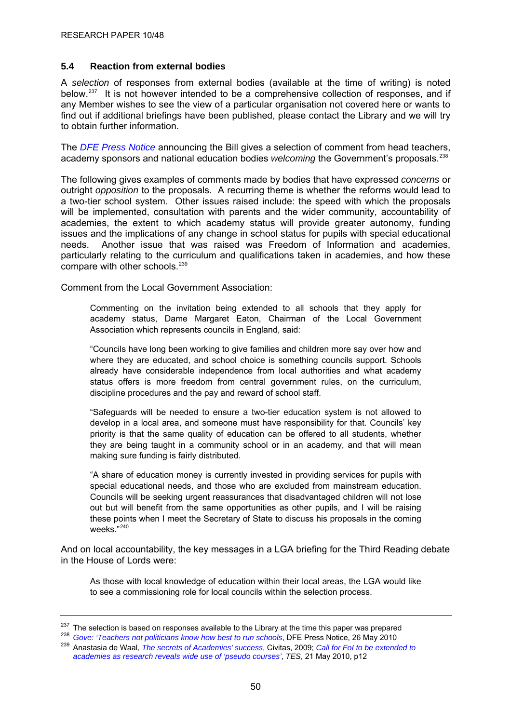## <span id="page-53-0"></span>**5.4 Reaction from external bodies**

A *selection* of responses from external bodies (available at the time of writing) is noted below.<sup>[237](#page-53-0)</sup> It is not however intended to be a comprehensive collection of responses, and if any Member wishes to see the view of a particular organisation not covered here or wants to find out if additional briefings have been published, please contact the Library and we will try to obtain further information.

The *[DFE Press Notice](http://www.education.gov.uk/news/press-notices-new/academiesannouncement)* announcing the Bill gives a selection of comment from head teachers, academy sponsors and national education bodies *welcoming* the Government's proposals.<sup>[238](#page-53-0)</sup>

The following gives examples of comments made by bodies that have expressed *concerns* or outright *opposition* to the proposals. A recurring theme is whether the reforms would lead to a two-tier school system. Other issues raised include: the speed with which the proposals will be implemented, consultation with parents and the wider community, accountability of academies, the extent to which academy status will provide greater autonomy, funding issues and the implications of any change in school status for pupils with special educational needs. Another issue that was raised was Freedom of Information and academies, particularly relating to the curriculum and qualifications taken in academies, and how these compare with other schools.<sup>[239](#page-53-0)</sup>

Comment from the Local Government Association:

Commenting on the invitation being extended to all schools that they apply for academy status, Dame Margaret Eaton, Chairman of the Local Government Association which represents councils in England, said:

"Councils have long been working to give families and children more say over how and where they are educated, and school choice is something councils support. Schools already have considerable independence from local authorities and what academy status offers is more freedom from central government rules, on the curriculum, discipline procedures and the pay and reward of school staff.

"Safeguards will be needed to ensure a two-tier education system is not allowed to develop in a local area, and someone must have responsibility for that. Councils' key priority is that the same quality of education can be offered to all students, whether they are being taught in a community school or in an academy, and that will mean making sure funding is fairly distributed.

"A share of education money is currently invested in providing services for pupils with special educational needs, and those who are excluded from mainstream education. Councils will be seeking urgent reassurances that disadvantaged children will not lose out but will benefit from the same opportunities as other pupils, and I will be raising these points when I meet the Secretary of State to discuss his proposals in the coming weeks."[240](#page-53-0)

And on local accountability, the key messages in a LGA briefing for the Third Reading debate in the House of Lords were:

As those with local knowledge of education within their local areas, the LGA would like to see a commissioning role for local councils within the selection process.

<sup>&</sup>lt;sup>237</sup> The selection is based on responses available to the Library at the time this paper was prepared<br><sup>238</sup> Gove: 'Teachers not politicians know how best to run schools, DFE Press Notice, 26 May 2010<br><sup>239</sup> Anastasia de W

*[academies as research reveals wide use of 'pseudo courses'](http://www.tes.co.uk/article.aspx?storycode=6044580)*, *TES*, 21 May 2010, p12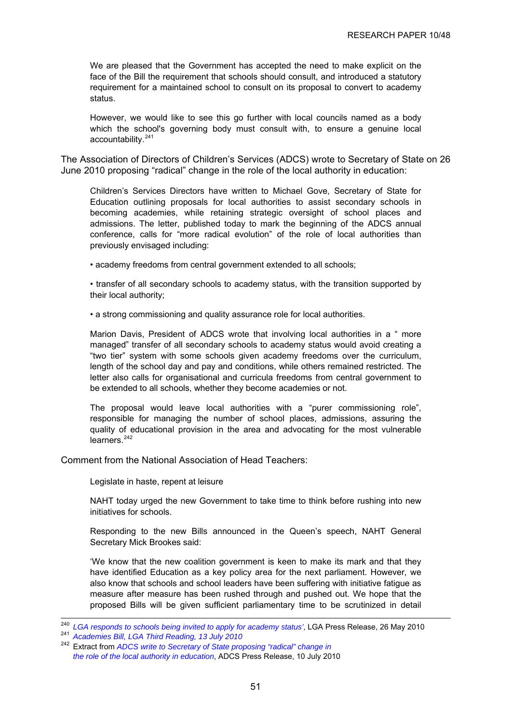<span id="page-54-0"></span>We are pleased that the Government has accepted the need to make explicit on the face of the Bill the requirement that schools should consult, and introduced a statutory requirement for a maintained school to consult on its proposal to convert to academy status.

However, we would like to see this go further with local councils named as a body which the school's governing body must consult with, to ensure a genuine local accountability.<sup>[241](#page-54-0)</sup>

The Association of Directors of Children's Services (ADCS) wrote to Secretary of State on 26 June 2010 proposing "radical" change in the role of the local authority in education:

Children's Services Directors have written to Michael Gove, Secretary of State for Education outlining proposals for local authorities to assist secondary schools in becoming academies, while retaining strategic oversight of school places and admissions. The letter, published today to mark the beginning of the ADCS annual conference, calls for "more radical evolution" of the role of local authorities than previously envisaged including:

• academy freedoms from central government extended to all schools;

• transfer of all secondary schools to academy status, with the transition supported by their local authority;

• a strong commissioning and quality assurance role for local authorities.

Marion Davis, President of ADCS wrote that involving local authorities in a " more managed" transfer of all secondary schools to academy status would avoid creating a "two tier" system with some schools given academy freedoms over the curriculum, length of the school day and pay and conditions, while others remained restricted. The letter also calls for organisational and curricula freedoms from central government to be extended to all schools, whether they become academies or not.

The proposal would leave local authorities with a "purer commissioning role", responsible for managing the number of school places, admissions, assuring the quality of educational provision in the area and advocating for the most vulnerable learners.<sup>[242](#page-54-0)</sup>

Comment from the National Association of Head Teachers:

Legislate in haste, repent at leisure

NAHT today urged the new Government to take time to think before rushing into new initiatives for schools.

Responding to the new Bills announced in the Queen's speech, NAHT General Secretary Mick Brookes said:

'We know that the new coalition government is keen to make its mark and that they have identified Education as a key policy area for the next parliament. However, we also know that schools and school leaders have been suffering with initiative fatigue as measure after measure has been rushed through and pushed out. We hope that the proposed Bills will be given sufficient parliamentary time to be scrutinized in detail

<sup>&</sup>lt;sup>240</sup> LGA responds to schools being invited to apply for academy status', LGA Press Release, 26 May 2010<br><sup>241</sup> Academies Bill, LGA Third Reading, 13 July 2010

<sup>242</sup> Extract from *[ADCS write to Secretary of State proposing "radical" change in](http://www.adcs.org.uk/download/press-release/july-10/conference-pr-schools.pdf)   [the role of the local authority in education](http://www.adcs.org.uk/download/press-release/july-10/conference-pr-schools.pdf)*, ADCS Press Release, 10 July 2010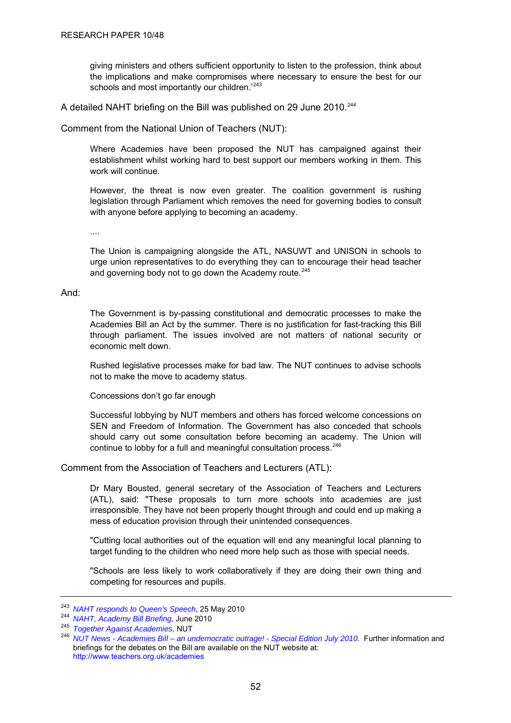<span id="page-55-0"></span>giving ministers and others sufficient opportunity to listen to the profession, think about the implications and make compromises where necessary to ensure the best for our schools and most importantly our children.<sup>'[243](#page-55-0)</sup>

A detailed NAHT briefing on the Bill was published on 29 June 2010.<sup>[244](#page-55-0)</sup>

Comment from the National Union of Teachers (NUT):

Where Academies have been proposed the NUT has campaigned against their establishment whilst working hard to best support our members working in them. This work will continue.

However, the threat is now even greater. The coalition government is rushing legislation through Parliament which removes the need for governing bodies to consult with anyone before applying to becoming an academy.

....

The Union is campaigning alongside the ATL, NASUWT and UNISON in schools to urge union representatives to do everything they can to encourage their head teacher and governing body not to go down the Academy route.<sup>[245](#page-55-0)</sup>

#### And:

The Government is by-passing constitutional and democratic processes to make the Academies Bill an Act by the summer. There is no justification for fast-tracking this Bill through parliament. The issues involved are not matters of national security or economic melt down.

Rushed legislative processes make for bad law. The NUT continues to advise schools not to make the move to academy status.

Concessions don't go far enough

Successful lobbying by NUT members and others has forced welcome concessions on SEN and Freedom of Information. The Government has also conceded that schools should carry out some consultation before becoming an academy. The Union will continue to lobby for a full and meaningful consultation process.<sup>[246](#page-55-0)</sup>

Comment from the Association of Teachers and Lecturers (ATL):

Dr Mary Bousted, general secretary of the Association of Teachers and Lecturers (ATL), said: "These proposals to turn more schools into academies are just irresponsible. They have not been properly thought through and could end up making a mess of education provision through their unintended consequences.

"Cutting local authorities out of the equation will end any meaningful local planning to target funding to the children who need more help such as those with special needs.

"Schools are less likely to work collaboratively if they are doing their own thing and competing for resources and pupils.

<sup>&</sup>lt;sup>243</sup> NAHT responds to Queen's Speech[,](http://www.naht.org.uk/welcome/resources/key-topics/government-policy/naht-responds-to-queens-speech/) 25 May 2010<br><sup>244</sup> NAHT, Academy Bill Briefing, June 2010<br><sup>245</sup> Together Against Academies, NUT<br><sup>246</sup> [NUT News - Academies Bill – an undemocratic outrage! - Special Edition July 2010](http://www.teachers.org.uk/node/11781). briefings for the debates on the Bill are available on the NUT website at: <http://www.teachers.org.uk/academies>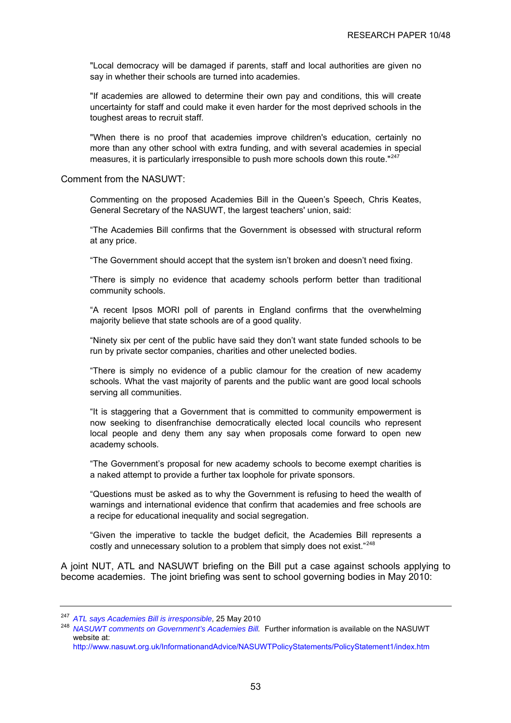<span id="page-56-0"></span>"Local democracy will be damaged if parents, staff and local authorities are given no say in whether their schools are turned into academies.

"If academies are allowed to determine their own pay and conditions, this will create uncertainty for staff and could make it even harder for the most deprived schools in the toughest areas to recruit staff.

"When there is no proof that academies improve children's education, certainly no more than any other school with extra funding, and with several academies in special measures, it is particularly irresponsible to push more schools down this route." $247$ 

Comment from the NASUWT:

Commenting on the proposed Academies Bill in the Queen's Speech, Chris Keates, General Secretary of the NASUWT, the largest teachers' union, said:

"The Academies Bill confirms that the Government is obsessed with structural reform at any price.

"The Government should accept that the system isn't broken and doesn't need fixing.

"There is simply no evidence that academy schools perform better than traditional community schools.

"A recent Ipsos MORI poll of parents in England confirms that the overwhelming majority believe that state schools are of a good quality.

"Ninety six per cent of the public have said they don't want state funded schools to be run by private sector companies, charities and other unelected bodies.

"There is simply no evidence of a public clamour for the creation of new academy schools. What the vast majority of parents and the public want are good local schools serving all communities.

"It is staggering that a Government that is committed to community empowerment is now seeking to disenfranchise democratically elected local councils who represent local people and deny them any say when proposals come forward to open new academy schools.

"The Government's proposal for new academy schools to become exempt charities is a naked attempt to provide a further tax loophole for private sponsors.

"Questions must be asked as to why the Government is refusing to heed the wealth of warnings and international evidence that confirm that academies and free schools are a recipe for educational inequality and social segregation.

"Given the imperative to tackle the budget deficit, the Academies Bill represents a costly and unnecessary solution to a problem that simply does not exist."<sup>[248](#page-56-0)</sup>

A joint NUT, ATL and NASUWT briefing on the Bill put a case against schools applying to become academies. The joint briefing was sent to school governing bodies in May 2010:

<sup>&</sup>lt;sup>247</sup> ATL says Academies Bill is irresponsible[,](http://www.atl.org.uk/media-office/media-archive/ATL-says-Academies-Bill-is-irresponsible.asp) 25 May 2010<br><sup>248</sup> *NASUWT comments on Government's Academies Bill.* Further information is available on the NASUWT website at:

<http://www.nasuwt.org.uk/InformationandAdvice/NASUWTPolicyStatements/PolicyStatement1/index.htm>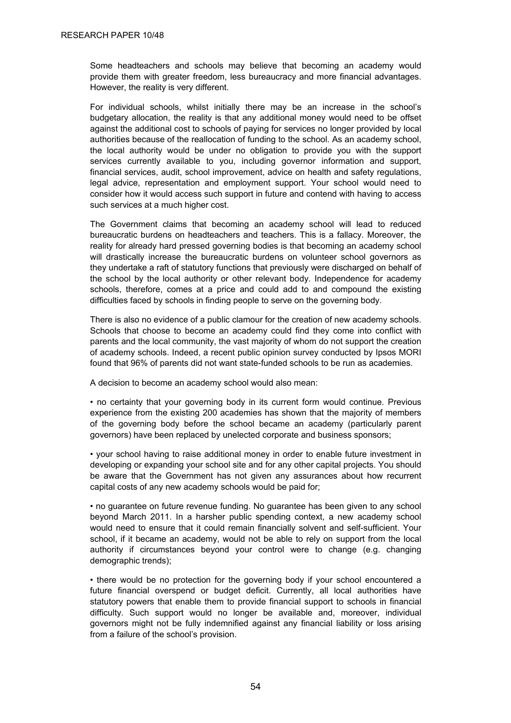Some headteachers and schools may believe that becoming an academy would provide them with greater freedom, less bureaucracy and more financial advantages. However, the reality is very different.

For individual schools, whilst initially there may be an increase in the school's budgetary allocation, the reality is that any additional money would need to be offset against the additional cost to schools of paying for services no longer provided by local authorities because of the reallocation of funding to the school. As an academy school, the local authority would be under no obligation to provide you with the support services currently available to you, including governor information and support, financial services, audit, school improvement, advice on health and safety regulations, legal advice, representation and employment support. Your school would need to consider how it would access such support in future and contend with having to access such services at a much higher cost.

The Government claims that becoming an academy school will lead to reduced bureaucratic burdens on headteachers and teachers. This is a fallacy. Moreover, the reality for already hard pressed governing bodies is that becoming an academy school will drastically increase the bureaucratic burdens on volunteer school governors as they undertake a raft of statutory functions that previously were discharged on behalf of the school by the local authority or other relevant body. Independence for academy schools, therefore, comes at a price and could add to and compound the existing difficulties faced by schools in finding people to serve on the governing body.

There is also no evidence of a public clamour for the creation of new academy schools. Schools that choose to become an academy could find they come into conflict with parents and the local community, the vast majority of whom do not support the creation of academy schools. Indeed, a recent public opinion survey conducted by Ipsos MORI found that 96% of parents did not want state-funded schools to be run as academies.

A decision to become an academy school would also mean:

• no certainty that your governing body in its current form would continue. Previous experience from the existing 200 academies has shown that the majority of members of the governing body before the school became an academy (particularly parent governors) have been replaced by unelected corporate and business sponsors;

• your school having to raise additional money in order to enable future investment in developing or expanding your school site and for any other capital projects. You should be aware that the Government has not given any assurances about how recurrent capital costs of any new academy schools would be paid for;

• no guarantee on future revenue funding. No guarantee has been given to any school beyond March 2011. In a harsher public spending context, a new academy school would need to ensure that it could remain financially solvent and self-sufficient. Your school, if it became an academy, would not be able to rely on support from the local authority if circumstances beyond your control were to change (e.g. changing demographic trends);

• there would be no protection for the governing body if your school encountered a future financial overspend or budget deficit. Currently, all local authorities have statutory powers that enable them to provide financial support to schools in financial difficulty. Such support would no longer be available and, moreover, individual governors might not be fully indemnified against any financial liability or loss arising from a failure of the school's provision.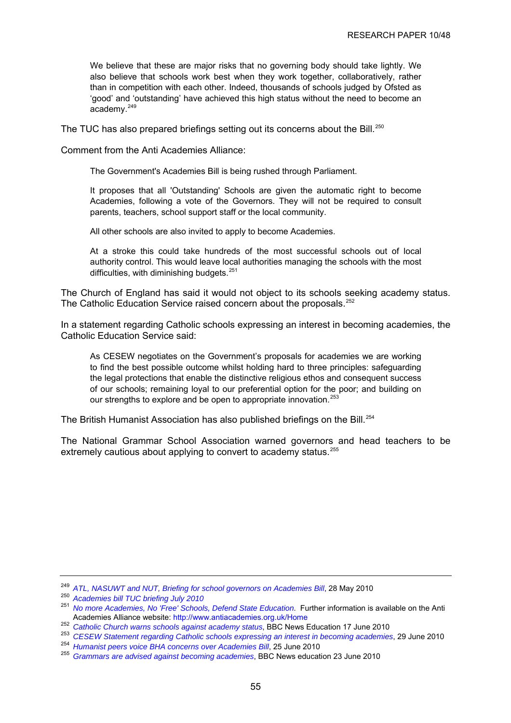<span id="page-58-0"></span>We believe that these are major risks that no governing body should take lightly. We also believe that schools work best when they work together, collaboratively, rather than in competition with each other. Indeed, thousands of schools judged by Ofsted as 'good' and 'outstanding' have achieved this high status without the need to become an academy.<sup>[249](#page-58-0)</sup>

The TUC has also prepared briefings setting out its concerns about the Bill.<sup>[250](#page-58-0)</sup>

Comment from the Anti Academies Alliance:

The Government's Academies Bill is being rushed through Parliament.

It proposes that all 'Outstanding' Schools are given the automatic right to become Academies, following a vote of the Governors. They will not be required to consult parents, teachers, school support staff or the local community.

All other schools are also invited to apply to become Academies.

At a stroke this could take hundreds of the most successful schools out of local authority control. This would leave local authorities managing the schools with the most difficulties, with diminishing budgets.<sup>[251](#page-58-0)</sup>

The Church of England has said it would not object to its schools seeking academy status. The Catholic Education Service raised concern about the proposals.<sup>[252](#page-58-0)</sup>

In a statement regarding Catholic schools expressing an interest in becoming academies, the Catholic Education Service said:

As CESEW negotiates on the Government's proposals for academies we are working to find the best possible outcome whilst holding hard to three principles: safeguarding the legal protections that enable the distinctive religious ethos and consequent success of our schools; remaining loyal to our preferential option for the poor; and building on our strengths to explore and be open to appropriate innovation.<sup>[253](#page-58-0)</sup>

The British Humanist Association has also published briefings on the Bill.<sup>[254](#page-58-0)</sup>

The National Grammar School Association warned governors and head teachers to be extremely cautious about applying to convert to academy status.<sup>[255](#page-58-0)</sup>

<sup>249</sup>*ATL, NASUWT and NUT, Briefing for school governors on Academies Bill*[,](http://www.teachers.org.uk/files/Governors_Briefing_28_05_10_Letterhead.pdf) 28 May 2010 250 *Academies bill TUC briefing July 2010*

<sup>251</sup> *[No more Academies, No 'Free' Schools, Defend State Education](http://www.antiacademies.org.uk/Home)*. Further information is available on the Anti Academies Alliance website: <http://www.antiacademies.org.uk/Home><br><sup>252</sup> Catholic Church warns schools against academy status, BBC News Education 17 June 2010

<sup>&</sup>lt;sup>253</sup> CESEW Statement regarding Catholic schools expressing an interest in becoming academies[,](http://www.cesew.org.uk/standardnews.asp?id=9605) 29 June 2010<br><sup>254</sup> Humanist peers voice BHA concerns over Academies Bill, 25 June 2010<br><sup>255</sup> Grammars are advised against becom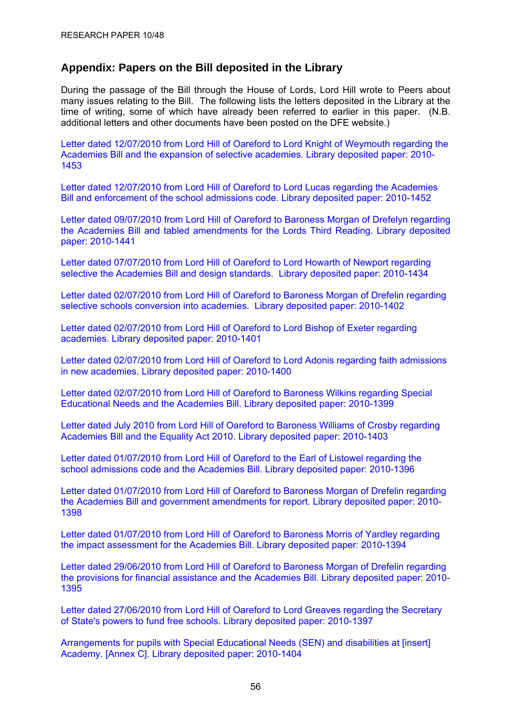# <span id="page-59-0"></span>**Appendix: Papers on the Bill deposited in the Library**

During the passage of the Bill through the House of Lords, Lord Hill wrote to Peers about many issues relating to the Bill. The following lists the letters deposited in the Library at the time of writing, some of which have already been referred to earlier in this paper. (N.B. additional letters and other documents have been posted on the DFE website.)

[Letter dated 12/07/2010 from Lord Hill of Oareford to Lord Knight of Weymouth regarding the](http://www.parliament.uk/deposits/depositedpapers/2010/DEP2010-1453.pdf)  [Academies Bill and the expansion of selective academies. Library deposited paper: 2010-](http://www.parliament.uk/deposits/depositedpapers/2010/DEP2010-1453.pdf) [1453](http://www.parliament.uk/deposits/depositedpapers/2010/DEP2010-1453.pdf)

[Letter dated 12/07/2010 from Lord Hill of Oareford to Lord Lucas regarding the Academies](http://www.parliament.uk/deposits/depositedpapers/2010/DEP2010-1452.pdf)  [Bill and enforcement of the school admissions code. Library deposited paper: 2010-1452](http://www.parliament.uk/deposits/depositedpapers/2010/DEP2010-1452.pdf)

[Letter dated 09/07/2010 from Lord Hill of Oareford to Baroness Morgan of Drefelyn regarding](http://www.parliament.uk/deposits/depositedpapers/2010/DEP2010-1441.pdf)  [the Academies Bill and tabled amendments for the Lords Third Reading. Library deposited](http://www.parliament.uk/deposits/depositedpapers/2010/DEP2010-1441.pdf)  [paper: 2010-1441](http://www.parliament.uk/deposits/depositedpapers/2010/DEP2010-1441.pdf)

[Letter dated 07/07/2010 from Lord Hill of Oareford to Lord Howarth of Newport regarding](http://www.parliament.uk/deposits/depositedpapers/2010/DEP2010-1434.pdf)  [selective the Academies Bill and design standards. Library deposited paper: 2010-1434](http://www.parliament.uk/deposits/depositedpapers/2010/DEP2010-1434.pdf)

[Letter dated 02/07/2010 from Lord Hill of Oareford to Baroness Morgan of Drefelin regarding](http://www.parliament.uk/deposits/depositedpapers/2010/DEP2010-1402.pdf)  [selective schools conversion into academies.](http://www.parliament.uk/deposits/depositedpapers/2010/DEP2010-1402.pdf)Library deposited paper: 2010-1402

[Letter dated 02/07/2010 from Lord Hill of Oareford to Lord Bishop of Exeter regarding](http://www.parliament.uk/deposits/depositedpapers/2010/DEP2010-1401.pdf)  academies. [Library deposited paper: 2010-1401](http://www.parliament.uk/deposits/depositedpapers/2010/DEP2010-1401.pdf)

[Letter dated 02/07/2010 from Lord Hill of Oareford to Lord Adonis regarding faith admissions](http://www.parliament.uk/deposits/depositedpapers/2010/DEP2010-1400.pdf)  in new academies. [Library deposited paper: 2010-1400](http://www.parliament.uk/deposits/depositedpapers/2010/DEP2010-1400.pdf)

[Letter dated 02/07/2010 from Lord Hill of Oareford to Baroness Wilkins regarding Special](http://www.parliament.uk/deposits/depositedpapers/2010/DEP2010-1399.pdf)  [Educational Needs and the Academies Bill.](http://www.parliament.uk/deposits/depositedpapers/2010/DEP2010-1399.pdf) Library deposited paper: 2010-1399

[Letter dated July 2010 from Lord Hill of Oareford to Baroness Williams of Crosby regarding](http://www.parliament.uk/deposits/depositedpapers/2010/DEP2010-1403.pdf)  [Academies Bill and the Equality Act 2010.](http://www.parliament.uk/deposits/depositedpapers/2010/DEP2010-1403.pdf) Library deposited paper: 2010-1403

[Letter dated 01/07/2010 from Lord Hill of Oareford to the Earl of Listowel regarding the](http://www.parliament.uk/deposits/depositedpapers/2010/DEP2010-1396.pdf)  [school admissions code and the Academies Bill.](http://www.parliament.uk/deposits/depositedpapers/2010/DEP2010-1396.pdf) Library deposited paper: 2010-1396

[Letter dated 01/07/2010 from Lord Hill of Oareford to Baroness Morgan of Drefelin regarding](http://www.parliament.uk/deposits/depositedpapers/2010/DEP2010-1398.pdf)  [the Academies Bill and government amendments for report.](http://www.parliament.uk/deposits/depositedpapers/2010/DEP2010-1398.pdf) Library deposited paper: 2010- [1398](http://www.parliament.uk/deposits/depositedpapers/2010/DEP2010-1398.pdf)

[Letter dated 01/07/2010 from Lord Hill of Oareford to Baroness Morris of Yardley regarding](http://www.parliament.uk/deposits/depositedpapers/2010/DEP2010-1394.pdf)  [the impact assessment for the Academies Bill.](http://www.parliament.uk/deposits/depositedpapers/2010/DEP2010-1394.pdf) Library deposited paper: 2010-1394

[Letter dated 29/06/2010 from Lord Hill of Oareford to Baroness Morgan of Drefelin regarding](http://www.parliament.uk/deposits/depositedpapers/2010/DEP2010-1395.pdf)  [the provisions for financial assistance and the Academies Bill.](http://www.parliament.uk/deposits/depositedpapers/2010/DEP2010-1395.pdf) Library deposited paper: 2010- [1395](http://www.parliament.uk/deposits/depositedpapers/2010/DEP2010-1395.pdf)

[Letter dated 27/06/2010 from Lord Hill of Oareford to Lord Greaves regarding the Secretary](http://www.parliament.uk/deposits/depositedpapers/2010/DEP2010-1397.pdf)  [of State's powers to fund free schools.](http://www.parliament.uk/deposits/depositedpapers/2010/DEP2010-1397.pdf) Library deposited paper: 2010-1397

[Arrangements for pupils with Special Educational Needs \(SEN\) and disabilities at \[insert\]](http://www.parliament.uk/deposits/depositedpapers/2010/DEP2010-1404.doc)  Academy. [Annex C]. [Library deposited paper: 2010-1404](http://www.parliament.uk/deposits/depositedpapers/2010/DEP2010-1404.doc)